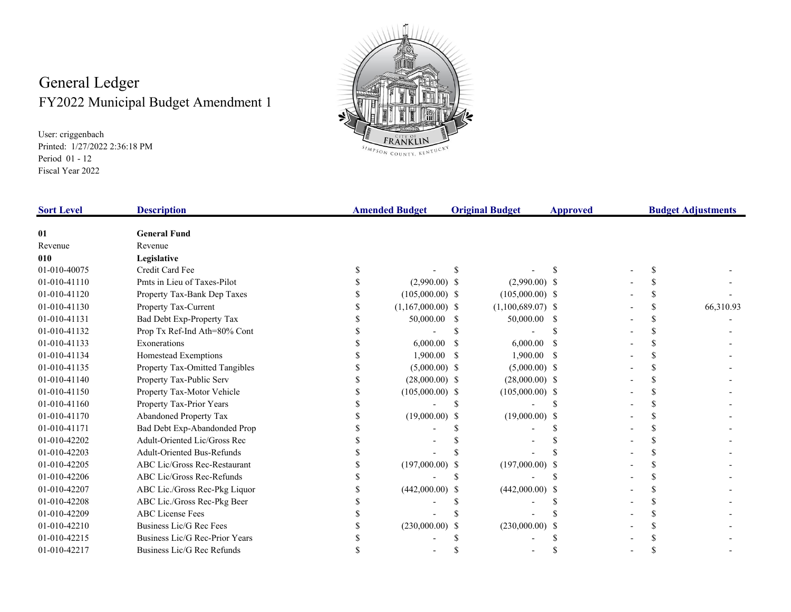## General Ledger FY2022 Municipal Budget Amendment 1

User: criggenbach Printed: 1/27/2022 2:36:18 PMPeriod 01 - 12Fiscal Year 2022



 $S_{IMPSON}$  COUNTY KENTUC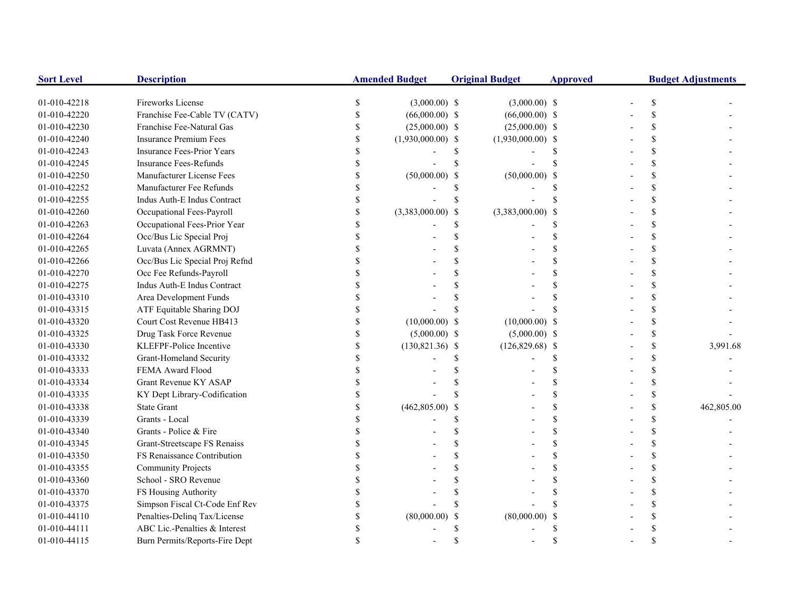| <b>Sort Level</b> | <b>Description</b>                | <b>Amended Budget</b> |                     | <b>Original Budget</b> |                     | <b>Approved</b> | <b>Budget Adjustments</b> |    |            |
|-------------------|-----------------------------------|-----------------------|---------------------|------------------------|---------------------|-----------------|---------------------------|----|------------|
| 01-010-42218      | Fireworks License                 | \$                    | $(3,000.00)$ \$     |                        | $(3,000.00)$ \$     |                 |                           | \$ |            |
| 01-010-42220      | Franchise Fee-Cable TV (CATV)     | \$                    | $(66,000.00)$ \$    |                        | $(66,000.00)$ \$    |                 |                           |    |            |
| 01-010-42230      | Franchise Fee-Natural Gas         | \$                    | $(25,000.00)$ \$    |                        | $(25,000.00)$ \$    |                 |                           |    |            |
| 01-010-42240      | <b>Insurance Premium Fees</b>     | \$                    | $(1,930,000.00)$ \$ |                        | $(1,930,000.00)$ \$ |                 |                           |    |            |
| 01-010-42243      | <b>Insurance Fees-Prior Years</b> | \$                    |                     |                        |                     |                 |                           |    |            |
| 01-010-42245      | <b>Insurance Fees-Refunds</b>     | \$                    |                     |                        |                     |                 |                           |    |            |
| 01-010-42250      | Manufacturer License Fees         | \$                    | $(50,000.00)$ \$    |                        | $(50,000.00)$ \$    |                 |                           |    |            |
| 01-010-42252      | Manufacturer Fee Refunds          | \$                    |                     |                        |                     |                 |                           |    |            |
| 01-010-42255      | Indus Auth-E Indus Contract       | \$                    |                     |                        |                     |                 |                           |    |            |
| 01-010-42260      | Occupational Fees-Payroll         | \$                    | $(3,383,000.00)$ \$ |                        | $(3,383,000.00)$ \$ |                 |                           |    |            |
| 01-010-42263      | Occupational Fees-Prior Year      | \$                    |                     | \$                     |                     |                 |                           |    |            |
| 01-010-42264      | Occ/Bus Lic Special Proj          | \$                    |                     |                        |                     |                 |                           |    |            |
| 01-010-42265      | Luvata (Annex AGRMNT)             |                       |                     |                        |                     |                 |                           |    |            |
| 01-010-42266      | Occ/Bus Lic Special Proj Refnd    |                       |                     |                        |                     |                 |                           |    |            |
| 01-010-42270      | Occ Fee Refunds-Payroll           |                       |                     |                        |                     |                 |                           |    |            |
| 01-010-42275      | Indus Auth-E Indus Contract       |                       |                     |                        |                     |                 |                           |    |            |
| 01-010-43310      | Area Development Funds            |                       |                     |                        |                     |                 |                           |    |            |
| 01-010-43315      | ATF Equitable Sharing DOJ         |                       |                     |                        |                     |                 |                           |    |            |
| 01-010-43320      | Court Cost Revenue HB413          | \$                    | $(10,000.00)$ \$    |                        | $(10,000.00)$ \$    |                 |                           |    |            |
| 01-010-43325      | Drug Task Force Revenue           | \$                    | $(5,000.00)$ \$     |                        | $(5,000.00)$ \$     |                 |                           |    |            |
| 01-010-43330      | KLEFPF-Police Incentive           | \$                    | $(130,821.36)$ \$   |                        | $(126,829.68)$ \$   |                 |                           | \$ | 3,991.68   |
| 01-010-43332      | Grant-Homeland Security           | \$                    |                     | S                      |                     |                 |                           |    |            |
| 01-010-43333      | FEMA Award Flood                  |                       |                     |                        |                     |                 |                           |    |            |
| 01-010-43334      | Grant Revenue KY ASAP             | \$                    |                     |                        |                     |                 |                           |    |            |
| 01-010-43335      | KY Dept Library-Codification      | \$                    |                     |                        |                     |                 |                           |    |            |
| 01-010-43338      | <b>State Grant</b>                | \$                    | (462, 805.00)       | <sup>\$</sup>          |                     |                 |                           |    | 462,805.00 |
| 01-010-43339      | Grants - Local                    | \$                    |                     |                        |                     |                 |                           |    |            |
| 01-010-43340      | Grants - Police & Fire            |                       |                     |                        |                     |                 |                           |    |            |
| 01-010-43345      | Grant-Streetscape FS Renaiss      |                       |                     |                        |                     |                 |                           |    |            |
| 01-010-43350      | FS Renaissance Contribution       |                       |                     |                        |                     |                 |                           |    |            |
| 01-010-43355      | <b>Community Projects</b>         |                       |                     |                        |                     |                 |                           |    |            |
| 01-010-43360      | School - SRO Revenue              |                       |                     |                        |                     |                 |                           |    |            |
| 01-010-43370      | FS Housing Authority              |                       |                     |                        |                     |                 |                           |    |            |
| 01-010-43375      | Simpson Fiscal Ct-Code Enf Rev    | \$                    |                     |                        |                     |                 |                           |    |            |
| 01-010-44110      | Penalties-Delinq Tax/License      | \$                    | (80,000.00)         | -S                     | $(80,000.00)$ \$    |                 |                           |    |            |
| 01-010-44111      | ABC Lic.-Penalties & Interest     |                       |                     |                        |                     |                 |                           |    |            |
| 01-010-44115      | Burn Permits/Reports-Fire Dept    |                       |                     |                        |                     |                 |                           |    |            |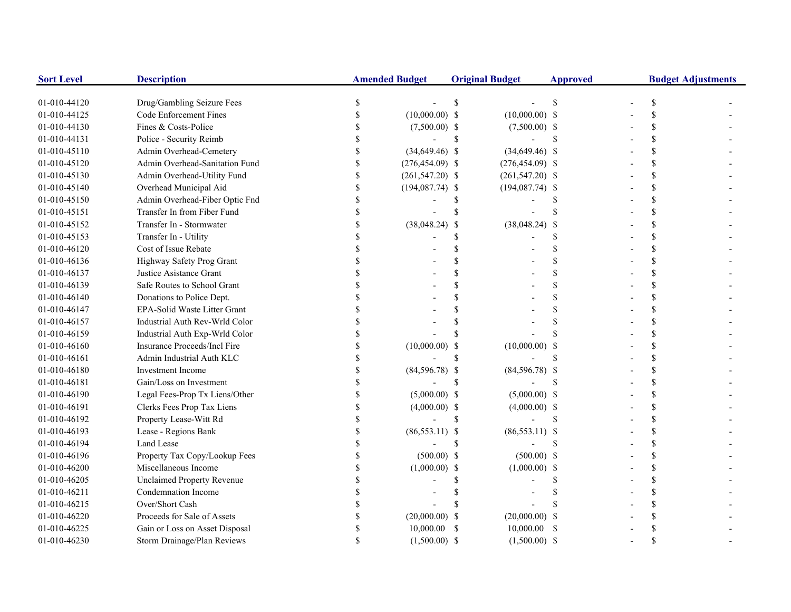| <b>Sort Level</b> | <b>Description</b>                | <b>Amended Budget</b> |                    | <b>Original Budget</b> |                    | <b>Approved</b> | <b>Budget Adjustments</b> |  |
|-------------------|-----------------------------------|-----------------------|--------------------|------------------------|--------------------|-----------------|---------------------------|--|
| 01-010-44120      | Drug/Gambling Seizure Fees        | \$                    |                    | \$                     |                    | \$              | \$                        |  |
| 01-010-44125      | Code Enforcement Fines            | \$                    | $(10,000.00)$ \$   |                        | $(10,000.00)$ \$   |                 | $\mathbf S$               |  |
| 01-010-44130      | Fines & Costs-Police              | \$                    | $(7,500.00)$ \$    |                        | $(7,500.00)$ \$    |                 | \$                        |  |
| 01-010-44131      | Police - Security Reimb           | \$                    |                    | \$                     |                    | \$.             |                           |  |
| 01-010-45110      | Admin Overhead-Cemetery           | \$                    | $(34, 649.46)$ \$  |                        | $(34, 649.46)$ \$  |                 |                           |  |
| 01-010-45120      | Admin Overhead-Sanitation Fund    | \$                    | $(276, 454.09)$ \$ |                        | $(276, 454.09)$ \$ |                 |                           |  |
| 01-010-45130      | Admin Overhead-Utility Fund       | \$                    | $(261, 547.20)$ \$ |                        | $(261, 547.20)$ \$ |                 |                           |  |
| 01-010-45140      | Overhead Municipal Aid            | \$                    | $(194,087.74)$ \$  |                        | $(194,087.74)$ \$  |                 |                           |  |
| 01-010-45150      | Admin Overhead-Fiber Optic Fnd    | \$                    |                    | \$                     |                    |                 | \$                        |  |
| 01-010-45151      | Transfer In from Fiber Fund       | \$                    |                    |                        |                    |                 | \$                        |  |
| 01-010-45152      | Transfer In - Stormwater          | \$                    | $(38,048.24)$ \$   |                        | $(38,048.24)$ \$   |                 | \$                        |  |
| 01-010-45153      | Transfer In - Utility             | \$                    |                    | \$                     |                    |                 |                           |  |
| 01-010-46120      | Cost of Issue Rebate              | \$                    |                    |                        |                    |                 | \$                        |  |
| 01-010-46136      | Highway Safety Prog Grant         |                       |                    |                        |                    |                 | \$                        |  |
| 01-010-46137      | Justice Asistance Grant           |                       |                    |                        |                    |                 |                           |  |
| 01-010-46139      | Safe Routes to School Grant       |                       |                    |                        |                    |                 |                           |  |
| 01-010-46140      | Donations to Police Dept.         |                       |                    |                        |                    |                 |                           |  |
| 01-010-46147      | EPA-Solid Waste Litter Grant      | \$                    |                    |                        |                    |                 |                           |  |
| 01-010-46157      | Industrial Auth Rev-Wrld Color    | \$                    |                    |                        |                    |                 |                           |  |
| 01-010-46159      | Industrial Auth Exp-Wrld Color    | \$                    |                    |                        |                    |                 | S                         |  |
| 01-010-46160      | Insurance Proceeds/Incl Fire      | \$                    | $(10,000.00)$ \$   |                        | $(10,000.00)$ \$   |                 | \$                        |  |
| 01-010-46161      | Admin Industrial Auth KLC         | \$                    |                    |                        |                    |                 | S                         |  |
| 01-010-46180      | <b>Investment Income</b>          | \$                    | $(84,596.78)$ \$   |                        | $(84,596.78)$ \$   |                 | S                         |  |
| 01-010-46181      | Gain/Loss on Investment           | \$                    |                    | <sup>\$</sup>          |                    |                 |                           |  |
| 01-010-46190      | Legal Fees-Prop Tx Liens/Other    | \$                    | $(5,000.00)$ \$    |                        | $(5,000.00)$ \$    |                 |                           |  |
| 01-010-46191      | Clerks Fees Prop Tax Liens        | \$                    | $(4,000.00)$ \$    |                        | $(4,000.00)$ \$    |                 | \$                        |  |
| 01-010-46192      | Property Lease-Witt Rd            | \$                    |                    | $\mathbb{S}$           |                    | <b>S</b>        |                           |  |
| 01-010-46193      | Lease - Regions Bank              | \$                    | $(86,553.11)$ \$   |                        | $(86,553.11)$ \$   |                 |                           |  |
| 01-010-46194      | Land Lease                        | \$                    |                    | \$.                    |                    |                 |                           |  |
| 01-010-46196      | Property Tax Copy/Lookup Fees     | \$                    | $(500.00)$ \$      |                        | $(500.00)$ \$      |                 |                           |  |
| 01-010-46200      | Miscellaneous Income              | \$                    | $(1,000.00)$ \$    |                        | $(1,000.00)$ \$    |                 | \$                        |  |
| 01-010-46205      | <b>Unclaimed Property Revenue</b> | \$                    |                    | \$                     |                    |                 |                           |  |
| 01-010-46211      | Condemnation Income               | \$                    |                    |                        |                    |                 | S                         |  |
| 01-010-46215      | Over/Short Cash                   | \$                    |                    |                        |                    |                 |                           |  |
| 01-010-46220      | Proceeds for Sale of Assets       | \$                    | $(20,000.00)$ \$   |                        | $(20,000.00)$ \$   |                 |                           |  |
| 01-010-46225      | Gain or Loss on Asset Disposal    | \$                    | 10,000.00          | S                      | 10,000.00          | -S              |                           |  |
| 01-010-46230      | Storm Drainage/Plan Reviews       | \$                    | $(1,500.00)$ \$    |                        | $(1,500.00)$ \$    |                 | \$                        |  |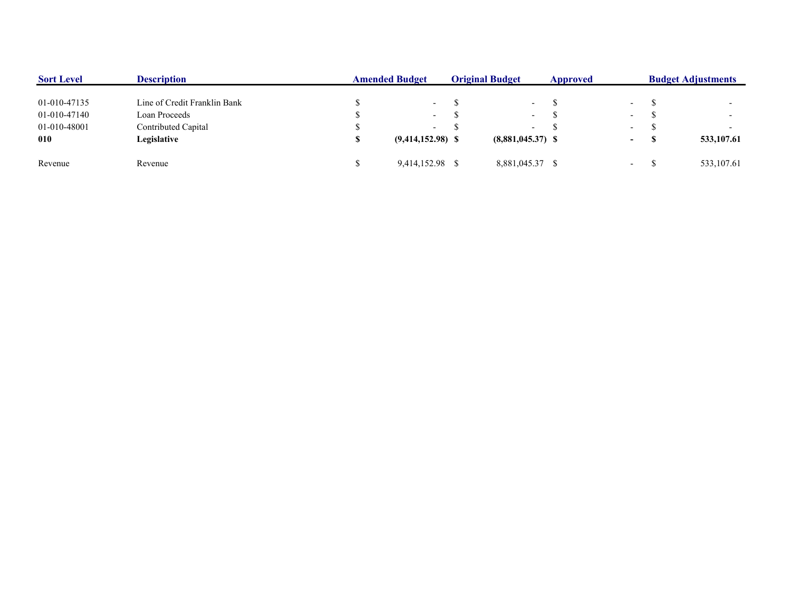| <b>Sort Level</b> | <b>Description</b>           | <b>Amended Budget</b>    |  | <b>Original Budget</b>   | Approved |                          | <b>Budget Adjustments</b> |                          |
|-------------------|------------------------------|--------------------------|--|--------------------------|----------|--------------------------|---------------------------|--------------------------|
|                   |                              |                          |  |                          |          |                          |                           |                          |
| 01-010-47135      | Line of Credit Franklin Bank | $\overline{\phantom{a}}$ |  | $\overline{\phantom{a}}$ |          | $\overline{\phantom{a}}$ |                           | $\overline{\phantom{0}}$ |
| 01-010-47140      | Loan Proceeds                | $\overline{\phantom{a}}$ |  | $\overline{\phantom{a}}$ |          | $\sim$                   |                           |                          |
| 01-010-48001      | Contributed Capital          | $\sim$                   |  | $\overline{\phantom{a}}$ |          | $\overline{\phantom{a}}$ |                           | $\overline{\phantom{0}}$ |
| 010               | Legislative                  | $(9,414,152.98)$ \$      |  | $(8,881,045.37)$ \$      |          | $\sim$                   |                           | 533,107.61               |
| Revenue           | Revenue                      | 9,414,152.98 \$          |  | 8,881,045.37 \$          |          | $\sim$                   |                           | 533,107.61               |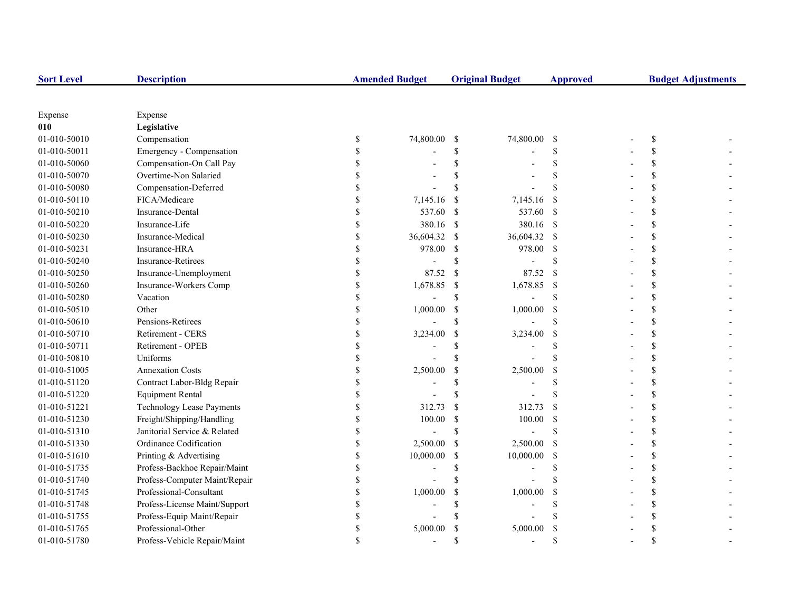| <b>Sort Level</b> | <b>Description</b>            | <b>Amended Budget</b>     |           |                           | <b>Original Budget</b>   | <b>Approved</b>    | <b>Budget Adjustments</b> |  |
|-------------------|-------------------------------|---------------------------|-----------|---------------------------|--------------------------|--------------------|---------------------------|--|
|                   |                               |                           |           |                           |                          |                    |                           |  |
| Expense           | Expense                       |                           |           |                           |                          |                    |                           |  |
| 010               | Legislative                   |                           |           |                           |                          |                    |                           |  |
| 01-010-50010      | Compensation                  | $\mathbb{S}$              | 74,800.00 | <sup>\$</sup>             | 74,800.00                | -\$                | \$                        |  |
| 01-010-50011      | Emergency - Compensation      | \$                        |           | <sup>\$</sup>             |                          | \$                 | <sup>\$</sup>             |  |
| 01-010-50060      | Compensation-On Call Pay      | $\mathbb S$               |           | \$                        |                          | <sup>\$</sup>      | \$                        |  |
| 01-010-50070      | Overtime-Non Salaried         | \$                        |           |                           |                          | S                  | \$                        |  |
| 01-010-50080      | Compensation-Deferred         | \$                        |           |                           |                          | $\mathbf{\hat{S}}$ | \$                        |  |
| 01-010-50110      | FICA/Medicare                 | $\mathbb{S}$              | 7,145.16  | <sup>\$</sup>             | 7,145.16                 | <sup>S</sup>       | \$                        |  |
| 01-010-50210      | Insurance-Dental              | \$                        | 537.60    | <sup>\$</sup>             | 537.60                   | $\mathbf{s}$       | <sup>\$</sup>             |  |
| 01-010-50220      | Insurance-Life                | \$                        | 380.16 \$ |                           | 380.16 \$                |                    | <sup>\$</sup>             |  |
| 01-010-50230      | Insurance-Medical             | $\mathbb{S}$              | 36,604.32 | -\$                       | 36,604.32 \$             |                    | \$                        |  |
| 01-010-50231      | Insurance-HRA                 | \$                        | 978.00    | <sup>\$</sup>             | 978.00                   | -S                 | \$                        |  |
| 01-010-50240      | Insurance-Retirees            | \$                        |           | S                         |                          | S                  | \$                        |  |
| 01-010-50250      | Insurance-Unemployment        | \$                        | 87.52     | <sup>\$</sup>             | 87.52                    | -\$                | \$                        |  |
| 01-010-50260      | Insurance-Workers Comp        | \$                        | 1,678.85  | $\boldsymbol{\mathsf{S}}$ | 1,678.85                 | $\mathcal{S}$      | \$                        |  |
| 01-010-50280      | Vacation                      | \$                        |           | \$                        |                          | \$                 | \$                        |  |
| 01-010-50510      | Other                         | \$                        | 1,000.00  | $\mathcal{S}$             | 1,000.00                 | -S                 | \$                        |  |
| 01-010-50610      | Pensions-Retirees             | \$                        |           | \$.                       |                          | $\mathbf S$        | \$                        |  |
| 01-010-50710      | Retirement - CERS             | $\mathbb S$               | 3,234.00  | \$                        | 3,234.00                 | $\mathcal{S}$      | \$                        |  |
| 01-010-50711      | Retirement - OPEB             | \$                        |           | S                         | $\overline{\phantom{a}}$ | <sup>\$</sup>      | <sup>\$</sup>             |  |
| 01-010-50810      | Uniforms                      |                           |           | \$                        |                          | <b>S</b>           | <sup>\$</sup>             |  |
| 01-010-51005      | <b>Annexation Costs</b>       | \$                        | 2,500.00  | \$                        | 2,500.00                 | <sup>\$</sup>      | \$                        |  |
| 01-010-51120      | Contract Labor-Bldg Repair    | \$                        |           |                           |                          | S                  | \$                        |  |
| 01-010-51220      | <b>Equipment Rental</b>       | \$                        |           |                           |                          | \$.                | \$                        |  |
| 01-010-51221      | Technology Lease Payments     | $\mathbb{S}$              | 312.73    | <sup>\$</sup>             | 312.73                   | <sup>\$</sup>      | \$                        |  |
| 01-010-51230      | Freight/Shipping/Handling     | \$                        | 100.00    | <sup>\$</sup>             | 100.00                   | <sup>\$</sup>      | \$                        |  |
| 01-010-51310      | Janitorial Service & Related  | \$                        |           | \$                        |                          | $\mathbf{\hat{S}}$ | \$                        |  |
| 01-010-51330      | Ordinance Codification        | $\mathbb{S}$              | 2,500.00  | -S                        | 2,500.00                 | -S                 | \$                        |  |
| 01-010-51610      | Printing & Advertising        | \$                        | 10,000.00 | \$                        | 10,000.00                | -S                 | \$                        |  |
| 01-010-51735      | Profess-Backhoe Repair/Maint  | $\mathbb{S}$              |           | \$                        |                          | <sup>\$</sup>      | <sup>\$</sup>             |  |
| 01-010-51740      | Profess-Computer Maint/Repair | $\boldsymbol{\mathsf{S}}$ |           |                           |                          | <sup>\$</sup>      | <sup>\$</sup>             |  |
| 01-010-51745      | Professional-Consultant       | \$                        | 1,000.00  | \$                        | 1,000.00                 | \$                 | \$                        |  |
| 01-010-51748      | Profess-License Maint/Support | \$                        |           | \$.                       | $\overline{\phantom{0}}$ | \$.                | <sup>\$</sup>             |  |
| 01-010-51755      | Profess-Equip Maint/Repair    | \$                        |           |                           |                          |                    | $\mathbf{\hat{S}}$        |  |
| 01-010-51765      | Professional-Other            | \$                        | 5,000.00  | <sup>\$</sup>             | 5,000.00                 | <sup>\$</sup>      | \$                        |  |
| 01-010-51780      | Profess-Vehicle Repair/Maint  | $\mathbb{S}$              |           | \$.                       |                          | $\mathcal{S}$      | $\mathcal{S}$             |  |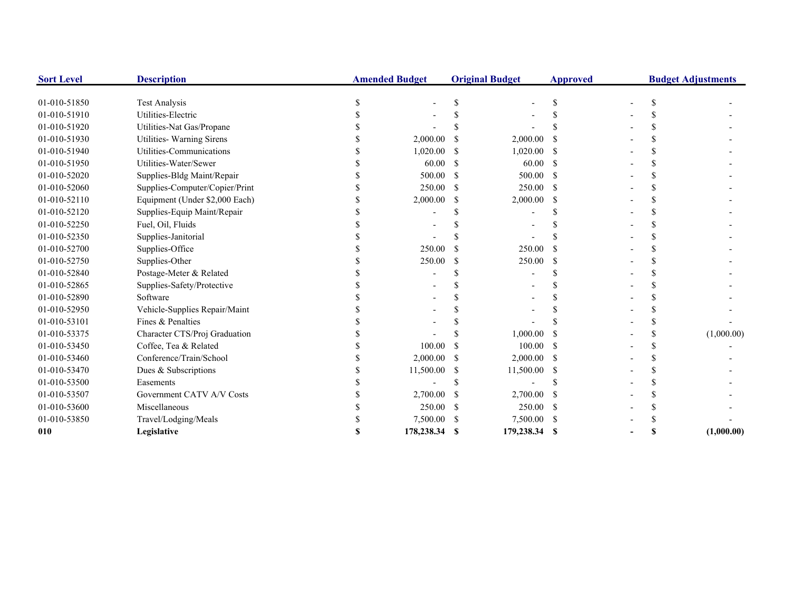| <b>Sort Level</b> | <b>Description</b>             | <b>Amended Budget</b> |    | <b>Original Budget</b> | <b>Approved</b> |  | <b>Budget Adjustments</b> |
|-------------------|--------------------------------|-----------------------|----|------------------------|-----------------|--|---------------------------|
| 01-010-51850      | <b>Test Analysis</b>           |                       |    |                        |                 |  |                           |
| 01-010-51910      | Utilities-Electric             |                       |    |                        |                 |  |                           |
| 01-010-51920      | Utilities-Nat Gas/Propane      |                       |    |                        |                 |  |                           |
| 01-010-51930      |                                |                       |    |                        |                 |  |                           |
|                   | Utilities- Warning Sirens      | 2,000.00              |    | 2,000.00               |                 |  |                           |
| 01-010-51940      | Utilities-Communications       | 1,020.00              |    | 1,020.00               |                 |  |                           |
| 01-010-51950      | Utilities-Water/Sewer          | 60.00                 | S  | 60.00                  | -S              |  |                           |
| 01-010-52020      | Supplies-Bldg Maint/Repair     | 500.00                | -S | 500.00                 | - \$            |  |                           |
| 01-010-52060      | Supplies-Computer/Copier/Print | 250.00                | S  | $250.00$ \$            |                 |  |                           |
| 01-010-52110      | Equipment (Under \$2,000 Each) | 2,000.00              | S  | 2,000.00               | -S              |  |                           |
| 01-010-52120      | Supplies-Equip Maint/Repair    |                       |    |                        |                 |  |                           |
| 01-010-52250      | Fuel, Oil, Fluids              |                       |    |                        |                 |  |                           |
| 01-010-52350      | Supplies-Janitorial            |                       |    |                        |                 |  |                           |
| 01-010-52700      | Supplies-Office                | 250.00                |    | 250.00                 |                 |  |                           |
| 01-010-52750      | Supplies-Other                 | 250.00                |    | 250.00                 | -S              |  |                           |
| 01-010-52840      | Postage-Meter & Related        |                       |    |                        |                 |  |                           |
| 01-010-52865      | Supplies-Safety/Protective     |                       |    |                        |                 |  |                           |
| 01-010-52890      | Software                       |                       |    |                        |                 |  |                           |
| 01-010-52950      | Vehicle-Supplies Repair/Maint  |                       |    |                        |                 |  |                           |
| 01-010-53101      | Fines & Penalties              |                       |    |                        |                 |  |                           |
| 01-010-53375      | Character CTS/Proj Graduation  |                       |    | 1,000.00               |                 |  | (1,000.00)                |
| 01-010-53450      | Coffee, Tea & Related          | 100.00                |    | 100.00                 |                 |  |                           |
| 01-010-53460      | Conference/Train/School        | 2,000.00              | -S | 2,000.00               | - S             |  |                           |
| 01-010-53470      | Dues & Subscriptions           | 11,500.00             |    | 11,500.00              | -S              |  |                           |
| 01-010-53500      | Easements                      |                       |    |                        |                 |  |                           |
| 01-010-53507      | Government CATV A/V Costs      | 2,700.00              |    | 2,700.00               |                 |  |                           |
| 01-010-53600      | Miscellaneous                  | 250.00                |    | 250.00                 |                 |  |                           |
| 01-010-53850      | Travel/Lodging/Meals           | 7,500.00              |    | 7,500.00 \$            |                 |  |                           |
| 010               | Legislative                    | 178,238.34            | S  | 179,238.34 \$          |                 |  | (1,000.00)                |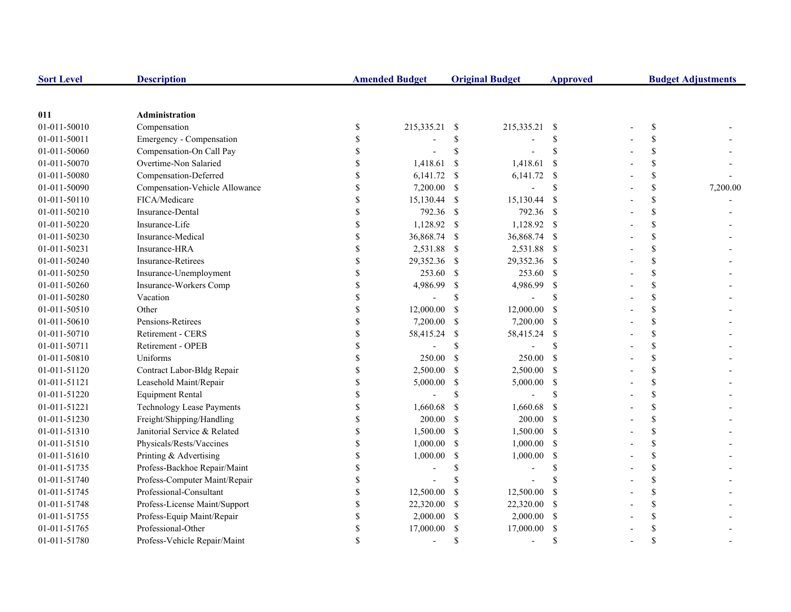| <b>Sort Level</b> | <b>Description</b>             |             | <b>Amended Budget</b> |               | <b>Original Budget</b> | <b>Approved</b> |                    | <b>Budget Adjustments</b> |
|-------------------|--------------------------------|-------------|-----------------------|---------------|------------------------|-----------------|--------------------|---------------------------|
|                   |                                |             |                       |               |                        |                 |                    |                           |
| 011               | Administration                 |             |                       |               |                        |                 |                    |                           |
| 01-011-50010      | Compensation                   | \$          | 215,335.21            | -S            | 215,335.21 \$          |                 | \$                 |                           |
| 01-011-50011      | Emergency - Compensation       | \$          |                       | $\mathbb S$   |                        | <sup>\$</sup>   | \$                 |                           |
| 01-011-50060      | Compensation-On Call Pay       | \$          |                       | \$            |                        | \$              | \$                 |                           |
| 01-011-50070      | Overtime-Non Salaried          | \$          | 1,418.61              | <sup>\$</sup> | 1,418.61               | $\mathcal{S}$   | \$                 |                           |
| 01-011-50080      | Compensation-Deferred          | \$          | 6,141.72              | <sup>\$</sup> | 6,141.72               | <sup>\$</sup>   | \$                 |                           |
| 01-011-50090      | Compensation-Vehicle Allowance | \$          | 7,200.00              | -S            |                        | $\mathcal{S}$   | \$                 | 7,200.00                  |
| 01-011-50110      | FICA/Medicare                  | \$          | 15,130.44             | <sup>\$</sup> | 15,130.44              | $\mathcal{S}$   | \$                 |                           |
| 01-011-50210      | <b>Insurance-Dental</b>        | \$          | 792.36 \$             |               | 792.36 \$              |                 | \$                 |                           |
| 01-011-50220      | Insurance-Life                 | \$          | 1,128.92              | <sup>\$</sup> | 1,128.92 \$            |                 | \$                 |                           |
| 01-011-50230      | Insurance-Medical              | \$          | 36,868.74             | <sup>\$</sup> | 36,868.74              | <sup>\$</sup>   | \$                 |                           |
| 01-011-50231      | Insurance-HRA                  | \$          | 2,531.88              | <sup>\$</sup> | 2,531.88 \$            |                 | \$                 |                           |
| 01-011-50240      | <b>Insurance-Retirees</b>      | \$          | 29,352.36             | -S            | 29,352.36 \$           |                 | \$                 |                           |
| 01-011-50250      | Insurance-Unemployment         | \$          | 253.60                | <sup>S</sup>  | 253.60                 | -S              | \$                 |                           |
| 01-011-50260      | Insurance-Workers Comp         | \$          | 4,986.99              | <sup>\$</sup> | 4,986.99               | \$              | \$                 |                           |
| 01-011-50280      | Vacation                       | \$          |                       | \$            |                        | <sup>\$</sup>   | \$                 |                           |
| 01-011-50510      | Other                          | \$          | 12,000.00             | <sup>\$</sup> | 12,000.00              | <sup>\$</sup>   | \$                 |                           |
| 01-011-50610      | Pensions-Retirees              | \$          | 7,200.00              | -S            | 7,200.00               | -S              | \$                 |                           |
| 01-011-50710      | Retirement - CERS              | \$          | 58,415.24             | <sup>\$</sup> | 58,415.24              | <sup>\$</sup>   | \$                 |                           |
| 01-011-50711      | Retirement - OPEB              | $\mathbf S$ |                       | S             |                        |                 | \$                 |                           |
| 01-011-50810      | Uniforms                       | \$          | 250.00                | <sup>\$</sup> | 250.00                 | -S              | \$                 |                           |
| 01-011-51120      | Contract Labor-Bldg Repair     | \$          | 2,500.00              | <sup>\$</sup> | 2,500.00 \$            |                 | \$                 |                           |
| 01-011-51121      | Leasehold Maint/Repair         | \$          | 5,000.00              | <sup>\$</sup> | 5,000.00 \$            |                 | \$                 |                           |
| 01-011-51220      | <b>Equipment Rental</b>        | \$          |                       | $\mathcal{S}$ |                        |                 | \$                 |                           |
| 01-011-51221      | Technology Lease Payments      | \$          | 1,660.68              | $\mathbb{S}$  | 1,660.68 \$            |                 | \$                 |                           |
| 01-011-51230      | Freight/Shipping/Handling      | \$          | 200.00                | $\mathcal{S}$ | $200.00$ \$            |                 | \$                 |                           |
| 01-011-51310      | Janitorial Service & Related   | \$          | 1,500.00              | <sup>\$</sup> | 1,500.00 \$            |                 | \$                 |                           |
| 01-011-51510      | Physicals/Rests/Vaccines       | \$          | 1,000.00              | <sup>\$</sup> | 1,000.00               | <sup>\$</sup>   | \$                 |                           |
| 01-011-51610      | Printing & Advertising         | \$          | 1,000.00              | <sup>\$</sup> | 1,000.00               | \$              | \$                 |                           |
| 01-011-51735      | Profess-Backhoe Repair/Maint   | \$          |                       | \$            |                        | S.              | \$                 |                           |
| 01-011-51740      | Profess-Computer Maint/Repair  | \$          |                       | \$            |                        |                 | \$                 |                           |
| 01-011-51745      | Professional-Consultant        | \$          | 12,500.00             | <sup>\$</sup> | 12,500.00              | <sup>\$</sup>   | $\mathbf{\hat{S}}$ |                           |
| 01-011-51748      | Profess-License Maint/Support  | \$          | 22,320.00             | <sup>\$</sup> | 22,320.00              | <sup>\$</sup>   | \$                 |                           |
| 01-011-51755      | Profess-Equip Maint/Repair     | \$          | 2,000.00              | <sup>\$</sup> | 2,000.00               | $\mathcal{S}$   | \$                 |                           |
| 01-011-51765      | Professional-Other             | \$          | 17,000.00             | S             | 17,000.00              |                 | \$                 |                           |
| 01-011-51780      | Profess-Vehicle Repair/Maint   | \$          | $\blacksquare$        | \$            |                        | $\mathcal{S}$   | \$                 |                           |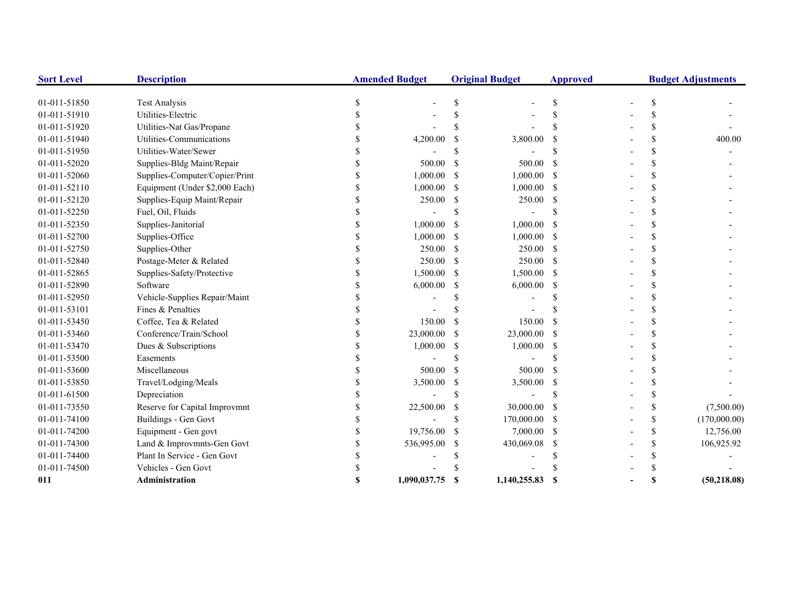| <b>Sort Level</b> | <b>Description</b>             | <b>Amended Budget</b> |               | <b>Original Budget</b> | <b>Approved</b> |             | <b>Budget Adjustments</b> |
|-------------------|--------------------------------|-----------------------|---------------|------------------------|-----------------|-------------|---------------------------|
| 01-011-51850      | <b>Test Analysis</b>           |                       |               |                        |                 |             |                           |
| 01-011-51910      | Utilities-Electric             |                       |               |                        |                 |             |                           |
| 01-011-51920      | Utilities-Nat Gas/Propane      |                       |               |                        |                 |             |                           |
| 01-011-51940      | Utilities-Communications       | 4,200.00              |               | 3,800.00               |                 | \$          | 400.00                    |
| 01-011-51950      | Utilities-Water/Sewer          |                       |               |                        |                 | \$.         |                           |
| 01-011-52020      | Supplies-Bldg Maint/Repair     | 500.00                |               | 500.00                 |                 |             |                           |
| 01-011-52060      | Supplies-Computer/Copier/Print | 1,000.00              | -S            | 1,000.00               | -8              | £.          |                           |
| 01-011-52110      | Equipment (Under \$2,000 Each) | 1,000.00              | <sup>\$</sup> | 1,000.00               | -S              |             |                           |
| 01-011-52120      | Supplies-Equip Maint/Repair    | 250.00                | <sup>\$</sup> | 250.00                 | -S              | \$          |                           |
| 01-011-52250      | Fuel, Oil, Fluids              |                       |               |                        |                 | $\mathbf S$ |                           |
| 01-011-52350      | Supplies-Janitorial            | 1,000.00              |               | 1,000.00               | -8              |             |                           |
| 01-011-52700      | Supplies-Office                | 1,000.00              | S             | $1,000.00$ \$          |                 |             |                           |
| 01-011-52750      | Supplies-Other                 | 250.00                | <sup>\$</sup> | $250.00$ \$            |                 |             |                           |
| 01-011-52840      | Postage-Meter & Related        | 250.00                | <sup>\$</sup> | 250.00 \$              |                 | \$.         |                           |
| 01-011-52865      | Supplies-Safety/Protective     | 1,500.00              | -S            | 1,500.00               | -S              | \$.         |                           |
| 01-011-52890      | Software                       | 6,000.00              | S             | 6,000.00               | -S              |             |                           |
| 01-011-52950      | Vehicle-Supplies Repair/Maint  |                       |               |                        |                 |             |                           |
| 01-011-53101      | Fines & Penalties              |                       |               |                        |                 |             |                           |
| 01-011-53450      | Coffee, Tea & Related          | 150.00                |               | 150.00                 | -\$             | \$.         |                           |
| 01-011-53460      | Conference/Train/School        | 23,000.00             |               | 23,000.00              | -S              | \$.         |                           |
| 01-011-53470      | Dues & Subscriptions           | 1,000.00              | S             | 1,000.00               | -S              |             |                           |
| 01-011-53500      | Easements                      |                       |               |                        |                 |             |                           |
| 01-011-53600      | Miscellaneous                  | 500.00                |               | 500.00                 | -\$             |             |                           |
| 01-011-53850      | Travel/Lodging/Meals           | 3,500.00              | S             | 3,500.00               | -S              |             |                           |
| 01-011-61500      | Depreciation                   |                       |               |                        |                 |             |                           |
| 01-011-73550      | Reserve for Capital Improvmnt  | 22,500.00             | S             | 30,000.00              |                 |             | (7,500.00)                |
| 01-011-74100      | Buildings - Gen Govt           |                       | \$.           | 170,000.00 \$          |                 | \$.         | (170,000.00)              |
| 01-011-74200      | Equipment - Gen govt           | 19,756.00             | -S            | 7,000.00               | -S              | \$.         | 12,756.00                 |
| 01-011-74300      | Land & Improvmnts-Gen Govt     | 536,995.00            |               | 430,069.08             | -S              | \$          | 106,925.92                |
| 01-011-74400      | Plant In Service - Gen Govt    |                       |               |                        |                 |             |                           |
| 01-011-74500      | Vehicles - Gen Govt            |                       |               |                        |                 |             |                           |
| 011               | Administration                 | 1,090,037.75          | -8            | 1,140,255.83           | -S              | S           | (50, 218.08)              |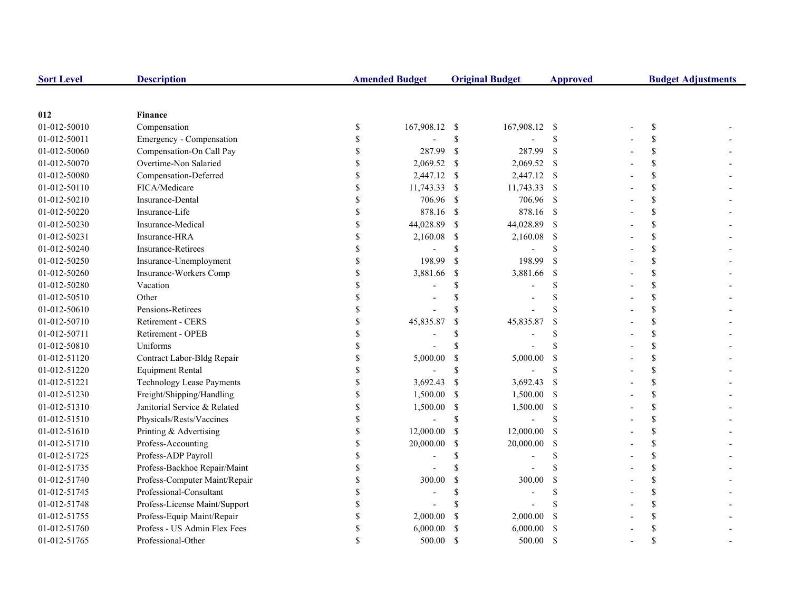| <b>Sort Level</b> | <b>Description</b>               | <b>Amended Budget</b> |               | <b>Original Budget</b> |                          | <b>Approved</b>    | <b>Budget Adjustments</b> |  |
|-------------------|----------------------------------|-----------------------|---------------|------------------------|--------------------------|--------------------|---------------------------|--|
|                   |                                  |                       |               |                        |                          |                    |                           |  |
| 012               | <b>Finance</b>                   |                       |               |                        |                          |                    |                           |  |
| 01-012-50010      | Compensation                     | \$                    | 167,908.12 \$ |                        | 167,908.12 \$            |                    | \$                        |  |
| 01-012-50011      | Emergency - Compensation         | \$                    |               | \$                     |                          | $\mathbf S$        | \$                        |  |
| 01-012-50060      | Compensation-On Call Pay         | \$                    | 287.99        | $\mathcal{S}$          | 287.99                   | -S                 | \$                        |  |
| 01-012-50070      | Overtime-Non Salaried            | \$                    | 2,069.52      | <sup>\$</sup>          | 2,069.52 \$              |                    | \$                        |  |
| 01-012-50080      | Compensation-Deferred            | \$                    | 2,447.12 \$   |                        | 2,447.12 \$              |                    | $\mathcal{S}$             |  |
| 01-012-50110      | FICA/Medicare                    | \$                    | 11,743.33 \$  |                        | 11,743.33 \$             |                    | \$                        |  |
| 01-012-50210      | Insurance-Dental                 | \$                    | 706.96 \$     |                        | 706.96 \$                |                    | \$                        |  |
| 01-012-50220      | Insurance-Life                   | \$                    | 878.16 \$     |                        | 878.16 \$                |                    | $\mathsf{\$}$             |  |
| 01-012-50230      | Insurance-Medical                | \$                    | 44,028.89     | <sup>\$</sup>          | 44,028.89 \$             |                    | $\mathbb{S}$              |  |
| 01-012-50231      | Insurance-HRA                    | \$                    | 2,160.08      | <sup>\$</sup>          | 2,160.08 \$              |                    | \$                        |  |
| 01-012-50240      | <b>Insurance-Retirees</b>        | \$                    |               | <sup>\$</sup>          |                          | \$.                | $\mathbb{S}$              |  |
| 01-012-50250      | Insurance-Unemployment           | \$                    | 198.99        | <sup>\$</sup>          | 198.99                   | -S                 | \$                        |  |
| 01-012-50260      | Insurance-Workers Comp           | \$                    | 3,881.66      | <sup>\$</sup>          | 3,881.66                 | - \$               | $\mathbb S$               |  |
| 01-012-50280      | Vacation                         | \$                    |               | \$                     | $\overline{\phantom{a}}$ | \$                 | $\mathsf{\$}$             |  |
| 01-012-50510      | Other                            | \$                    |               |                        |                          | \$                 | $\mathsf{\$}$             |  |
| 01-012-50610      | Pensions-Retirees                | \$                    |               |                        |                          |                    | $\mathbb{S}$              |  |
| 01-012-50710      | <b>Retirement - CERS</b>         | \$                    | 45,835.87     |                        | 45,835.87                | \$                 | \$                        |  |
| 01-012-50711      | Retirement - OPEB                | \$                    |               | <sup>\$</sup>          | $\overline{\phantom{a}}$ | \$                 | \$                        |  |
| 01-012-50810      | Uniforms                         | \$                    |               |                        |                          |                    | $\mathsf{\$}$             |  |
| 01-012-51120      | Contract Labor-Bldg Repair       | \$                    | 5,000.00      | <sup>\$</sup>          | 5,000.00                 | <sup>\$</sup>      | $\mathbb{S}$              |  |
| 01-012-51220      | <b>Equipment Rental</b>          | \$                    |               | S                      |                          | S                  | \$                        |  |
| 01-012-51221      | <b>Technology Lease Payments</b> | \$                    | 3,692.43      | <sup>\$</sup>          | 3,692.43                 | \$                 | $\mathbb{S}$              |  |
| 01-012-51230      | Freight/Shipping/Handling        | \$                    | 1,500.00      | <sup>S</sup>           | 1,500.00 \$              |                    | \$                        |  |
| 01-012-51310      | Janitorial Service & Related     | \$                    | 1,500.00      | -\$                    | 1,500.00 \$              |                    | \$                        |  |
| 01-012-51510      | Physicals/Rests/Vaccines         | \$                    |               | \$                     | $\overline{a}$           | $\mathbf{\hat{S}}$ | \$                        |  |
| 01-012-51610      | Printing & Advertising           | \$                    | 12,000.00     | -S                     | 12,000.00                | -S                 | \$                        |  |
| 01-012-51710      | Profess-Accounting               | \$                    | 20,000.00     | <sup>\$</sup>          | 20,000.00                | <sup>\$</sup>      | \$                        |  |
| 01-012-51725      | Profess-ADP Payroll              | \$                    |               | <sup>\$</sup>          |                          | \$                 | \$                        |  |
| 01-012-51735      | Profess-Backhoe Repair/Maint     | \$                    |               |                        |                          |                    | \$                        |  |
| 01-012-51740      | Profess-Computer Maint/Repair    | \$                    | 300.00        | <sup>\$</sup>          | 300.00                   | <sup>\$</sup>      | \$                        |  |
| 01-012-51745      | Professional-Consultant          | \$                    |               | S                      | $\overline{\phantom{0}}$ | \$.                | $\mathsf{\$}$             |  |
| 01-012-51748      | Profess-License Maint/Support    | \$                    |               |                        |                          | \$                 | $\mathbb{S}$              |  |
| 01-012-51755      | Profess-Equip Maint/Repair       | \$                    | 2,000.00      |                        | 2,000.00                 | <sup>\$</sup>      | \$                        |  |
| 01-012-51760      | Profess - US Admin Flex Fees     | \$                    | 6,000.00      |                        | 6,000.00                 |                    | $\mathcal{S}$             |  |
| 01-012-51765      | Professional-Other               | \$                    | 500.00        | <sup>S</sup>           | 500.00 \$                |                    | $\mathcal{S}$             |  |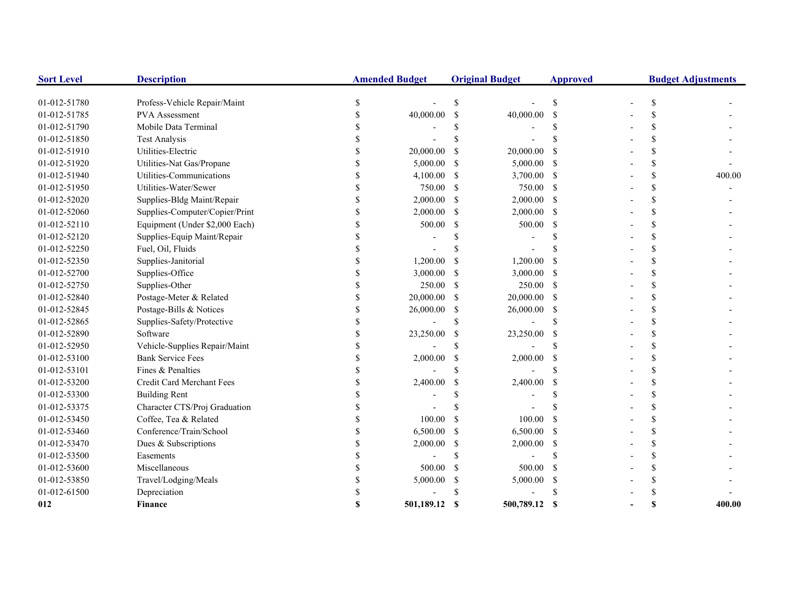| <b>Sort Level</b> | <b>Description</b>             | <b>Amended Budget</b> |            | <b>Original Budget</b> |               | <b>Approved</b> | <b>Budget Adjustments</b> |        |
|-------------------|--------------------------------|-----------------------|------------|------------------------|---------------|-----------------|---------------------------|--------|
| 01-012-51780      | Profess-Vehicle Repair/Maint   | \$                    |            | <sup>\$</sup>          |               | \$              | \$                        |        |
| 01-012-51785      | PVA Assessment                 | \$                    | 40,000.00  |                        | 40,000.00     | $\mathcal{S}$   | \$                        |        |
| 01-012-51790      | Mobile Data Terminal           |                       |            |                        |               |                 | \$                        |        |
| 01-012-51850      | <b>Test Analysis</b>           |                       |            |                        |               |                 |                           |        |
| 01-012-51910      | Utilities-Electric             | \$                    | 20,000.00  |                        | 20,000.00     |                 | S                         |        |
| 01-012-51920      | Utilities-Nat Gas/Propane      | \$                    | 5,000.00   | <sup>\$</sup>          | $5,000.00$ \$ |                 | \$                        |        |
| 01-012-51940      | Utilities-Communications       | \$                    | 4,100.00   | -S                     | 3,700.00 \$   |                 | \$                        | 400.00 |
| 01-012-51950      | Utilities-Water/Sewer          | \$                    | 750.00     | -S                     | 750.00 \$     |                 | \$                        |        |
| 01-012-52020      | Supplies-Bldg Maint/Repair     | \$                    | 2,000.00   | -S                     | $2,000.00$ \$ |                 | \$                        |        |
| 01-012-52060      | Supplies-Computer/Copier/Print | \$                    | 2,000.00   | <sup>\$</sup>          | 2,000.00 \$   |                 | \$                        |        |
| 01-012-52110      | Equipment (Under \$2,000 Each) | \$                    | 500.00     | S                      | 500.00        | <sup>\$</sup>   | \$                        |        |
| 01-012-52120      | Supplies-Equip Maint/Repair    | \$                    |            |                        |               |                 | \$                        |        |
| 01-012-52250      | Fuel, Oil, Fluids              | S                     |            |                        |               |                 | S                         |        |
| 01-012-52350      | Supplies-Janitorial            | \$                    | 1,200.00   |                        | 1,200.00      | S               | \$                        |        |
| 01-012-52700      | Supplies-Office                | \$                    | 3,000.00   |                        | 3,000.00      | - \$            | \$                        |        |
| 01-012-52750      | Supplies-Other                 |                       | 250.00     | -S                     | 250.00 \$     |                 | S                         |        |
| 01-012-52840      | Postage-Meter & Related        |                       | 20,000.00  |                        | 20,000.00 \$  |                 | S                         |        |
| 01-012-52845      | Postage-Bills & Notices        | \$                    | 26,000.00  | -S                     | 26,000.00 \$  |                 | \$                        |        |
| 01-012-52865      | Supplies-Safety/Protective     | \$                    |            | \$                     |               | \$.             | \$                        |        |
| 01-012-52890      | Software                       | \$                    | 23,250.00  | -S                     | 23,250.00     | - \$            | S                         |        |
| 01-012-52950      | Vehicle-Supplies Repair/Maint  | \$                    |            |                        |               |                 | \$                        |        |
| 01-012-53100      | <b>Bank Service Fees</b>       | \$                    | 2,000.00   | <sup>\$</sup>          | $2,000.00$ \$ |                 | \$                        |        |
| 01-012-53101      | Fines & Penalties              | \$                    |            |                        |               |                 | \$                        |        |
| 01-012-53200      | Credit Card Merchant Fees      | \$                    | 2,400.00   |                        | 2,400.00      | S               | \$                        |        |
| 01-012-53300      | <b>Building Rent</b>           | \$                    |            |                        |               |                 | \$                        |        |
| 01-012-53375      | Character CTS/Proj Graduation  | \$                    |            |                        |               |                 | \$                        |        |
| 01-012-53450      | Coffee, Tea & Related          | \$                    | 100.00     |                        | 100.00        |                 | \$                        |        |
| 01-012-53460      | Conference/Train/School        | \$                    | 6,500.00   |                        | $6,500.00$ \$ |                 | \$                        |        |
| 01-012-53470      | Dues & Subscriptions           |                       | 2,000.00   | <sup>\$</sup>          | 2,000.00      | - \$            | S                         |        |
| 01-012-53500      | Easements                      |                       |            | <sup>\$</sup>          |               |                 | \$                        |        |
| 01-012-53600      | Miscellaneous                  |                       | 500.00     |                        | 500.00        |                 |                           |        |
| 01-012-53850      | Travel/Lodging/Meals           |                       | 5,000.00   | S                      | 5,000.00      | - \$            |                           |        |
| 01-012-61500      | Depreciation                   |                       |            |                        |               |                 |                           |        |
| 012               | <b>Finance</b>                 | S                     | 501,189.12 | <b>S</b>               | 500,789.12 \$ |                 | \$.                       | 400.00 |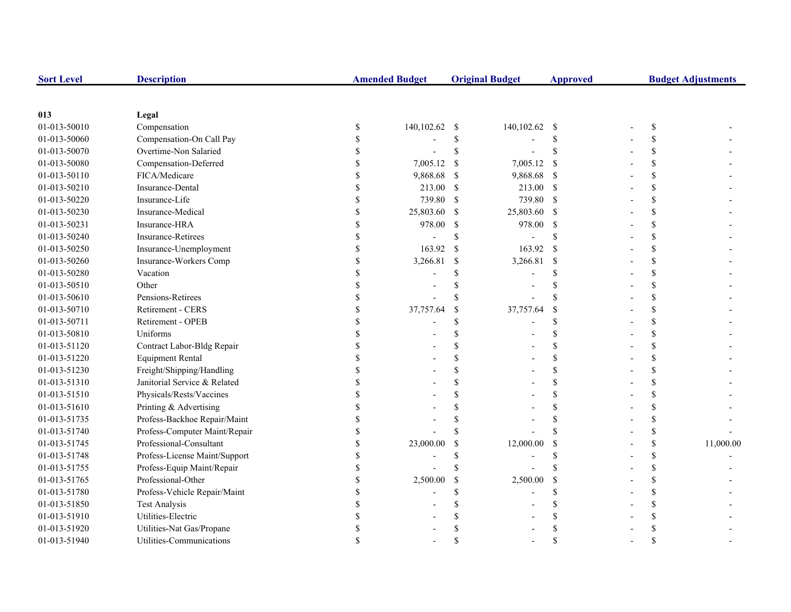| <b>Sort Level</b> | <b>Description</b>            |               | <b>Amended Budget</b> |               | <b>Original Budget</b><br><b>Approved</b> |               | <b>Budget Adjustments</b> |           |
|-------------------|-------------------------------|---------------|-----------------------|---------------|-------------------------------------------|---------------|---------------------------|-----------|
|                   |                               |               |                       |               |                                           |               |                           |           |
| 013               | Legal                         |               |                       |               |                                           |               |                           |           |
| 01-013-50010      | Compensation                  | $\mathbb{S}$  | 140,102.62 \$         |               | 140,102.62                                | <sup>\$</sup> | \$                        |           |
| 01-013-50060      | Compensation-On Call Pay      | \$            |                       | \$            |                                           | \$            | \$                        |           |
| 01-013-50070      | Overtime-Non Salaried         | \$            |                       | \$            |                                           | \$            | \$.                       |           |
| 01-013-50080      | Compensation-Deferred         |               | 7,005.12              | \$            | 7,005.12                                  | <sup>\$</sup> | \$                        |           |
| 01-013-50110      | FICA/Medicare                 |               | 9,868.68              | \$            | 9,868.68                                  | <sup>\$</sup> | \$                        |           |
| 01-013-50210      | <b>Insurance-Dental</b>       | \$            | 213.00                | $\mathbb{S}$  | 213.00                                    | \$            | $\mathcal{S}$             |           |
| 01-013-50220      | Insurance-Life                | \$            | 739.80                | <sup>S</sup>  | 739.80                                    | <sup>\$</sup> | $\mathcal{S}$             |           |
| 01-013-50230      | Insurance-Medical             | \$            | 25,803.60             | $\mathcal{S}$ | 25,803.60                                 | <sup>\$</sup> | $\mathcal{S}$             |           |
| 01-013-50231      | Insurance-HRA                 | \$            | 978.00                | $\mathcal{S}$ | 978.00                                    | <sup>\$</sup> | \$                        |           |
| 01-013-50240      | <b>Insurance-Retirees</b>     | \$            |                       | \$            |                                           | \$            | \$.                       |           |
| 01-013-50250      | Insurance-Unemployment        | \$            | 163.92                | $\mathcal{S}$ | 163.92                                    | <sup>\$</sup> | \$.                       |           |
| 01-013-50260      | Insurance-Workers Comp        | \$            | 3,266.81              | $\mathcal{S}$ | 3,266.81                                  | \$            | \$                        |           |
| 01-013-50280      | Vacation                      |               |                       | \$            |                                           | \$            | \$                        |           |
| 01-013-50510      | Other                         |               |                       | \$            |                                           | \$            | \$                        |           |
| 01-013-50610      | Pensions-Retirees             |               |                       | \$            |                                           | \$            | \$                        |           |
| 01-013-50710      | Retirement - CERS             |               | 37,757.64             | \$            | 37,757.64                                 | <sup>\$</sup> | \$                        |           |
| 01-013-50711      | Retirement - OPEB             |               |                       | \$            |                                           | \$            | $\mathbf S$               |           |
| 01-013-50810      | Uniforms                      |               |                       | \$            |                                           | \$            | $\mathcal{S}$             |           |
| 01-013-51120      | Contract Labor-Bldg Repair    |               |                       | \$            |                                           | \$            | $\mathbf S$               |           |
| 01-013-51220      | <b>Equipment Rental</b>       |               |                       | \$            |                                           | \$            | \$                        |           |
| 01-013-51230      | Freight/Shipping/Handling     | \$            |                       | \$            |                                           | \$            | \$                        |           |
| 01-013-51310      | Janitorial Service & Related  | \$            |                       | \$            |                                           | \$            | <sup>\$</sup>             |           |
| 01-013-51510      | Physicals/Rests/Vaccines      | <sup>\$</sup> |                       | \$            |                                           | \$            | \$                        |           |
| 01-013-51610      | Printing & Advertising        |               |                       | \$            |                                           | \$            | \$                        |           |
| 01-013-51735      | Profess-Backhoe Repair/Maint  |               |                       | \$            |                                           |               | \$                        |           |
| 01-013-51740      | Profess-Computer Maint/Repair |               |                       | \$            |                                           | \$            | \$                        |           |
| 01-013-51745      | Professional-Consultant       |               | 23,000.00             | \$            | 12,000.00                                 | \$            | <sup>\$</sup>             | 11,000.00 |
| 01-013-51748      | Profess-License Maint/Support |               |                       | \$            |                                           | \$            | \$                        |           |
| 01-013-51755      | Profess-Equip Maint/Repair    |               |                       | \$            |                                           |               | \$                        |           |
| 01-013-51765      | Professional-Other            | \$            | 2,500.00              | \$            | 2,500.00                                  | \$            | \$                        |           |
| 01-013-51780      | Profess-Vehicle Repair/Maint  | \$            |                       | \$            |                                           | \$            | \$                        |           |
| 01-013-51850      | <b>Test Analysis</b>          |               |                       | <sup>\$</sup> |                                           | \$            | \$                        |           |
| 01-013-51910      | Utilities-Electric            |               |                       | \$            |                                           | \$            | \$                        |           |
| 01-013-51920      | Utilities-Nat Gas/Propane     |               |                       |               |                                           |               |                           |           |
| 01-013-51940      | Utilities-Communications      |               |                       | \$            |                                           | \$            | $\mathbf S$               |           |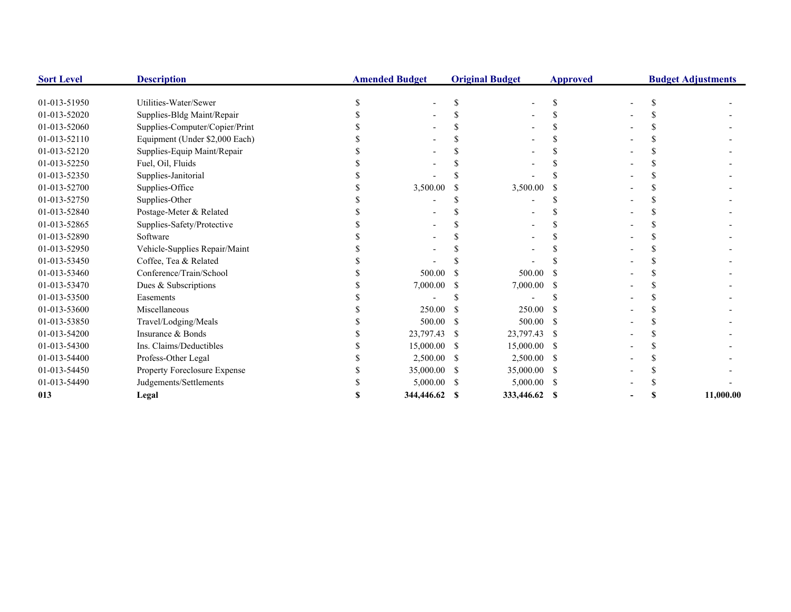| <b>Sort Level</b> | <b>Description</b>             | <b>Amended Budget</b><br><b>Original Budget</b> |               |             | <b>Approved</b> |  | <b>Budget Adjustments</b> |           |
|-------------------|--------------------------------|-------------------------------------------------|---------------|-------------|-----------------|--|---------------------------|-----------|
| 01-013-51950      | Utilities-Water/Sewer          |                                                 |               |             |                 |  |                           |           |
| 01-013-52020      | Supplies-Bldg Maint/Repair     |                                                 |               |             |                 |  |                           |           |
| 01-013-52060      | Supplies-Computer/Copier/Print |                                                 |               |             |                 |  |                           |           |
| 01-013-52110      | Equipment (Under \$2,000 Each) |                                                 |               |             |                 |  |                           |           |
| 01-013-52120      | Supplies-Equip Maint/Repair    |                                                 |               |             |                 |  |                           |           |
| 01-013-52250      | Fuel, Oil, Fluids              |                                                 |               |             |                 |  |                           |           |
| 01-013-52350      | Supplies-Janitorial            |                                                 |               |             |                 |  |                           |           |
| 01-013-52700      | Supplies-Office                | 3,500.00                                        |               | 3,500.00    |                 |  |                           |           |
| 01-013-52750      | Supplies-Other                 |                                                 |               |             |                 |  |                           |           |
| 01-013-52840      | Postage-Meter & Related        |                                                 |               |             |                 |  |                           |           |
| 01-013-52865      | Supplies-Safety/Protective     |                                                 |               |             |                 |  |                           |           |
| 01-013-52890      | Software                       |                                                 |               |             |                 |  |                           |           |
| 01-013-52950      | Vehicle-Supplies Repair/Maint  |                                                 |               |             |                 |  |                           |           |
| 01-013-53450      | Coffee, Tea & Related          |                                                 |               |             |                 |  |                           |           |
| 01-013-53460      | Conference/Train/School        | 500.00                                          |               | 500.00      |                 |  |                           |           |
| 01-013-53470      | Dues & Subscriptions           | 7,000.00                                        |               | 7,000.00    |                 |  |                           |           |
| 01-013-53500      | Easements                      |                                                 |               |             |                 |  |                           |           |
| 01-013-53600      | Miscellaneous                  | 250.00                                          |               | 250.00      |                 |  |                           |           |
| 01-013-53850      | Travel/Lodging/Meals           | 500.00                                          |               | 500.00      |                 |  |                           |           |
| 01-013-54200      | Insurance & Bonds              | 23,797.43                                       | <sup>\$</sup> | 23,797.43   |                 |  |                           |           |
| 01-013-54300      | Ins. Claims/Deductibles        | 15,000.00                                       |               | 15,000.00   |                 |  |                           |           |
| 01-013-54400      | Profess-Other Legal            | 2,500.00                                        |               | 2,500.00 \$ |                 |  |                           |           |
| 01-013-54450      | Property Foreclosure Expense   | 35,000.00                                       |               | 35,000.00   |                 |  |                           |           |
| 01-013-54490      | Judgements/Settlements         | 5,000.00                                        |               | 5,000.00    |                 |  |                           |           |
| 013               | Legal                          | 344,446.62                                      |               | 333,446.62  |                 |  |                           | 11,000.00 |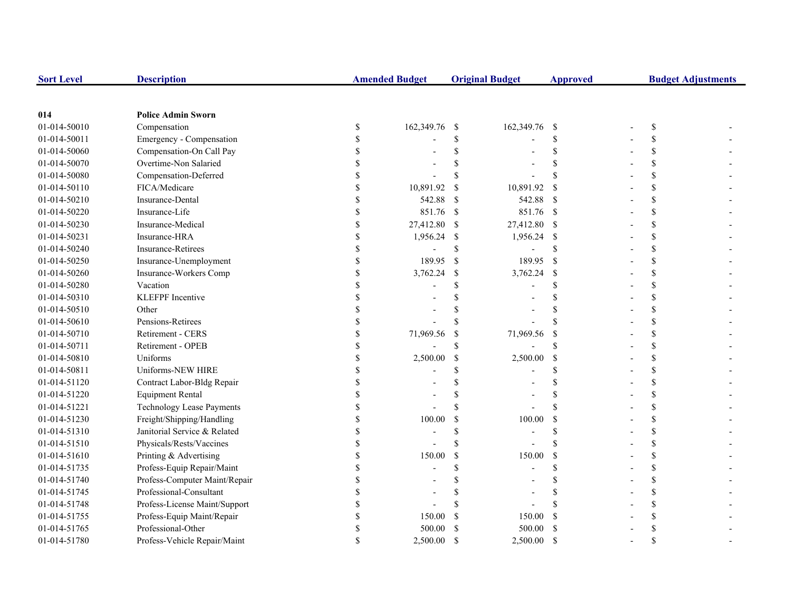| <b>Sort Level</b> | <b>Description</b>               | <b>Amended Budget</b> |               | <b>Original Budget</b> | <b>Approved</b>    | <b>Budget Adjustments</b> |               |  |
|-------------------|----------------------------------|-----------------------|---------------|------------------------|--------------------|---------------------------|---------------|--|
|                   |                                  |                       |               |                        |                    |                           |               |  |
| 014               | <b>Police Admin Sworn</b>        |                       |               |                        |                    |                           |               |  |
| 01-014-50010      | Compensation                     | \$<br>162,349.76 \$   |               | 162,349.76 \$          |                    |                           | $\mathbb{S}$  |  |
| 01-014-50011      | Emergency - Compensation         | \$                    | \$            |                        | <sup>\$</sup>      |                           | $\mathcal{S}$ |  |
| 01-014-50060      | Compensation-On Call Pay         | \$                    | \$            |                        | \$                 |                           | \$            |  |
| 01-014-50070      | Overtime-Non Salaried            | \$                    |               |                        |                    |                           | <sup>\$</sup> |  |
| 01-014-50080      | Compensation-Deferred            | \$                    |               |                        |                    |                           | <sup>\$</sup> |  |
| 01-014-50110      | FICA/Medicare                    | \$<br>10,891.92       | <sup>\$</sup> | 10,891.92              | -\$                |                           | $\mathcal{S}$ |  |
| 01-014-50210      | Insurance-Dental                 | \$<br>542.88          | <sup>\$</sup> | 542.88                 | - \$               |                           | \$            |  |
| 01-014-50220      | Insurance-Life                   | \$<br>851.76 \$       |               | 851.76 \$              |                    |                           | \$            |  |
| 01-014-50230      | Insurance-Medical                | \$<br>27,412.80       | <sup>\$</sup> | 27,412.80              | -S                 |                           | \$            |  |
| 01-014-50231      | Insurance-HRA                    | \$<br>1,956.24        | <sup>\$</sup> | 1,956.24 \$            |                    |                           | $\mathcal{S}$ |  |
| 01-014-50240      | <b>Insurance-Retirees</b>        | \$                    | \$            |                        | <sup>\$</sup>      |                           | $\mathcal{S}$ |  |
| 01-014-50250      | Insurance-Unemployment           | \$<br>189.95          | <sup>S</sup>  | 189.95                 | -S                 |                           | \$            |  |
| 01-014-50260      | Insurance-Workers Comp           | \$<br>3,762.24        | <sup>\$</sup> | 3,762.24               | $\mathcal{S}$      |                           | $\mathcal{S}$ |  |
| 01-014-50280      | Vacation                         | \$                    | \$.           |                        | \$                 |                           | \$            |  |
| 01-014-50310      | <b>KLEFPF</b> Incentive          | \$                    |               |                        |                    |                           | \$            |  |
| 01-014-50510      | Other                            | \$                    |               |                        |                    |                           | <sup>\$</sup> |  |
| 01-014-50610      | Pensions-Retirees                | \$                    |               |                        |                    |                           | \$            |  |
| 01-014-50710      | Retirement - CERS                | \$<br>71,969.56       |               | 71,969.56              | $\mathcal{S}$      |                           | \$            |  |
| 01-014-50711      | Retirement - OPEB                | \$                    | \$.           |                        | S                  |                           | \$            |  |
| 01-014-50810      | Uniforms                         | \$<br>2,500.00        | \$            | 2,500.00               | $\mathcal{S}$      |                           | $\mathbb{S}$  |  |
| 01-014-50811      | Uniforms-NEW HIRE                | \$                    | \$            |                        | \$.                |                           | $\mathbb{S}$  |  |
| 01-014-51120      | Contract Labor-Bldg Repair       | \$                    |               |                        | \$.                |                           | $\mathcal{S}$ |  |
| 01-014-51220      | <b>Equipment Rental</b>          | \$                    |               |                        |                    |                           | \$            |  |
| 01-014-51221      | <b>Technology Lease Payments</b> | \$                    |               |                        |                    |                           | $\mathcal{S}$ |  |
| 01-014-51230      | Freight/Shipping/Handling        | \$<br>100.00          | \$            | 100.00                 | <sup>\$</sup>      |                           | <sup>\$</sup> |  |
| 01-014-51310      | Janitorial Service & Related     | \$                    | \$.           | $\frac{1}{2}$          | \$                 |                           | \$            |  |
| 01-014-51510      | Physicals/Rests/Vaccines         | \$                    |               |                        | S                  |                           | \$            |  |
| 01-014-51610      | Printing & Advertising           | \$<br>150.00          | <sup>\$</sup> | 150.00                 | \$                 |                           | <sup>\$</sup> |  |
| 01-014-51735      | Profess-Equip Repair/Maint       | \$                    | S             |                        | $\mathbf{\hat{S}}$ |                           | \$            |  |
| 01-014-51740      | Profess-Computer Maint/Repair    | \$                    |               |                        |                    |                           | \$            |  |
| 01-014-51745      | Professional-Consultant          | \$                    |               |                        |                    |                           | \$            |  |
| 01-014-51748      | Profess-License Maint/Support    | \$                    |               |                        |                    |                           | $\mathbb{S}$  |  |
| 01-014-51755      | Profess-Equip Maint/Repair       | \$<br>150.00          |               | 150.00                 | <sup>\$</sup>      |                           | $\mathcal{S}$ |  |
| 01-014-51765      | Professional-Other               | \$<br>500.00          |               | 500.00                 | <sup>\$</sup>      |                           | $\mathcal{S}$ |  |
| 01-014-51780      | Profess-Vehicle Repair/Maint     | \$<br>2,500.00        | <sup>\$</sup> | 2,500.00               | -\$                |                           | $\mathcal{S}$ |  |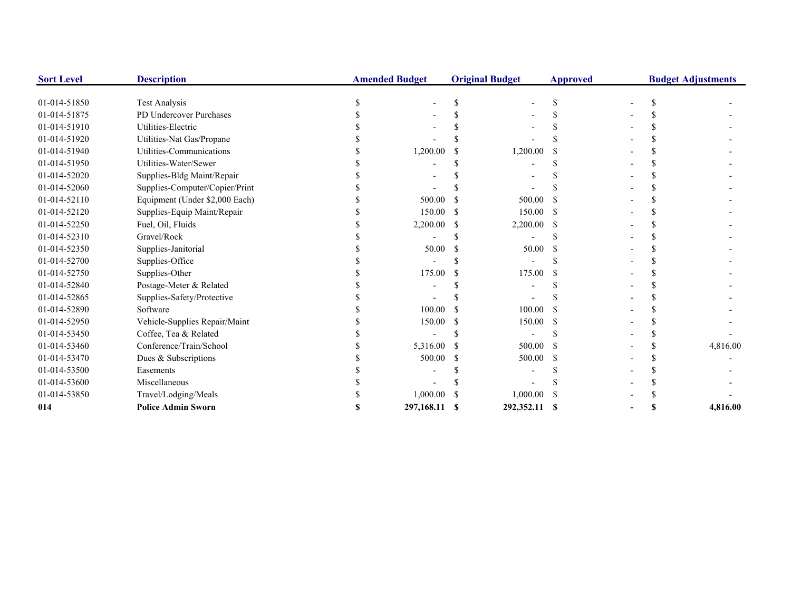| <b>Sort Level</b> | <b>Description</b>             | <b>Amended Budget</b> |     | <b>Original Budget</b> | <b>Approved</b> |  | <b>Budget Adjustments</b> |
|-------------------|--------------------------------|-----------------------|-----|------------------------|-----------------|--|---------------------------|
| 01-014-51850      | <b>Test Analysis</b>           |                       |     |                        |                 |  |                           |
| 01-014-51875      | PD Undercover Purchases        |                       |     |                        |                 |  |                           |
| 01-014-51910      | Utilities-Electric             |                       |     |                        |                 |  |                           |
| 01-014-51920      | Utilities-Nat Gas/Propane      |                       |     |                        |                 |  |                           |
| 01-014-51940      | Utilities-Communications       | 1,200.00              |     | 1,200.00               |                 |  |                           |
| 01-014-51950      | Utilities-Water/Sewer          |                       |     |                        |                 |  |                           |
| 01-014-52020      | Supplies-Bldg Maint/Repair     |                       |     |                        |                 |  |                           |
| 01-014-52060      | Supplies-Computer/Copier/Print |                       |     |                        |                 |  |                           |
| 01-014-52110      | Equipment (Under \$2,000 Each) | 500.00                |     | 500.00                 |                 |  |                           |
| 01-014-52120      | Supplies-Equip Maint/Repair    | 150.00                |     | 150.00                 |                 |  |                           |
| 01-014-52250      | Fuel, Oil, Fluids              | 2,200.00              |     | 2,200.00               |                 |  |                           |
| 01-014-52310      | Gravel/Rock                    |                       |     |                        |                 |  |                           |
| 01-014-52350      | Supplies-Janitorial            | 50.00                 |     | 50.00                  |                 |  |                           |
| 01-014-52700      | Supplies-Office                |                       |     |                        |                 |  |                           |
| 01-014-52750      | Supplies-Other                 | 175.00                |     | 175.00                 |                 |  |                           |
| 01-014-52840      | Postage-Meter & Related        |                       |     |                        |                 |  |                           |
| 01-014-52865      | Supplies-Safety/Protective     |                       |     |                        |                 |  |                           |
| 01-014-52890      | Software                       | 100.00                |     | 100.00                 |                 |  |                           |
| 01-014-52950      | Vehicle-Supplies Repair/Maint  | 150.00                |     | 150.00                 |                 |  |                           |
| 01-014-53450      | Coffee, Tea & Related          |                       |     |                        |                 |  |                           |
| 01-014-53460      | Conference/Train/School        | 5,316.00              |     | 500.00                 |                 |  | 4,816.00                  |
| 01-014-53470      | Dues & Subscriptions           | 500.00                |     | 500.00                 |                 |  |                           |
| 01-014-53500      | Easements                      |                       |     |                        |                 |  |                           |
| 01-014-53600      | Miscellaneous                  |                       |     |                        |                 |  |                           |
| 01-014-53850      | Travel/Lodging/Meals           | 1,000.00              |     | 1,000.00               |                 |  |                           |
| 014               | <b>Police Admin Sworn</b>      | 297,168.11            | - S | 292,352.11             | S               |  | 4,816.00                  |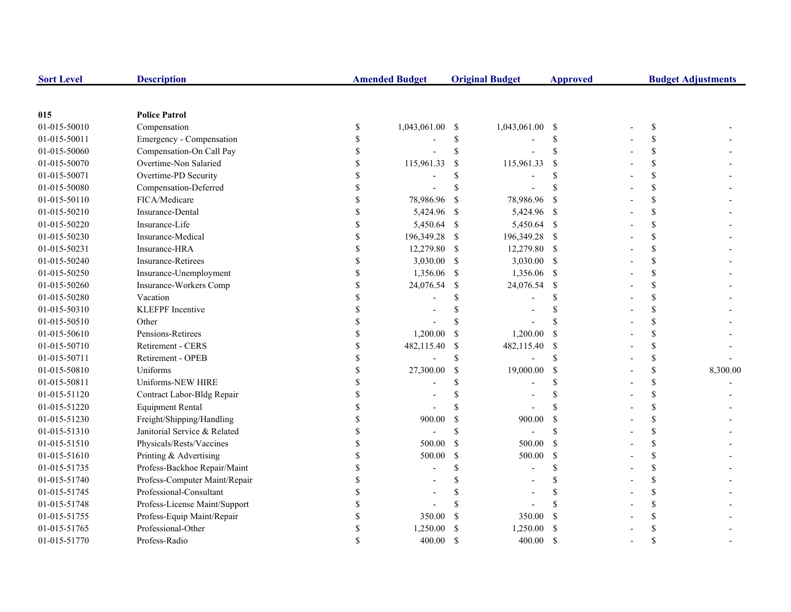| <b>Sort Level</b> | <b>Description</b>            |      | <b>Amended Budget</b> |               | <b>Original Budget</b> | <b>Approved</b>    | <b>Budget Adjustments</b> |              |          |
|-------------------|-------------------------------|------|-----------------------|---------------|------------------------|--------------------|---------------------------|--------------|----------|
|                   |                               |      |                       |               |                        |                    |                           |              |          |
| 015               | <b>Police Patrol</b>          |      |                       |               |                        |                    |                           |              |          |
| 01-015-50010      | Compensation                  | $\$$ | 1,043,061.00          | -\$           | 1,043,061.00           | -S                 |                           | $\mathbb{S}$ |          |
| 01-015-50011      | Emergency - Compensation      | \$   |                       | \$            |                        | \$                 |                           | \$           |          |
| 01-015-50060      | Compensation-On Call Pay      | \$   |                       | \$            |                        | $\mathbf{\hat{s}}$ |                           | \$           |          |
| 01-015-50070      | Overtime-Non Salaried         |      | 115,961.33            | <sup>\$</sup> | 115,961.33             | <sup>\$</sup>      |                           | \$           |          |
| 01-015-50071      | Overtime-PD Security          |      |                       | S             |                        | <sup>\$</sup>      |                           | \$           |          |
| 01-015-50080      | Compensation-Deferred         |      |                       |               |                        | $\mathcal{S}$      |                           | \$           |          |
| 01-015-50110      | FICA/Medicare                 |      | 78,986.96             | <sup>\$</sup> | 78,986.96              | <sup>S</sup>       |                           | \$           |          |
| 01-015-50210      | <b>Insurance-Dental</b>       |      | 5,424.96              | -S            | 5,424.96 \$            |                    |                           | \$           |          |
| 01-015-50220      | Insurance-Life                |      | 5,450.64              | -\$           | 5,450.64 \$            |                    |                           | \$           |          |
| 01-015-50230      | Insurance-Medical             | \$   | 196,349.28            | <sup>\$</sup> | 196,349.28 \$          |                    |                           | \$           |          |
| 01-015-50231      | Insurance-HRA                 | \$   | 12,279.80             | <sup>\$</sup> | 12,279.80 \$           |                    |                           | \$           |          |
| 01-015-50240      | <b>Insurance-Retirees</b>     | \$   | 3,030.00              | -S            | 3,030.00 \$            |                    |                           | \$           |          |
| 01-015-50250      | Insurance-Unemployment        | \$   | 1,356.06              | -S            | 1,356.06 \$            |                    |                           | \$           |          |
| 01-015-50260      | Insurance-Workers Comp        |      | 24,076.54             | -S            | 24,076.54              | $\mathcal{S}$      |                           | \$           |          |
| 01-015-50280      | Vacation                      |      |                       | \$.           |                        | <sup>\$</sup>      |                           | \$           |          |
| 01-015-50310      | <b>KLEFPF</b> Incentive       |      |                       |               |                        | <sup>\$</sup>      |                           | \$           |          |
| 01-015-50510      | Other                         |      |                       |               |                        | <b>S</b>           |                           | \$           |          |
| 01-015-50610      | Pensions-Retirees             |      | 1,200.00              | -S            | 1,200.00               | <sup>\$</sup>      |                           | \$           |          |
| 01-015-50710      | Retirement - CERS             |      | 482,115.40            | -\$           | 482,115.40             | <sup>S</sup>       |                           | \$           |          |
| 01-015-50711      | Retirement - OPEB             | \$.  |                       | \$            |                        | <sup>\$</sup>      |                           | \$           |          |
| 01-015-50810      | Uniforms                      | \$   | 27,300.00             | <sup>\$</sup> | 19,000.00              | <sup>\$</sup>      |                           | \$           | 8,300.00 |
| 01-015-50811      | Uniforms-NEW HIRE             | \$   |                       |               |                        | <sup>\$</sup>      |                           | \$           |          |
| 01-015-51120      | Contract Labor-Bldg Repair    |      |                       |               |                        | <sup>\$</sup>      |                           | \$           |          |
| 01-015-51220      | <b>Equipment Rental</b>       |      |                       |               |                        | $\mathcal{S}$      |                           | \$           |          |
| 01-015-51230      | Freight/Shipping/Handling     |      | 900.00                | <sup>\$</sup> | 900.00                 | <sup>\$</sup>      |                           | \$           |          |
| 01-015-51310      | Janitorial Service & Related  |      |                       | \$            |                        | $\mathcal{S}$      |                           | \$           |          |
| 01-015-51510      | Physicals/Rests/Vaccines      |      | 500.00                | <sup>\$</sup> | 500.00                 | $\mathcal{S}$      |                           | \$           |          |
| 01-015-51610      | Printing & Advertising        |      | 500.00                | $\mathcal{S}$ | 500.00                 | $\mathbf S$        |                           | \$           |          |
| 01-015-51735      | Profess-Backhoe Repair/Maint  |      |                       | \$            |                        | <sup>\$</sup>      |                           | \$           |          |
| 01-015-51740      | Profess-Computer Maint/Repair |      |                       | \$            |                        | \$.                |                           | \$           |          |
| 01-015-51745      | Professional-Consultant       | S    |                       |               |                        | <sup>\$</sup>      |                           | \$           |          |
| 01-015-51748      | Profess-License Maint/Support | \$   |                       |               |                        | <sup>\$</sup>      |                           | \$           |          |
| 01-015-51755      | Profess-Equip Maint/Repair    |      | 350.00                | <sup>\$</sup> | 350.00                 | <sup>\$</sup>      |                           | \$           |          |
| 01-015-51765      | Professional-Other            |      | 1,250.00              | <sup>\$</sup> | 1,250.00               | <sup>\$</sup>      |                           | \$           |          |
| 01-015-51770      | Profess-Radio                 |      | 400.00                | -\$           | 400.00                 | $\mathcal{S}$      |                           | \$           |          |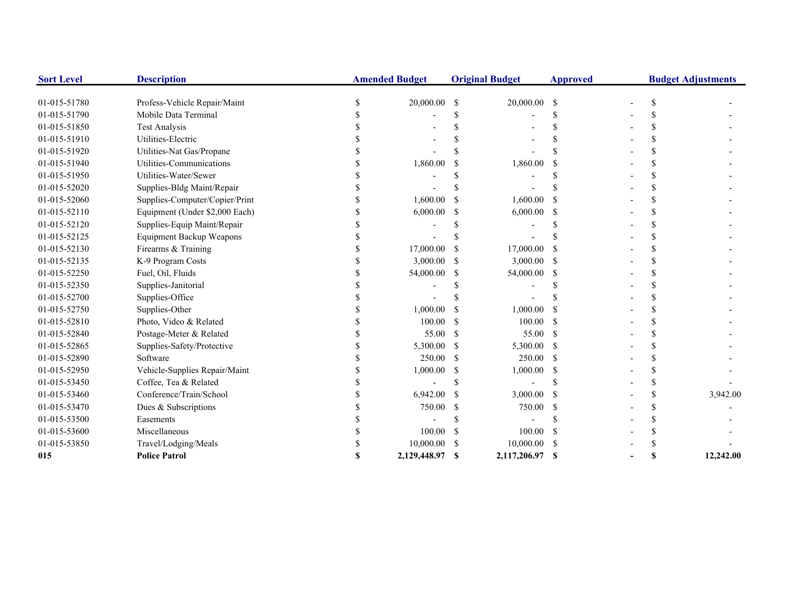| <b>Sort Level</b> | <b>Description</b>              | <b>Amended Budget</b> |     | <b>Original Budget</b> | <b>Approved</b> |  | <b>Budget Adjustments</b> |
|-------------------|---------------------------------|-----------------------|-----|------------------------|-----------------|--|---------------------------|
| 01-015-51780      | Profess-Vehicle Repair/Maint    | 20,000.00             | -S  | 20,000.00 \$           |                 |  |                           |
| 01-015-51790      | Mobile Data Terminal            |                       |     |                        |                 |  |                           |
| 01-015-51850      | <b>Test Analysis</b>            |                       |     |                        |                 |  |                           |
| 01-015-51910      | Utilities-Electric              |                       |     |                        |                 |  |                           |
| 01-015-51920      | Utilities-Nat Gas/Propane       |                       |     |                        |                 |  |                           |
| 01-015-51940      | Utilities-Communications        | 1,860.00              |     | 1,860.00               |                 |  |                           |
| 01-015-51950      | Utilities-Water/Sewer           |                       |     |                        |                 |  |                           |
| 01-015-52020      | Supplies-Bldg Maint/Repair      |                       |     |                        |                 |  |                           |
| 01-015-52060      | Supplies-Computer/Copier/Print  | 1,600.00              | \$. | 1,600.00               |                 |  |                           |
| 01-015-52110      | Equipment (Under \$2,000 Each)  | 6,000.00              | \$  | 6,000.00               |                 |  |                           |
| 01-015-52120      | Supplies-Equip Maint/Repair     |                       |     |                        |                 |  |                           |
| 01-015-52125      | <b>Equipment Backup Weapons</b> |                       |     |                        |                 |  |                           |
| 01-015-52130      | Firearms & Training             | 17,000.00             |     | 17,000.00              |                 |  |                           |
| 01-015-52135      | K-9 Program Costs               | 3,000.00              |     | 3,000.00               |                 |  |                           |
| 01-015-52250      | Fuel, Oil, Fluids               | 54,000.00             | S   | 54,000.00              |                 |  |                           |
| 01-015-52350      | Supplies-Janitorial             |                       |     |                        |                 |  |                           |
| 01-015-52700      | Supplies-Office                 |                       |     |                        |                 |  |                           |
| 01-015-52750      | Supplies-Other                  | 1,000.00              |     | 1,000.00               |                 |  |                           |
| 01-015-52810      | Photo, Video & Related          | 100.00                | \$. | 100.00                 |                 |  |                           |
| 01-015-52840      | Postage-Meter & Related         | 55.00                 | -S  | 55.00                  | -S              |  |                           |
| 01-015-52865      | Supplies-Safety/Protective      | 5,300.00              | -S  | 5,300.00 \$            |                 |  |                           |
| 01-015-52890      | Software                        | 250.00                | £.  | 250.00                 |                 |  |                           |
| 01-015-52950      | Vehicle-Supplies Repair/Maint   | 1,000.00              | \$  | 1,000.00               |                 |  |                           |
| 01-015-53450      | Coffee, Tea & Related           |                       |     |                        |                 |  |                           |
| 01-015-53460      | Conference/Train/School         | 6,942.00              |     | 3,000.00               |                 |  | 3,942.00                  |
| 01-015-53470      | Dues & Subscriptions            | 750.00                | \$. | 750.00                 |                 |  |                           |
| 01-015-53500      | Easements                       |                       |     |                        |                 |  |                           |
| 01-015-53600      | Miscellaneous                   | 100.00                | \$  | 100.00                 |                 |  |                           |
| 01-015-53850      | Travel/Lodging/Meals            | 10,000.00             |     | 10,000.00              |                 |  |                           |
| 015               | <b>Police Patrol</b>            | 2,129,448.97          | -8  | 2,117,206.97           |                 |  | 12,242.00                 |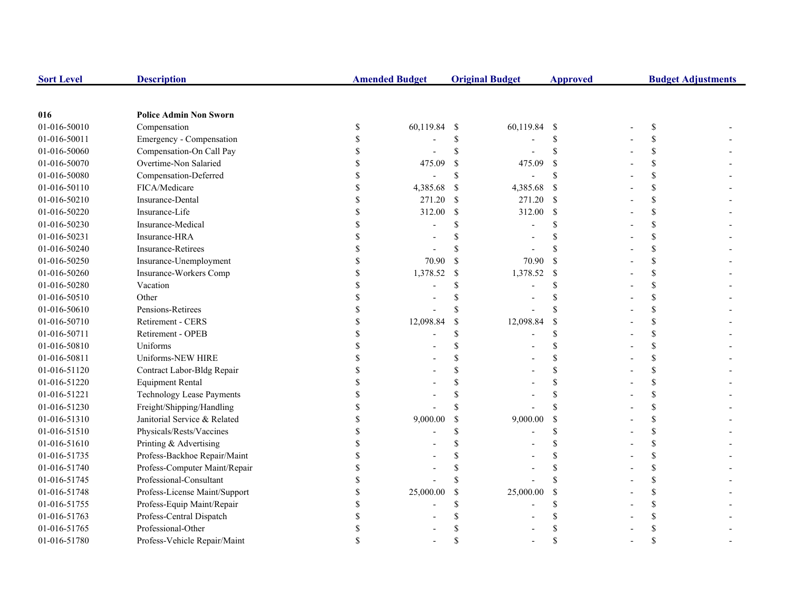| <b>Sort Level</b> | <b>Description</b>            |             | <b>Amended Budget</b> |               | <b>Original Budget</b> | <b>Approved</b> |               | <b>Budget Adjustments</b> |
|-------------------|-------------------------------|-------------|-----------------------|---------------|------------------------|-----------------|---------------|---------------------------|
|                   |                               |             |                       |               |                        |                 |               |                           |
| 016               | <b>Police Admin Non Sworn</b> |             |                       |               |                        |                 |               |                           |
| 01-016-50010      | Compensation                  | \$          | 60,119.84             | <sup>\$</sup> | 60,119.84 \$           |                 | \$            |                           |
| 01-016-50011      | Emergency - Compensation      | \$          |                       | \$            |                        | \$              | \$            |                           |
| 01-016-50060      | Compensation-On Call Pay      | \$          |                       | \$            |                        | $\mathbf S$     | \$            |                           |
| 01-016-50070      | Overtime-Non Salaried         | \$          | 475.09                | \$            | 475.09                 | \$              | <sup>\$</sup> |                           |
| 01-016-50080      | Compensation-Deferred         | \$          |                       | \$            |                        | <sup>\$</sup>   | <sup>\$</sup> |                           |
| 01-016-50110      | FICA/Medicare                 | \$          | 4,385.68              | <sup>\$</sup> | 4,385.68               | -\$             | \$            |                           |
| 01-016-50210      | Insurance-Dental              | \$          | 271.20                | <sup>\$</sup> | 271.20                 | -S              | \$            |                           |
| 01-016-50220      | Insurance-Life                | \$          | 312.00                | <sup>\$</sup> | 312.00                 | <sup>S</sup>    | \$            |                           |
| 01-016-50230      | Insurance-Medical             | \$          |                       | \$.           |                        |                 | \$            |                           |
| 01-016-50231      | Insurance-HRA                 | \$          |                       |               |                        |                 | \$            |                           |
| 01-016-50240      | Insurance-Retirees            | \$          |                       |               |                        |                 | \$            |                           |
| 01-016-50250      | Insurance-Unemployment        | \$          | 70.90                 | <sup>\$</sup> | 70.90                  | $\mathcal{S}$   | \$            |                           |
| 01-016-50260      | Insurance-Workers Comp        | \$          | 1,378.52              | $\mathcal{S}$ | 1,378.52               | \$              | \$            |                           |
| 01-016-50280      | Vacation                      |             |                       | S             |                        |                 | \$            |                           |
| 01-016-50510      | Other                         |             |                       |               |                        |                 | \$            |                           |
| 01-016-50610      | Pensions-Retirees             | \$          |                       |               |                        |                 | \$            |                           |
| 01-016-50710      | Retirement - CERS             | \$          | 12,098.84             | <sup>\$</sup> | 12,098.84              | <sup>\$</sup>   | \$            |                           |
| 01-016-50711      | Retirement - OPEB             | \$          |                       | \$            |                        |                 | \$            |                           |
| 01-016-50810      | Uniforms                      | $\mathbf S$ |                       |               |                        |                 | \$            |                           |
| 01-016-50811      | Uniforms-NEW HIRE             |             |                       |               |                        |                 | \$            |                           |
| 01-016-51120      | Contract Labor-Bldg Repair    |             |                       |               |                        |                 | \$            |                           |
| 01-016-51220      | <b>Equipment Rental</b>       | \$          |                       |               |                        |                 | \$            |                           |
| 01-016-51221      | Technology Lease Payments     | \$          |                       |               |                        |                 | \$            |                           |
| 01-016-51230      | Freight/Shipping/Handling     | \$          |                       |               |                        |                 | \$            |                           |
| 01-016-51310      | Janitorial Service & Related  | \$          | 9,000.00              | \$            | 9,000.00               | \$              | $\mathbb{S}$  |                           |
| 01-016-51510      | Physicals/Rests/Vaccines      | \$          |                       | \$            |                        | \$              | <sup>\$</sup> |                           |
| 01-016-51610      | Printing & Advertising        |             |                       |               |                        |                 | <sup>\$</sup> |                           |
| 01-016-51735      | Profess-Backhoe Repair/Maint  | \$          |                       |               |                        |                 | $\mathcal{S}$ |                           |
| 01-016-51740      | Profess-Computer Maint/Repair | \$          |                       |               |                        |                 | <sup>\$</sup> |                           |
| 01-016-51745      | Professional-Consultant       | \$          |                       |               |                        |                 | $\mathsf{\$}$ |                           |
| 01-016-51748      | Profess-License Maint/Support | \$          | 25,000.00             | \$            | 25,000.00              | <sup>\$</sup>   | <sup>\$</sup> |                           |
| 01-016-51755      | Profess-Equip Maint/Repair    | \$          |                       | \$            |                        |                 | \$            |                           |
| 01-016-51763      | Profess-Central Dispatch      | \$          |                       |               |                        |                 | S             |                           |
| 01-016-51765      | Professional-Other            |             |                       |               |                        |                 | <sup>\$</sup> |                           |
| 01-016-51780      | Profess-Vehicle Repair/Maint  | \$          |                       | S             |                        |                 | $\mathcal{S}$ |                           |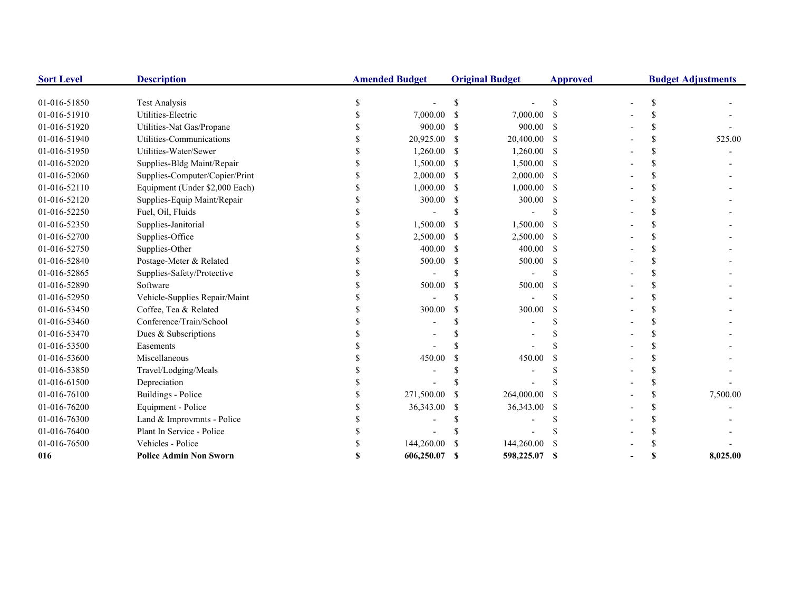| <b>Sort Level</b> | <b>Description</b>             | <b>Amended Budget</b> |               | <b>Original Budget</b> | <b>Approved</b> |    | <b>Budget Adjustments</b> |
|-------------------|--------------------------------|-----------------------|---------------|------------------------|-----------------|----|---------------------------|
| 01-016-51850      | <b>Test Analysis</b>           |                       |               |                        |                 |    |                           |
| 01-016-51910      | Utilities-Electric             | 7,000.00              |               | 7,000.00               |                 |    |                           |
| 01-016-51920      | Utilities-Nat Gas/Propane      | 900.00                | S.            | 900.00                 |                 |    |                           |
| 01-016-51940      | Utilities-Communications       | 20,925.00             | -S            | 20,400.00 \$           |                 |    | 525.00                    |
| 01-016-51950      | Utilities-Water/Sewer          | 1,260.00              |               | $1,260.00$ \$          |                 |    |                           |
| 01-016-52020      | Supplies-Bldg Maint/Repair     | 1,500.00              |               | 1,500.00 \$            |                 |    |                           |
| 01-016-52060      | Supplies-Computer/Copier/Print | 2,000.00              | -S            | $2,000.00$ \$          |                 |    |                           |
| 01-016-52110      | Equipment (Under \$2,000 Each) | 1,000.00              |               | 1,000.00               |                 |    |                           |
| 01-016-52120      | Supplies-Equip Maint/Repair    | 300.00                | <sup>\$</sup> | 300.00                 | -S              |    |                           |
| 01-016-52250      | Fuel, Oil, Fluids              |                       |               |                        |                 |    |                           |
| 01-016-52350      | Supplies-Janitorial            | 1,500.00              |               | 1,500.00               |                 |    |                           |
| 01-016-52700      | Supplies-Office                | 2,500.00              |               | 2,500.00               |                 |    |                           |
| 01-016-52750      | Supplies-Other                 | 400.00                |               | 400.00                 |                 |    |                           |
| 01-016-52840      | Postage-Meter & Related        | 500.00                | <sup>\$</sup> | 500.00                 |                 |    |                           |
| 01-016-52865      | Supplies-Safety/Protective     |                       |               |                        |                 |    |                           |
| 01-016-52890      | Software                       | 500.00                |               | 500.00                 |                 |    |                           |
| 01-016-52950      | Vehicle-Supplies Repair/Maint  |                       |               |                        |                 |    |                           |
| 01-016-53450      | Coffee, Tea & Related          | 300.00                |               | 300.00                 | <sup>\$</sup>   |    |                           |
| 01-016-53460      | Conference/Train/School        |                       |               |                        |                 |    |                           |
| 01-016-53470      | Dues & Subscriptions           |                       |               |                        |                 |    |                           |
| 01-016-53500      | Easements                      |                       |               |                        |                 |    |                           |
| 01-016-53600      | Miscellaneous                  | 450.00                |               | 450.00                 |                 |    |                           |
| 01-016-53850      | Travel/Lodging/Meals           |                       |               |                        |                 |    |                           |
| 01-016-61500      | Depreciation                   |                       |               |                        |                 |    |                           |
| 01-016-76100      | Buildings - Police             | 271,500.00            |               | 264,000.00             |                 | \$ | 7,500.00                  |
| 01-016-76200      | Equipment - Police             | 36,343.00             |               | 36,343.00              |                 |    |                           |
| 01-016-76300      | Land & Improvmnts - Police     |                       |               |                        |                 |    |                           |
| 01-016-76400      | Plant In Service - Police      |                       |               |                        |                 |    |                           |
| 01-016-76500      | Vehicles - Police              | 144,260.00            |               | 144,260.00             |                 |    |                           |
| 016               | <b>Police Admin Non Sworn</b>  | 606,250.07            |               | 598,225.07             |                 |    | 8.025.00                  |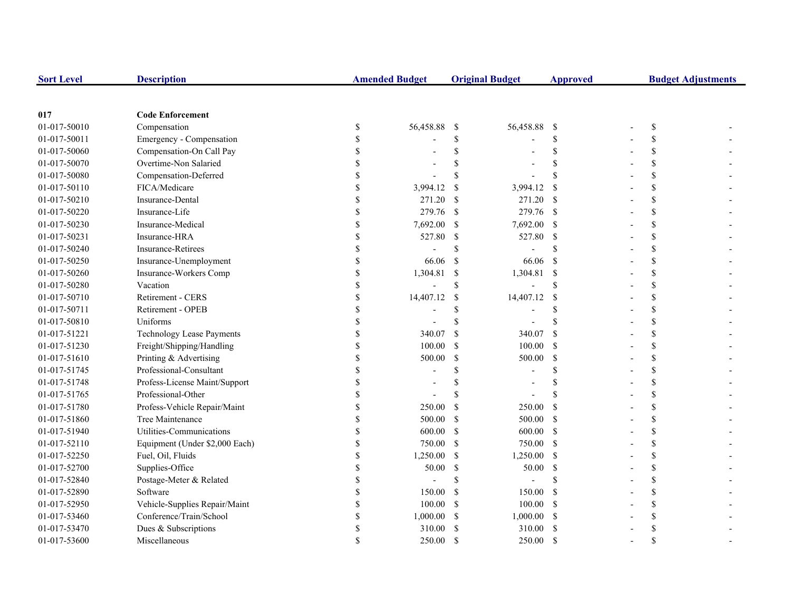| <b>Sort Level</b> | <b>Description</b>               |              | <b>Amended Budget</b> |               | <b>Original Budget</b> | <b>Approved</b>           |               | <b>Budget Adjustments</b> |
|-------------------|----------------------------------|--------------|-----------------------|---------------|------------------------|---------------------------|---------------|---------------------------|
|                   |                                  |              |                       |               |                        |                           |               |                           |
| 017               | <b>Code Enforcement</b>          |              |                       |               |                        |                           |               |                           |
| 01-017-50010      | Compensation                     | $\mathbb{S}$ | 56,458.88             | -\$           | 56,458.88              | $\mathbf{s}$              | \$            |                           |
| 01-017-50011      | Emergency - Compensation         | \$           |                       | \$            |                        | $\mathbf S$               | <sup>\$</sup> |                           |
| 01-017-50060      | Compensation-On Call Pay         | \$           |                       | \$            |                        | \$                        | \$            |                           |
| 01-017-50070      | Overtime-Non Salaried            | \$           |                       |               |                        | \$                        | \$            |                           |
| 01-017-50080      | Compensation-Deferred            | \$           |                       | \$            |                        | \$                        | \$            |                           |
| 01-017-50110      | FICA/Medicare                    | \$           | 3,994.12              | S             | 3,994.12               | -\$                       | \$            |                           |
| 01-017-50210      | Insurance-Dental                 | $\mathbb{S}$ | 271.20                | <sup>\$</sup> | 271.20 \$              |                           | \$            |                           |
| 01-017-50220      | Insurance-Life                   | \$           | 279.76 \$             |               | 279.76 \$              |                           | \$            |                           |
| 01-017-50230      | Insurance-Medical                | \$           | 7,692.00              | <sup>\$</sup> | 7,692.00 \$            |                           | \$            |                           |
| 01-017-50231      | Insurance-HRA                    | \$           | 527.80                | <sup>\$</sup> | 527.80 \$              |                           | \$            |                           |
| 01-017-50240      | <b>Insurance-Retirees</b>        | \$           |                       | S             |                        | <sup>\$</sup>             | \$            |                           |
| 01-017-50250      | Insurance-Unemployment           | \$           | 66.06                 | $\mathcal{S}$ | 66.06                  | - \$                      | \$            |                           |
| 01-017-50260      | Insurance-Workers Comp           | \$           | 1,304.81              | \$            | 1,304.81 \$            |                           | \$            |                           |
| 01-017-50280      | Vacation                         | $\mathbb{S}$ |                       | \$            | $\overline{a}$         | <sup>\$</sup>             | \$            |                           |
| 01-017-50710      | Retirement - CERS                | \$           | 14,407.12             | \$            | 14,407.12              | $\boldsymbol{\mathsf{S}}$ | \$            |                           |
| 01-017-50711      | Retirement - OPEB                | \$           |                       | \$.           |                        | \$                        | \$            |                           |
| 01-017-50810      | Uniforms                         | $\mathbb{S}$ |                       |               |                        | \$.                       | \$            |                           |
| 01-017-51221      | <b>Technology Lease Payments</b> | \$           | 340.07                | <sup>\$</sup> | 340.07                 | <sup>\$</sup>             | \$            |                           |
| 01-017-51230      | Freight/Shipping/Handling        | \$           | 100.00                | <sup>\$</sup> | 100.00                 | -S                        | \$            |                           |
| 01-017-51610      | Printing & Advertising           | \$           | 500.00                | \$            | 500.00                 | -S                        | \$            |                           |
| 01-017-51745      | Professional-Consultant          | \$           |                       | \$.           | $\overline{a}$         | <sup>\$</sup>             | \$            |                           |
| 01-017-51748      | Profess-License Maint/Support    | \$           |                       | \$            |                        | <sup>\$</sup>             | \$            |                           |
| 01-017-51765      | Professional-Other               | \$           |                       |               |                        | \$.                       | \$            |                           |
| 01-017-51780      | Profess-Vehicle Repair/Maint     | \$           | 250.00                | <sup>\$</sup> | 250.00                 | <sup>\$</sup>             | \$            |                           |
| 01-017-51860      | Tree Maintenance                 | \$           | 500.00                | <sup>\$</sup> | 500.00                 | -S                        | \$            |                           |
| 01-017-51940      | Utilities-Communications         | \$           | 600.00                | $\mathcal{S}$ | 600.00 \$              |                           | \$            |                           |
| 01-017-52110      | Equipment (Under \$2,000 Each)   | \$           | 750.00                | $\mathcal{S}$ | 750.00 \$              |                           | \$            |                           |
| 01-017-52250      | Fuel, Oil, Fluids                | $\mathbb{S}$ | 1,250.00              | \$            | 1,250.00 \$            |                           | \$            |                           |
| 01-017-52700      | Supplies-Office                  | \$           | 50.00                 | \$            | 50.00 S                |                           | \$            |                           |
| 01-017-52840      | Postage-Meter & Related          | \$           |                       | \$.           | $\overline{a}$         | <b>S</b>                  | \$            |                           |
| 01-017-52890      | Software                         | \$           | 150.00                | <sup>\$</sup> | 150.00                 | <sup>\$</sup>             | \$            |                           |
| 01-017-52950      | Vehicle-Supplies Repair/Maint    | \$           | 100.00                | <sup>\$</sup> | $100.00$ \$            |                           | \$            |                           |
| 01-017-53460      | Conference/Train/School          | \$           | 1,000.00              | S             | $1,000.00$ \$          |                           | \$            |                           |
| 01-017-53470      | Dues & Subscriptions             | \$           | 310.00                | S.            | 310.00                 | - \$                      | \$            |                           |
| 01-017-53600      | Miscellaneous                    | \$           | 250.00                | -\$           | $250.00$ \$            |                           | \$            |                           |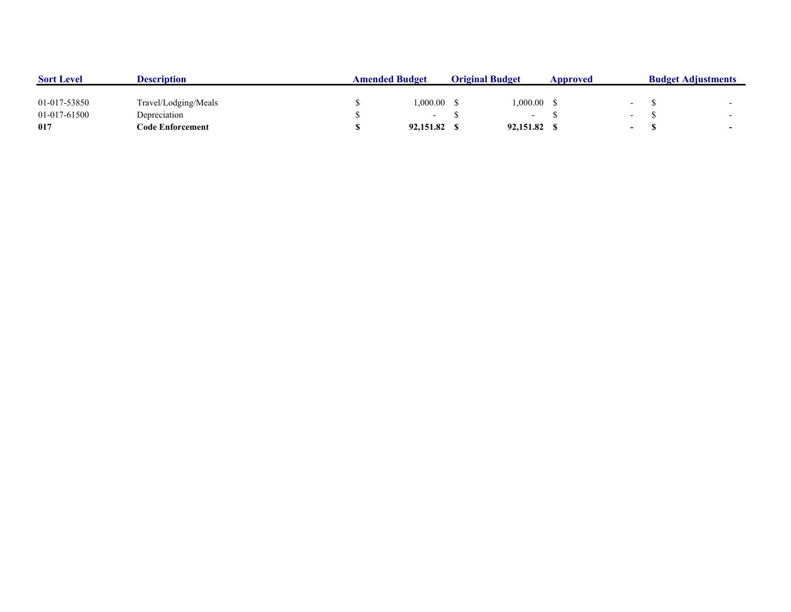| <b>Sort Level</b> | <b>Description</b>   | <b>Amended Budget</b> |                          | <b>Original Budget</b> |           | Approved | <b>Budget Adjustments</b> |  |  |
|-------------------|----------------------|-----------------------|--------------------------|------------------------|-----------|----------|---------------------------|--|--|
|                   |                      |                       |                          |                        |           |          |                           |  |  |
| 01-017-53850      | Travel/Lodging/Meals |                       | .000.00                  |                        | $0.000$ . |          | $\overline{\phantom{0}}$  |  |  |
| 01-017-61500      | Depreciation         |                       | $\overline{\phantom{0}}$ |                        |           |          |                           |  |  |
| 017               | Code Enforcement     |                       | 92,151.82                |                        | 92,151.82 |          | $\sim$                    |  |  |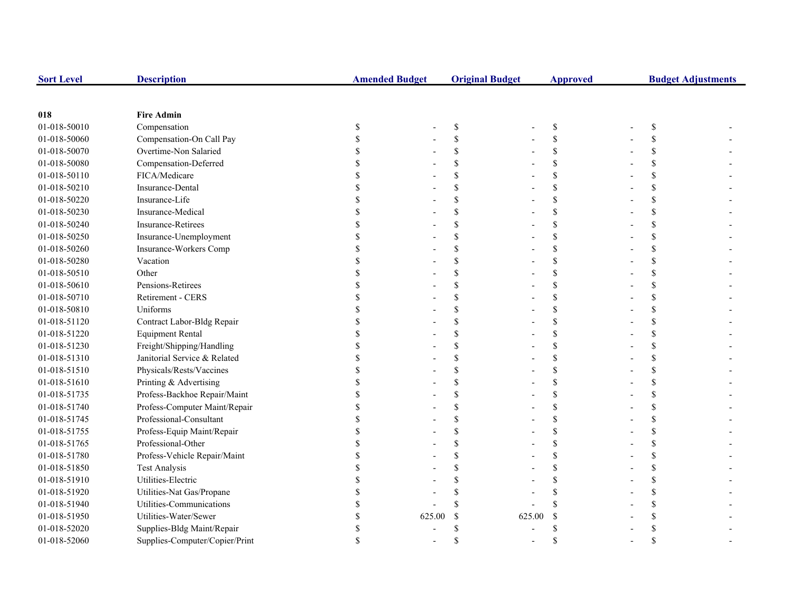| <b>Sort Level</b> | <b>Description</b>             | <b>Amended Budget</b> |        | <b>Original Budget</b> | <b>Approved</b> |    | <b>Budget Adjustments</b> |
|-------------------|--------------------------------|-----------------------|--------|------------------------|-----------------|----|---------------------------|
|                   |                                |                       |        |                        |                 |    |                           |
| 018               | <b>Fire Admin</b>              |                       |        |                        |                 |    |                           |
| 01-018-50010      | Compensation                   | <sup>\$</sup>         |        | \$                     | \$              | \$ |                           |
| 01-018-50060      | Compensation-On Call Pay       |                       |        |                        | \$              | \$ |                           |
| 01-018-50070      | Overtime-Non Salaried          |                       |        |                        | \$              | \$ |                           |
| 01-018-50080      | Compensation-Deferred          |                       |        |                        | \$              | \$ |                           |
| 01-018-50110      | FICA/Medicare                  |                       |        |                        | \$              | \$ |                           |
| 01-018-50210      | Insurance-Dental               |                       |        |                        | <sup>\$</sup>   | \$ |                           |
| 01-018-50220      | Insurance-Life                 |                       |        |                        | $\mathbf S$     | \$ |                           |
| 01-018-50230      | Insurance-Medical              |                       |        |                        |                 | \$ |                           |
| 01-018-50240      | <b>Insurance-Retirees</b>      |                       |        |                        | \$.             | \$ |                           |
| 01-018-50250      | Insurance-Unemployment         |                       |        | \$                     | <sup>\$</sup>   | \$ |                           |
| 01-018-50260      | Insurance-Workers Comp         |                       |        |                        | <sup>\$</sup>   | \$ |                           |
| 01-018-50280      | Vacation                       |                       |        |                        | $\mathbf S$     | \$ |                           |
| 01-018-50510      | Other                          |                       |        |                        | $\mathbf S$     | \$ |                           |
| 01-018-50610      | Pensions-Retirees              |                       |        |                        |                 | \$ |                           |
| 01-018-50710      | Retirement - CERS              |                       |        |                        | \$.             | \$ |                           |
| 01-018-50810      | Uniforms                       |                       |        |                        | \$              | \$ |                           |
| 01-018-51120      | Contract Labor-Bldg Repair     |                       |        |                        | \$.             | \$ |                           |
| 01-018-51220      | <b>Equipment Rental</b>        |                       |        |                        | $\mathbf S$     | \$ |                           |
| 01-018-51230      | Freight/Shipping/Handling      |                       |        |                        | \$.             | \$ |                           |
| 01-018-51310      | Janitorial Service & Related   |                       |        |                        | \$.             | \$ |                           |
| 01-018-51510      | Physicals/Rests/Vaccines       |                       |        |                        | S               | \$ |                           |
| 01-018-51610      | Printing & Advertising         |                       |        |                        | \$              | \$ |                           |
| 01-018-51735      | Profess-Backhoe Repair/Maint   |                       |        |                        | <sup>\$</sup>   | \$ |                           |
| 01-018-51740      | Profess-Computer Maint/Repair  |                       |        |                        | $\mathbf S$     | \$ |                           |
| 01-018-51745      | Professional-Consultant        |                       |        |                        | \$              | \$ |                           |
| 01-018-51755      | Profess-Equip Maint/Repair     |                       |        |                        |                 | \$ |                           |
| 01-018-51765      | Professional-Other             |                       |        |                        |                 | \$ |                           |
| 01-018-51780      | Profess-Vehicle Repair/Maint   |                       |        |                        | $\mathbf S$     | \$ |                           |
| 01-018-51850      | <b>Test Analysis</b>           |                       |        |                        |                 | \$ |                           |
| 01-018-51910      | Utilities-Electric             |                       |        |                        |                 | \$ |                           |
| 01-018-51920      | Utilities-Nat Gas/Propane      |                       |        |                        |                 | \$ |                           |
| 01-018-51940      | Utilities-Communications       |                       |        |                        |                 | \$ |                           |
| 01-018-51950      | Utilities-Water/Sewer          |                       | 625.00 | \$<br>625.00           | <sup>\$</sup>   | \$ |                           |
| 01-018-52020      | Supplies-Bldg Maint/Repair     |                       |        |                        |                 | \$ |                           |
| 01-018-52060      | Supplies-Computer/Copier/Print |                       |        |                        |                 | \$ |                           |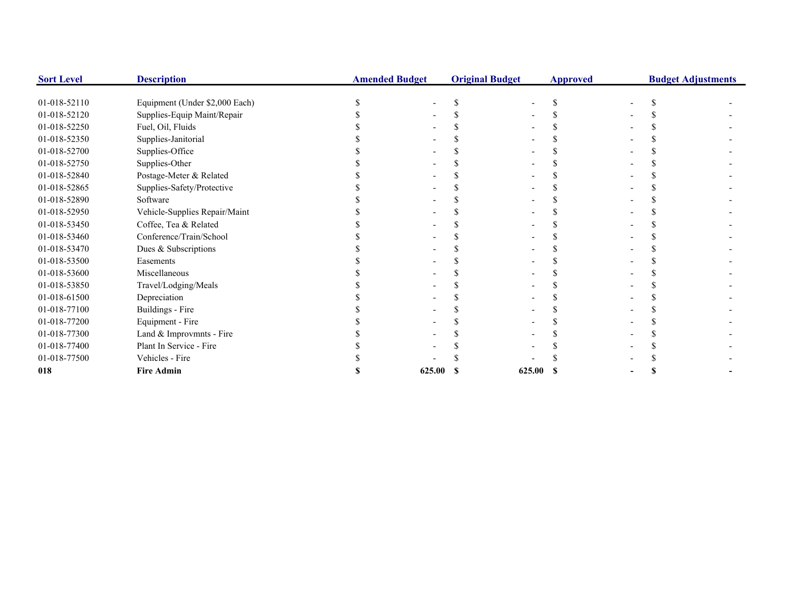| <b>Sort Level</b> | <b>Description</b>             | <b>Amended Budget</b> |        | <b>Original Budget</b> |        | <b>Approved</b> |  | <b>Budget Adjustments</b> |
|-------------------|--------------------------------|-----------------------|--------|------------------------|--------|-----------------|--|---------------------------|
|                   |                                |                       |        |                        |        |                 |  |                           |
| 01-018-52110      | Equipment (Under \$2,000 Each) |                       |        |                        |        |                 |  |                           |
| 01-018-52120      | Supplies-Equip Maint/Repair    |                       |        |                        |        |                 |  |                           |
| 01-018-52250      | Fuel, Oil, Fluids              |                       |        |                        |        |                 |  |                           |
| 01-018-52350      | Supplies-Janitorial            |                       |        |                        |        |                 |  |                           |
| 01-018-52700      | Supplies-Office                |                       |        |                        |        |                 |  |                           |
| 01-018-52750      | Supplies-Other                 |                       |        |                        |        |                 |  |                           |
| 01-018-52840      | Postage-Meter & Related        |                       |        |                        |        |                 |  |                           |
| 01-018-52865      | Supplies-Safety/Protective     |                       |        |                        |        |                 |  |                           |
| 01-018-52890      | Software                       |                       |        |                        |        |                 |  |                           |
| 01-018-52950      | Vehicle-Supplies Repair/Maint  |                       |        |                        |        |                 |  |                           |
| 01-018-53450      | Coffee, Tea & Related          |                       |        |                        |        |                 |  |                           |
| 01-018-53460      | Conference/Train/School        |                       |        |                        |        |                 |  |                           |
| 01-018-53470      | Dues & Subscriptions           |                       |        |                        |        |                 |  |                           |
| 01-018-53500      | Easements                      |                       |        |                        |        |                 |  |                           |
| 01-018-53600      | Miscellaneous                  |                       |        |                        |        |                 |  |                           |
| 01-018-53850      | Travel/Lodging/Meals           |                       |        |                        |        |                 |  |                           |
| 01-018-61500      | Depreciation                   |                       |        |                        |        |                 |  |                           |
| 01-018-77100      | Buildings - Fire               |                       |        |                        |        |                 |  |                           |
| 01-018-77200      | Equipment - Fire               |                       |        |                        |        |                 |  |                           |
| 01-018-77300      | Land & Improvmnts - Fire       |                       |        |                        |        |                 |  |                           |
| 01-018-77400      | Plant In Service - Fire        |                       |        |                        |        |                 |  |                           |
| 01-018-77500      | Vehicles - Fire                |                       |        |                        |        |                 |  |                           |
| 018               | <b>Fire Admin</b>              |                       | 625.00 |                        | 625.00 |                 |  |                           |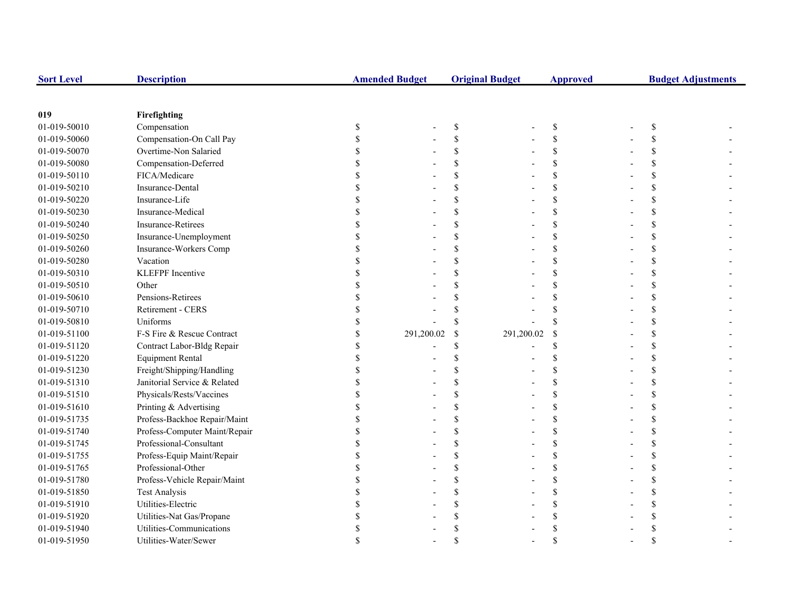| <b>Sort Level</b> | <b>Description</b>            | <b>Amended Budget</b> |    | <b>Original Budget</b> | <b>Approved</b>    |    | <b>Budget Adjustments</b> |
|-------------------|-------------------------------|-----------------------|----|------------------------|--------------------|----|---------------------------|
|                   |                               |                       |    |                        |                    |    |                           |
| 019               | Firefighting                  |                       |    |                        |                    |    |                           |
| 01-019-50010      | Compensation                  | \$                    | \$ |                        | <sup>\$</sup>      | \$ |                           |
| 01-019-50060      | Compensation-On Call Pay      |                       |    |                        | \$                 | \$ |                           |
| 01-019-50070      | Overtime-Non Salaried         |                       |    |                        | \$                 | \$ |                           |
| 01-019-50080      | Compensation-Deferred         |                       |    |                        | $\mathbf S$        | \$ |                           |
| 01-019-50110      | FICA/Medicare                 |                       |    |                        | \$                 | \$ |                           |
| 01-019-50210      | Insurance-Dental              |                       |    |                        | <sup>\$</sup>      | \$ |                           |
| 01-019-50220      | Insurance-Life                |                       |    |                        | \$                 | \$ |                           |
| 01-019-50230      | Insurance-Medical             |                       | S  |                        | $\mathbf{\hat{S}}$ | \$ |                           |
| 01-019-50240      | <b>Insurance-Retirees</b>     |                       |    |                        | \$.                | \$ |                           |
| 01-019-50250      | Insurance-Unemployment        |                       |    |                        | <sup>\$</sup>      | \$ |                           |
| 01-019-50260      | Insurance-Workers Comp        |                       |    |                        | <sup>\$</sup>      | \$ |                           |
| 01-019-50280      | Vacation                      |                       |    |                        | S                  | \$ |                           |
| 01-019-50310      | <b>KLEFPF</b> Incentive       |                       |    |                        |                    | \$ |                           |
| 01-019-50510      | Other                         |                       |    |                        |                    | \$ |                           |
| 01-019-50610      | Pensions-Retirees             |                       |    |                        | \$.                | \$ |                           |
| 01-019-50710      | Retirement - CERS             |                       |    |                        |                    | \$ |                           |
| 01-019-50810      | Uniforms                      |                       |    |                        |                    | \$ |                           |
| 01-019-51100      | F-S Fire & Rescue Contract    | 291,200.02            | \$ | 291,200.02             | <sup>\$</sup>      | \$ |                           |
| 01-019-51120      | Contract Labor-Bldg Repair    |                       | S  |                        | \$                 | \$ |                           |
| 01-019-51220      | <b>Equipment Rental</b>       |                       | \$ |                        | S                  | \$ |                           |
| 01-019-51230      | Freight/Shipping/Handling     |                       |    |                        | $\mathbf S$        | \$ |                           |
| 01-019-51310      | Janitorial Service & Related  |                       | \$ |                        | $\mathcal{S}$      | \$ |                           |
| 01-019-51510      | Physicals/Rests/Vaccines      |                       |    |                        | $\mathcal{S}$      | \$ |                           |
| 01-019-51610      | Printing & Advertising        |                       |    |                        | <sup>\$</sup>      | \$ |                           |
| 01-019-51735      | Profess-Backhoe Repair/Maint  |                       |    |                        | <sup>\$</sup>      | \$ |                           |
| 01-019-51740      | Profess-Computer Maint/Repair |                       |    |                        | $\mathbf S$        | \$ |                           |
| 01-019-51745      | Professional-Consultant       |                       |    |                        | \$                 | \$ |                           |
| 01-019-51755      | Profess-Equip Maint/Repair    |                       |    |                        | $\mathbf S$        | \$ |                           |
| 01-019-51765      | Professional-Other            |                       |    |                        | \$                 | \$ |                           |
| 01-019-51780      | Profess-Vehicle Repair/Maint  |                       |    |                        | <sup>\$</sup>      | \$ |                           |
| 01-019-51850      | <b>Test Analysis</b>          |                       | \$ |                        | \$.                | \$ |                           |
| 01-019-51910      | Utilities-Electric            |                       |    |                        | S                  | \$ |                           |
| 01-019-51920      | Utilities-Nat Gas/Propane     |                       |    |                        | \$.                | \$ |                           |
| 01-019-51940      | Utilities-Communications      |                       |    |                        |                    | \$ |                           |
| 01-019-51950      | Utilities-Water/Sewer         |                       |    |                        |                    | \$ |                           |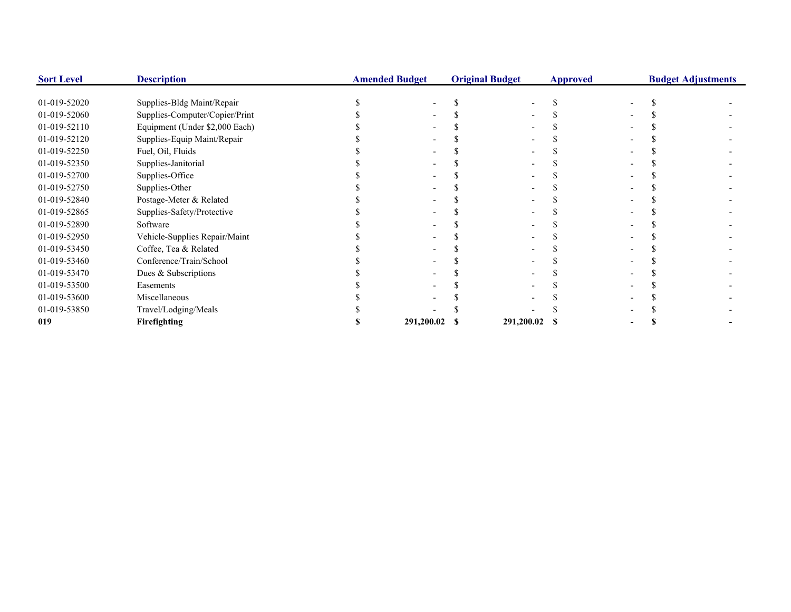| <b>Sort Level</b> | <b>Description</b>             | <b>Amended Budget</b> |            | <b>Original Budget</b> |            | <b>Approved</b> |  | <b>Budget Adjustments</b> |  |  |
|-------------------|--------------------------------|-----------------------|------------|------------------------|------------|-----------------|--|---------------------------|--|--|
| 01-019-52020      | Supplies-Bldg Maint/Repair     |                       |            |                        |            |                 |  |                           |  |  |
| 01-019-52060      | Supplies-Computer/Copier/Print |                       |            |                        |            |                 |  |                           |  |  |
| 01-019-52110      | Equipment (Under \$2,000 Each) |                       |            |                        |            |                 |  |                           |  |  |
| 01-019-52120      | Supplies-Equip Maint/Repair    |                       |            |                        |            |                 |  |                           |  |  |
| 01-019-52250      | Fuel, Oil, Fluids              |                       |            |                        |            |                 |  |                           |  |  |
| 01-019-52350      | Supplies-Janitorial            |                       |            |                        |            |                 |  |                           |  |  |
| 01-019-52700      | Supplies-Office                |                       |            |                        |            |                 |  |                           |  |  |
| 01-019-52750      | Supplies-Other                 |                       |            |                        |            |                 |  |                           |  |  |
| 01-019-52840      | Postage-Meter & Related        |                       |            |                        |            |                 |  |                           |  |  |
| 01-019-52865      | Supplies-Safety/Protective     |                       |            |                        |            |                 |  |                           |  |  |
| 01-019-52890      | Software                       |                       |            |                        |            |                 |  |                           |  |  |
| 01-019-52950      | Vehicle-Supplies Repair/Maint  |                       |            |                        |            |                 |  |                           |  |  |
| 01-019-53450      | Coffee, Tea & Related          |                       |            |                        |            |                 |  |                           |  |  |
| 01-019-53460      | Conference/Train/School        |                       |            |                        |            |                 |  |                           |  |  |
| 01-019-53470      | Dues & Subscriptions           |                       |            |                        |            |                 |  |                           |  |  |
| 01-019-53500      | Easements                      |                       |            |                        |            |                 |  |                           |  |  |
| 01-019-53600      | Miscellaneous                  |                       |            |                        |            |                 |  |                           |  |  |
| 01-019-53850      | Travel/Lodging/Meals           |                       |            |                        |            |                 |  |                           |  |  |
| 019               | Firefighting                   |                       | 291,200.02 |                        | 291,200.02 |                 |  |                           |  |  |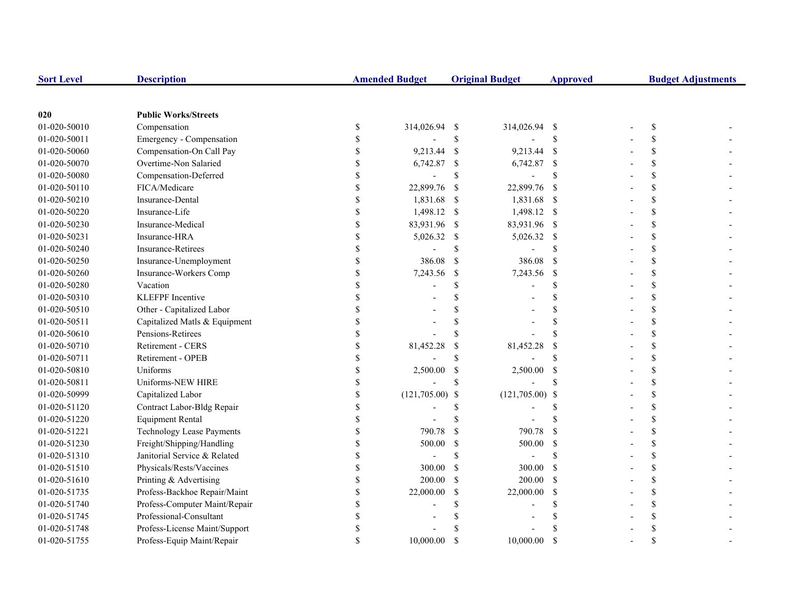| <b>Sort Level</b> | <b>Description</b>               |             | <b>Amended Budget</b> |               | <b>Original Budget</b> | <b>Approved</b>    |               | <b>Budget Adjustments</b> |
|-------------------|----------------------------------|-------------|-----------------------|---------------|------------------------|--------------------|---------------|---------------------------|
|                   |                                  |             |                       |               |                        |                    |               |                           |
| 020               | <b>Public Works/Streets</b>      |             |                       |               |                        |                    |               |                           |
| 01-020-50010      | Compensation                     | \$          | 314,026.94            | -S            | 314,026.94 \$          |                    | \$            |                           |
| 01-020-50011      | Emergency - Compensation         | \$          |                       | $\mathbb S$   |                        | \$                 | \$            |                           |
| 01-020-50060      | Compensation-On Call Pay         | \$          | 9,213.44              | $\mathcal{S}$ | 9,213.44 \$            |                    | \$            |                           |
| 01-020-50070      | Overtime-Non Salaried            | \$          | 6,742.87              | $\$$          | 6,742.87 \$            |                    | $\mathcal{S}$ |                           |
| 01-020-50080      | Compensation-Deferred            | \$          |                       | $\mathbf S$   |                        | \$                 | \$            |                           |
| 01-020-50110      | FICA/Medicare                    | \$          | 22,899.76             | -S            | 22,899.76 \$           |                    | \$            |                           |
| 01-020-50210      | Insurance-Dental                 | \$          | 1,831.68 \$           |               | 1,831.68 \$            |                    | \$            |                           |
| 01-020-50220      | Insurance-Life                   | \$          | 1,498.12 \$           |               | 1,498.12 \$            |                    | \$            |                           |
| 01-020-50230      | Insurance-Medical                | \$          | 83,931.96             | -S            | 83,931.96 \$           |                    | $\mathcal{S}$ |                           |
| 01-020-50231      | Insurance-HRA                    | \$          | 5,026.32              | <sup>\$</sup> | 5,026.32 \$            |                    | $\mathbb{S}$  |                           |
| 01-020-50240      | <b>Insurance-Retirees</b>        | \$          |                       | <sup>\$</sup> |                        |                    | \$            |                           |
| 01-020-50250      | Insurance-Unemployment           | \$          | 386.08                | <sup>\$</sup> | 386.08                 | -S                 | \$            |                           |
| 01-020-50260      | Insurance-Workers Comp           | \$          | 7,243.56              | \$            | 7,243.56               | - \$               | \$            |                           |
| 01-020-50280      | Vacation                         | \$          |                       | \$            |                        | \$                 | \$            |                           |
| 01-020-50310      | <b>KLEFPF</b> Incentive          | \$          |                       | \$            |                        | \$                 | \$            |                           |
| 01-020-50510      | Other - Capitalized Labor        | \$          |                       |               |                        |                    | \$            |                           |
| 01-020-50511      | Capitalized Matls & Equipment    | \$          |                       |               |                        |                    | \$            |                           |
| 01-020-50610      | Pensions-Retirees                | \$          |                       |               |                        |                    | \$            |                           |
| 01-020-50710      | <b>Retirement - CERS</b>         | \$          | 81,452.28             |               | 81,452.28              | <sup>\$</sup>      | \$            |                           |
| 01-020-50711      | Retirement - OPEB                | \$          |                       | \$            |                        |                    | $\mathcal{S}$ |                           |
| 01-020-50810      | Uniforms                         | \$          | 2,500.00              | <sup>\$</sup> | 2,500.00               | -S                 | \$            |                           |
| 01-020-50811      | Uniforms-NEW HIRE                | \$          |                       | $\mathcal{S}$ |                        | $\mathbf{\hat{S}}$ | $\mathbb{S}$  |                           |
| 01-020-50999      | Capitalized Labor                | \$          | $(121,705.00)$ \$     |               | $(121,705.00)$ \$      |                    | \$            |                           |
| 01-020-51120      | Contract Labor-Bldg Repair       | \$          |                       | S             |                        |                    | $\mathcal{S}$ |                           |
| 01-020-51220      | <b>Equipment Rental</b>          | \$          |                       |               |                        |                    | \$            |                           |
| 01-020-51221      | <b>Technology Lease Payments</b> | \$          | 790.78                | <sup>\$</sup> | 790.78                 | $\mathbf S$        | \$            |                           |
| 01-020-51230      | Freight/Shipping/Handling        | \$          | 500.00                | \$            | 500.00                 | -S                 | \$            |                           |
| 01-020-51310      | Janitorial Service & Related     | $\mathbb S$ |                       | $\mathbf S$   |                        | \$                 | \$            |                           |
| 01-020-51510      | Physicals/Rests/Vaccines         | \$          | 300.00                | <sup>\$</sup> | 300.00                 | <sup>\$</sup>      | \$            |                           |
| 01-020-51610      | Printing & Advertising           | \$          | 200.00                | <sup>\$</sup> | 200.00                 | - S                | \$            |                           |
| 01-020-51735      | Profess-Backhoe Repair/Maint     | \$          | 22,000.00             | <sup>\$</sup> | 22,000.00              | <sup>\$</sup>      | $\mathbb{S}$  |                           |
| 01-020-51740      | Profess-Computer Maint/Repair    | \$          |                       | \$            |                        |                    | $\mathbb{S}$  |                           |
| 01-020-51745      | Professional-Consultant          | \$          |                       |               |                        |                    | \$            |                           |
| 01-020-51748      | Profess-License Maint/Support    |             |                       |               |                        |                    | $\mathcal{S}$ |                           |
| 01-020-51755      | Profess-Equip Maint/Repair       | \$          | 10,000.00             | <sup>\$</sup> | 10,000.00              | <sup>\$</sup>      | $\mathcal{S}$ |                           |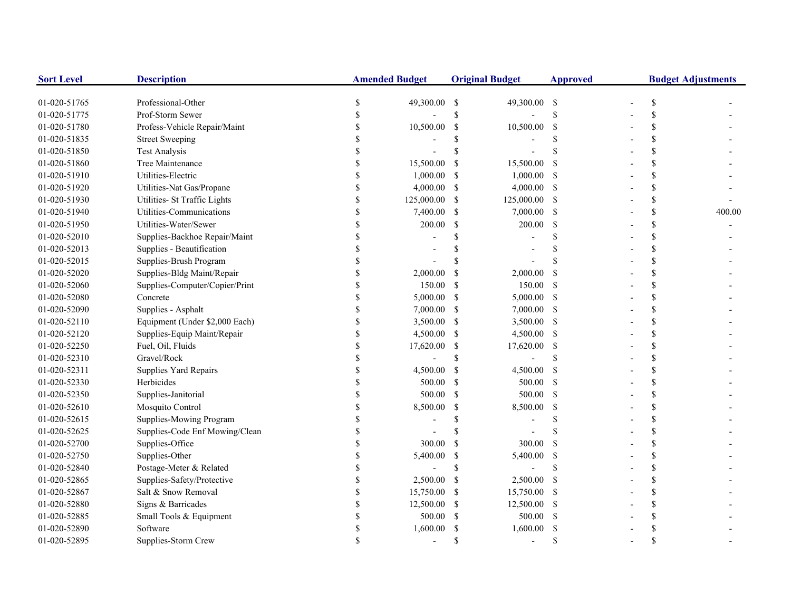| <b>Sort Level</b> | <b>Description</b>             |             | <b>Amended Budget</b> |               | <b>Original Budget</b>   | <b>Approved</b> |               | <b>Budget Adjustments</b> |
|-------------------|--------------------------------|-------------|-----------------------|---------------|--------------------------|-----------------|---------------|---------------------------|
| 01-020-51765      | Professional-Other             | \$          | 49,300.00             | -S            | 49,300.00 \$             |                 | \$            |                           |
| 01-020-51775      | Prof-Storm Sewer               | \$          |                       | $\mathbb{S}$  |                          | $\mathbf S$     | <sup>\$</sup> |                           |
| 01-020-51780      | Profess-Vehicle Repair/Maint   | \$          | 10,500.00             | $\mathcal{S}$ | 10,500.00                | $\mathbf S$     | \$            |                           |
| 01-020-51835      | <b>Street Sweeping</b>         | \$          |                       | \$            |                          | \$              |               |                           |
| 01-020-51850      | <b>Test Analysis</b>           | \$          |                       |               |                          |                 |               |                           |
| 01-020-51860      | Tree Maintenance               | \$          | 15,500.00             | <sup>\$</sup> | 15,500.00                | <sup>\$</sup>   |               |                           |
| 01-020-51910      | Utilities-Electric             | \$          | 1,000.00              | <sup>\$</sup> | 1,000.00                 | <sup>\$</sup>   |               |                           |
| 01-020-51920      | Utilities-Nat Gas/Propane      | \$          | 4,000.00              | -S            | 4,000.00                 | -S              |               |                           |
| 01-020-51930      | Utilities- St Traffic Lights   | \$          | 125,000.00            | -S            | 125,000.00               | \$              | \$            |                           |
| 01-020-51940      | Utilities-Communications       | \$          | 7,400.00              | <sup>\$</sup> | 7,000.00                 | <sup>\$</sup>   | \$            | 400.00                    |
| 01-020-51950      | Utilities-Water/Sewer          | \$          | 200.00                | \$            | 200.00                   | \$              | \$            |                           |
| 01-020-52010      | Supplies-Backhoe Repair/Maint  | \$          |                       | \$            |                          |                 | \$            |                           |
| 01-020-52013      | Supplies - Beautification      | \$          |                       | \$            |                          |                 | <sup>\$</sup> |                           |
| 01-020-52015      | Supplies-Brush Program         | $\mathbf S$ |                       | \$            |                          |                 | \$            |                           |
| 01-020-52020      | Supplies-Bldg Maint/Repair     | \$          | 2,000.00              | <sup>\$</sup> | 2,000.00                 | <sup>\$</sup>   | \$            |                           |
| 01-020-52060      | Supplies-Computer/Copier/Print | \$          | 150.00                | <sup>\$</sup> | 150.00                   | \$              |               |                           |
| 01-020-52080      | Concrete                       | \$          | 5,000.00              | -S            | 5,000.00                 | \$              |               |                           |
| 01-020-52090      | Supplies - Asphalt             | \$          | 7,000.00              | -S            | 7,000.00                 | <sup>\$</sup>   |               |                           |
| 01-020-52110      | Equipment (Under \$2,000 Each) | \$          | 3,500.00              | <sup>\$</sup> | 3,500.00                 | <sup>\$</sup>   |               |                           |
| 01-020-52120      | Supplies-Equip Maint/Repair    | \$          | 4,500.00              | -S            | 4,500.00                 | <sup>\$</sup>   | <sup>\$</sup> |                           |
| 01-020-52250      | Fuel, Oil, Fluids              | \$          | 17,620.00             | -S            | 17,620.00                | <sup>\$</sup>   | <sup>\$</sup> |                           |
| 01-020-52310      | Gravel/Rock                    | \$          |                       | \$            |                          | S               | \$            |                           |
| 01-020-52311      | Supplies Yard Repairs          | \$          | 4,500.00              | <sup>\$</sup> | 4,500.00                 | $\mathbf S$     | \$            |                           |
| 01-020-52330      | Herbicides                     | \$          | 500.00                | <sup>\$</sup> | 500.00                   | <sup>\$</sup>   | \$            |                           |
| 01-020-52350      | Supplies-Janitorial            | \$          | 500.00                | $\mathbb{S}$  | 500.00                   | <sup>\$</sup>   | \$            |                           |
| 01-020-52610      | Mosquito Control               | \$          | 8,500.00              | \$            | 8,500.00                 | \$              | <sup>\$</sup> |                           |
| 01-020-52615      | Supplies-Mowing Program        | \$          |                       | \$            |                          | $\mathbf S$     | <sup>\$</sup> |                           |
| 01-020-52625      | Supplies-Code Enf Mowing/Clean | \$          |                       | \$            |                          | \$              | \$            |                           |
| 01-020-52700      | Supplies-Office                | \$          | 300.00                | <sup>\$</sup> | 300.00                   | <sup>\$</sup>   |               |                           |
| 01-020-52750      | Supplies-Other                 | \$          | 5,400.00              | \$            | 5,400.00                 | S               |               |                           |
| 01-020-52840      | Postage-Meter & Related        | \$          |                       | \$            |                          | \$              |               |                           |
| 01-020-52865      | Supplies-Safety/Protective     | \$          | 2,500.00              | -S            | 2,500.00                 | <sup>\$</sup>   |               |                           |
| 01-020-52867      | Salt & Snow Removal            | \$          | 15,750.00             | -S            | 15,750.00                | <sup>\$</sup>   | \$            |                           |
| 01-020-52880      | Signs & Barricades             | \$          | 12,500.00             | -S            | 12,500.00                | S               | \$            |                           |
| 01-020-52885      | Small Tools & Equipment        | \$          | 500.00                | \$            | 500.00                   | \$              | \$            |                           |
| 01-020-52890      | Software                       | \$          | 1,600.00              | <sup>\$</sup> | 1,600.00                 | <sup>\$</sup>   |               |                           |
| 01-020-52895      | Supplies-Storm Crew            | \$          | $\overline{a}$        | \$            | $\overline{\phantom{a}}$ | \$              | <sup>\$</sup> |                           |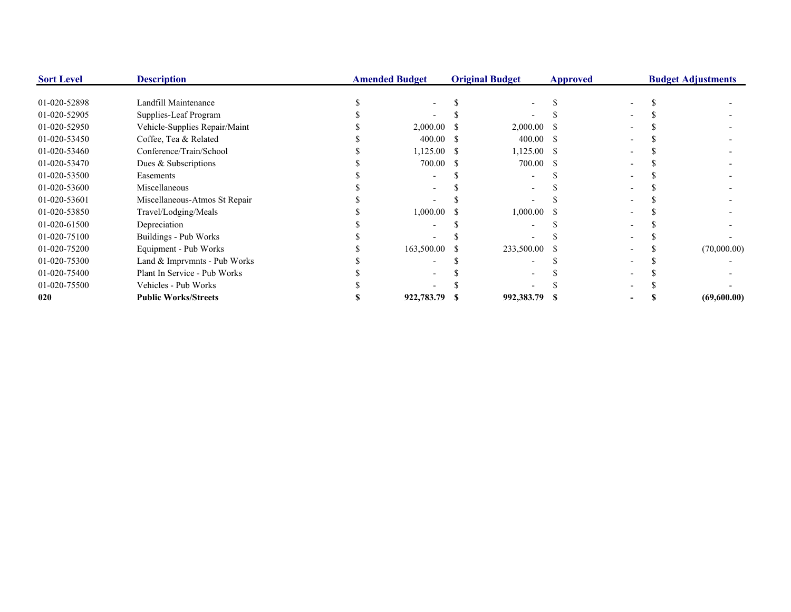| <b>Sort Level</b> | <b>Description</b>            | <b>Amended Budget</b><br><b>Original Budget</b> |            |  | <b>Approved</b> |  | <b>Budget Adjustments</b> |  |             |
|-------------------|-------------------------------|-------------------------------------------------|------------|--|-----------------|--|---------------------------|--|-------------|
|                   |                               |                                                 |            |  |                 |  |                           |  |             |
| 01-020-52898      | Landfill Maintenance          |                                                 |            |  |                 |  |                           |  |             |
| 01-020-52905      | Supplies-Leaf Program         |                                                 |            |  |                 |  |                           |  |             |
| 01-020-52950      | Vehicle-Supplies Repair/Maint |                                                 | 2,000.00   |  | 2,000.00        |  |                           |  |             |
| 01-020-53450      | Coffee, Tea & Related         |                                                 | 400.00     |  | 400.00          |  |                           |  |             |
| 01-020-53460      | Conference/Train/School       |                                                 | 1,125.00   |  | $1,125.00$ \$   |  |                           |  |             |
| 01-020-53470      | Dues & Subscriptions          |                                                 | 700.00     |  | 700.00          |  |                           |  |             |
| 01-020-53500      | Easements                     |                                                 |            |  |                 |  |                           |  |             |
| 01-020-53600      | Miscellaneous                 |                                                 |            |  |                 |  |                           |  |             |
| 01-020-53601      | Miscellaneous-Atmos St Repair |                                                 |            |  |                 |  |                           |  |             |
| 01-020-53850      | Travel/Lodging/Meals          |                                                 | 1,000.00   |  | 1,000.00        |  |                           |  |             |
| 01-020-61500      | Depreciation                  |                                                 |            |  |                 |  |                           |  |             |
| 01-020-75100      | Buildings - Pub Works         |                                                 |            |  |                 |  |                           |  |             |
| 01-020-75200      | Equipment - Pub Works         |                                                 | 163,500.00 |  | 233,500.00      |  |                           |  | (70,000.00) |
| 01-020-75300      | Land & Imprvmnts - Pub Works  |                                                 |            |  |                 |  |                           |  |             |
| 01-020-75400      | Plant In Service - Pub Works  |                                                 |            |  |                 |  |                           |  |             |
| 01-020-75500      | Vehicles - Pub Works          |                                                 |            |  |                 |  |                           |  |             |
| 020               | <b>Public Works/Streets</b>   |                                                 | 922,783.79 |  | 992,383.79      |  |                           |  | (69,600.00) |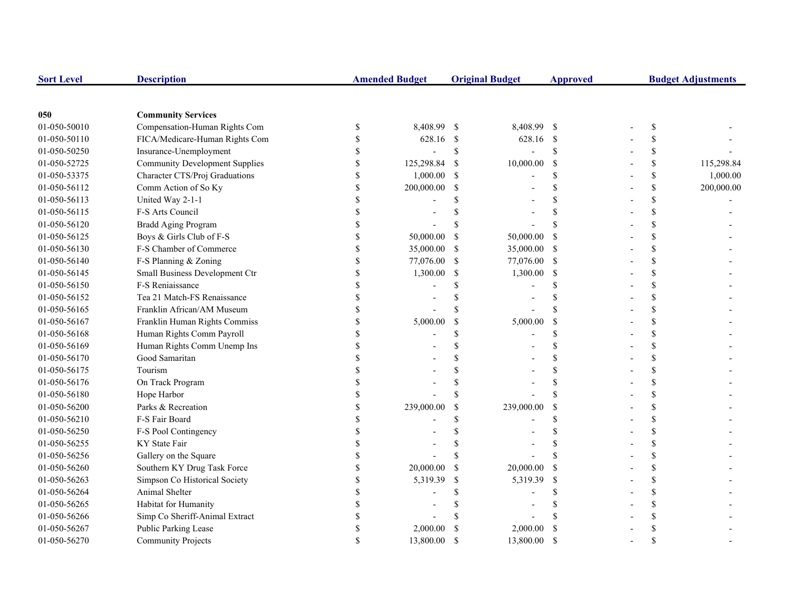| <b>Sort Level</b> | <b>Description</b>                    |                           | <b>Amended Budget</b> |               | <b>Original Budget</b>   | <b>Approved</b> |               | <b>Budget Adjustments</b> |
|-------------------|---------------------------------------|---------------------------|-----------------------|---------------|--------------------------|-----------------|---------------|---------------------------|
|                   |                                       |                           |                       |               |                          |                 |               |                           |
| 050               | <b>Community Services</b>             |                           |                       |               |                          |                 |               |                           |
| 01-050-50010      | Compensation-Human Rights Com         | \$                        | 8,408.99              | -\$           | 8,408.99 \$              |                 | \$            |                           |
| 01-050-50110      | FICA/Medicare-Human Rights Com        | \$                        | 628.16 \$             |               | 628.16 \$                |                 | \$            |                           |
| 01-050-50250      | Insurance-Unemployment                | \$                        | $\blacksquare$        | \$            | $\overline{\phantom{a}}$ | $\mathbf S$     | \$            |                           |
| 01-050-52725      | <b>Community Development Supplies</b> | \$                        | 125,298.84            | <sup>\$</sup> | 10,000.00                | <sup>S</sup>    | \$            | 115,298.84                |
| 01-050-53375      | Character CTS/Proj Graduations        | \$                        | 1,000.00              | S.            |                          | \$              | \$            | 1,000.00                  |
| 01-050-56112      | Comm Action of So Ky                  | $\boldsymbol{\mathsf{S}}$ | 200,000.00            | \$            |                          | \$              | \$            | 200,000.00                |
| 01-050-56113      | United Way 2-1-1                      | \$                        |                       | \$.           |                          | S               | \$            |                           |
| 01-050-56115      | F-S Arts Council                      | $\mathbf{\hat{S}}$        |                       |               |                          |                 | $\mathcal{S}$ |                           |
| 01-050-56120      | <b>Bradd Aging Program</b>            | \$                        |                       |               |                          |                 | $\mathcal{S}$ |                           |
| 01-050-56125      | Boys & Girls Club of F-S              | \$                        | 50,000.00             | S.            | 50,000.00                | <sup>\$</sup>   | \$            |                           |
| 01-050-56130      | F-S Chamber of Commerce               | $\mathbb{S}$              | 35,000.00             | -S            | 35,000.00                | -S              | \$            |                           |
| 01-050-56140      | F-S Planning & Zoning                 | \$                        | 77,076.00             | <sup>\$</sup> | 77,076.00 \$             |                 | \$            |                           |
| 01-050-56145      | Small Business Development Ctr        | \$                        | 1,300.00              | <sup>\$</sup> | 1,300.00                 | -\$             | \$            |                           |
| 01-050-56150      | F-S Reniaissance                      | \$                        |                       |               |                          | \$              | $\mathcal{S}$ |                           |
| 01-050-56152      | Tea 21 Match-FS Renaissance           | \$                        |                       |               |                          | S               | <sup>\$</sup> |                           |
| 01-050-56165      | Franklin African/AM Museum            | \$                        |                       |               |                          |                 | \$            |                           |
| 01-050-56167      | Franklin Human Rights Commiss         | \$                        | 5,000.00              | S             | 5,000.00                 | \$              | \$            |                           |
| 01-050-56168      | Human Rights Comm Payroll             |                           |                       | S             |                          | $\mathbf S$     | \$            |                           |
| 01-050-56169      | Human Rights Comm Unemp Ins           |                           |                       |               |                          | $\mathbf S$     | \$            |                           |
| 01-050-56170      | Good Samaritan                        | $\mathbf S$               |                       |               |                          | $\mathbf S$     | $\mathbf S$   |                           |
| 01-050-56175      | Tourism                               | \$                        |                       |               |                          | \$              | $\mathsf{\$}$ |                           |
| 01-050-56176      | On Track Program                      | \$                        |                       |               |                          | \$.             | \$            |                           |
| 01-050-56180      | Hope Harbor                           | \$                        |                       |               |                          |                 | \$            |                           |
| 01-050-56200      | Parks & Recreation                    | \$                        | 239,000.00            | \$            | 239,000.00               | <sup>\$</sup>   | \$            |                           |
| 01-050-56210      | F-S Fair Board                        | \$                        |                       |               |                          | \$.             | \$            |                           |
| 01-050-56250      | F-S Pool Contingency                  | \$                        |                       |               |                          |                 | <sup>\$</sup> |                           |
| 01-050-56255      | KY State Fair                         | \$                        |                       |               |                          |                 | \$            |                           |
| 01-050-56256      | Gallery on the Square                 | \$                        |                       |               |                          |                 | \$            |                           |
| 01-050-56260      | Southern KY Drug Task Force           | \$                        | 20,000.00             | S             | 20,000.00                | \$              | \$            |                           |
| 01-050-56263      | Simpson Co Historical Society         | \$                        | 5,319.39              | \$            | 5,319.39                 | -\$             | \$            |                           |
| 01-050-56264      | Animal Shelter                        | $\mathbf S$               |                       |               |                          | S               | $\mathsf{\$}$ |                           |
| 01-050-56265      | Habitat for Humanity                  | \$                        |                       |               |                          |                 | $\mathsf{\$}$ |                           |
| 01-050-56266      | Simp Co Sheriff-Animal Extract        | \$                        |                       |               |                          |                 | \$            |                           |
| 01-050-56267      | Public Parking Lease                  |                           | 2,000.00              |               | 2,000.00                 |                 | \$            |                           |
| 01-050-56270      | <b>Community Projects</b>             | \$                        | 13,800.00             | <sup>\$</sup> | 13,800.00                | -S              | $\mathcal{S}$ |                           |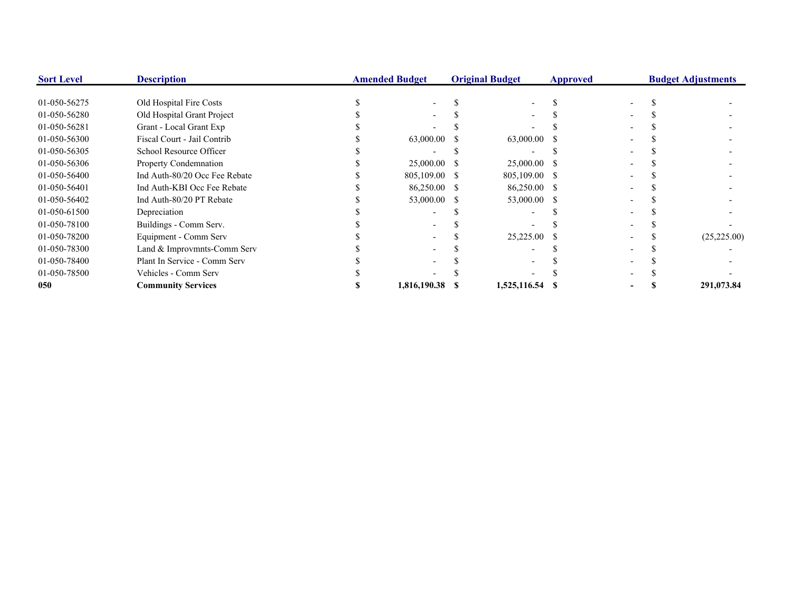| <b>Sort Level</b> | <b>Description</b>            | <b>Amended Budget</b><br><b>Original Budget</b> |     |                 | <b>Approved</b> |  | <b>Budget Adjustments</b> |              |
|-------------------|-------------------------------|-------------------------------------------------|-----|-----------------|-----------------|--|---------------------------|--------------|
|                   |                               |                                                 |     |                 |                 |  |                           |              |
| 01-050-56275      | Old Hospital Fire Costs       |                                                 |     |                 |                 |  |                           |              |
| 01-050-56280      | Old Hospital Grant Project    |                                                 |     |                 |                 |  |                           |              |
| 01-050-56281      | Grant - Local Grant Exp       |                                                 |     |                 |                 |  |                           |              |
| 01-050-56300      | Fiscal Court - Jail Contrib   | 63,000.00                                       |     | 63,000.00 \$    |                 |  |                           |              |
| 01-050-56305      | School Resource Officer       |                                                 |     |                 |                 |  |                           |              |
| 01-050-56306      | <b>Property Condemnation</b>  | 25,000.00                                       |     | 25,000.00 \$    |                 |  |                           |              |
| 01-050-56400      | Ind Auth-80/20 Occ Fee Rebate | 805,109.00                                      | - S | 805,109.00 \$   |                 |  |                           |              |
| 01-050-56401      | Ind Auth-KBI Occ Fee Rebate   | 86,250.00 \$                                    |     | 86,250.00 \$    |                 |  |                           |              |
| 01-050-56402      | Ind Auth-80/20 PT Rebate      | 53,000.00 \$                                    |     | 53,000.00 \$    |                 |  |                           |              |
| 01-050-61500      | Depreciation                  |                                                 |     |                 |                 |  |                           |              |
| 01-050-78100      | Buildings - Comm Serv.        |                                                 |     |                 |                 |  |                           |              |
| 01-050-78200      | Equipment - Comm Serv         |                                                 |     | 25,225.00 \$    |                 |  |                           | (25, 225.00) |
| 01-050-78300      | Land & Improvmnts-Comm Serv   |                                                 |     |                 |                 |  |                           |              |
| 01-050-78400      | Plant In Service - Comm Serv  |                                                 |     |                 |                 |  |                           |              |
| 01-050-78500      | Vehicles - Comm Serv          |                                                 |     |                 |                 |  |                           |              |
| 050               | <b>Community Services</b>     | 1,816,190.38                                    |     | 1,525,116.54 \$ |                 |  |                           | 291,073.84   |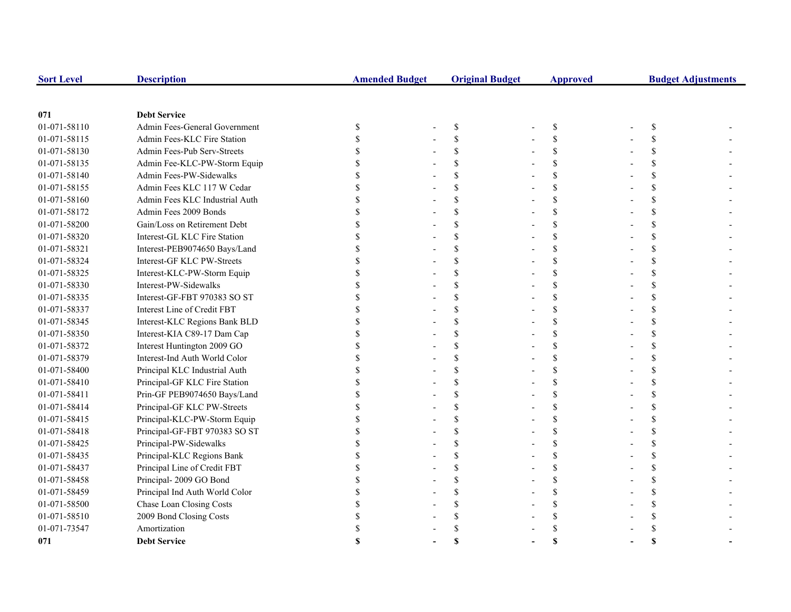| <b>Sort Level</b> | <b>Description</b>              | <b>Amended Budget</b> |     | <b>Approved</b> |  | <b>Budget Adjustments</b> |
|-------------------|---------------------------------|-----------------------|-----|-----------------|--|---------------------------|
|                   |                                 |                       |     |                 |  |                           |
| 071               | <b>Debt Service</b>             |                       |     |                 |  |                           |
| 01-071-58110      | Admin Fees-General Government   | \$                    | \$  | <sup>\$</sup>   |  | \$                        |
| 01-071-58115      | Admin Fees-KLC Fire Station     |                       | \$  | <sup>\$</sup>   |  |                           |
| 01-071-58130      | Admin Fees-Pub Serv-Streets     |                       | \$. | <sup>\$</sup>   |  | \$                        |
| 01-071-58135      | Admin Fee-KLC-PW-Storm Equip    |                       |     |                 |  | \$                        |
| 01-071-58140      | Admin Fees-PW-Sidewalks         |                       |     | \$.             |  | \$                        |
| 01-071-58155      | Admin Fees KLC 117 W Cedar      |                       | \$. |                 |  | \$                        |
| 01-071-58160      | Admin Fees KLC Industrial Auth  |                       | \$. |                 |  | \$                        |
| 01-071-58172      | Admin Fees 2009 Bonds           |                       | \$  | \$.             |  | \$                        |
| 01-071-58200      | Gain/Loss on Retirement Debt    |                       | \$  |                 |  | \$                        |
| 01-071-58320      | Interest-GL KLC Fire Station    |                       | \$  | <b>S</b>        |  | \$                        |
| 01-071-58321      | Interest-PEB9074650 Bays/Land   |                       | \$  | \$              |  | \$                        |
| 01-071-58324      | Interest-GF KLC PW-Streets      |                       | \$  | <sup>\$</sup>   |  | \$                        |
| 01-071-58325      | Interest-KLC-PW-Storm Equip     |                       |     | <sup>\$</sup>   |  | \$                        |
| 01-071-58330      | Interest-PW-Sidewalks           |                       |     |                 |  | \$                        |
| 01-071-58335      | Interest-GF-FBT 970383 SO ST    |                       |     |                 |  | \$                        |
| 01-071-58337      | Interest Line of Credit FBT     |                       |     | <sup>\$</sup>   |  | \$                        |
| 01-071-58345      | Interest-KLC Regions Bank BLD   |                       |     | <sup>\$</sup>   |  | \$                        |
| 01-071-58350      | Interest-KIA C89-17 Dam Cap     |                       | \$. | <sup>\$</sup>   |  | \$                        |
| 01-071-58372      | Interest Huntington 2009 GO     |                       |     | <sup>\$</sup>   |  | \$                        |
| 01-071-58379      | Interest-Ind Auth World Color   |                       | \$. |                 |  | \$                        |
| 01-071-58400      | Principal KLC Industrial Auth   |                       | \$. | \$.             |  | \$                        |
| 01-071-58410      | Principal-GF KLC Fire Station   |                       | \$  | \$              |  | \$                        |
| 01-071-58411      | Prin-GF PEB9074650 Bays/Land    |                       | \$  | <sup>\$</sup>   |  | \$                        |
| 01-071-58414      | Principal-GF KLC PW-Streets     |                       |     | <sup>\$</sup>   |  | \$                        |
| 01-071-58415      | Principal-KLC-PW-Storm Equip    |                       |     |                 |  | \$                        |
| 01-071-58418      | Principal-GF-FBT 970383 SO ST   |                       |     |                 |  | \$                        |
| 01-071-58425      | Principal-PW-Sidewalks          |                       |     | <sup>\$</sup>   |  | \$                        |
| 01-071-58435      | Principal-KLC Regions Bank      |                       | \$  | <sup>\$</sup>   |  | \$                        |
| 01-071-58437      | Principal Line of Credit FBT    |                       | \$. |                 |  | \$                        |
| 01-071-58458      | Principal-2009 GO Bond          |                       |     |                 |  | \$                        |
| 01-071-58459      | Principal Ind Auth World Color  |                       | \$. | \$.             |  | \$                        |
| 01-071-58500      | <b>Chase Loan Closing Costs</b> |                       |     |                 |  | \$                        |
| 01-071-58510      | 2009 Bond Closing Costs         |                       |     |                 |  | \$                        |
| 01-071-73547      | Amortization                    |                       |     |                 |  | \$                        |
| 071               | <b>Debt Service</b>             |                       |     |                 |  |                           |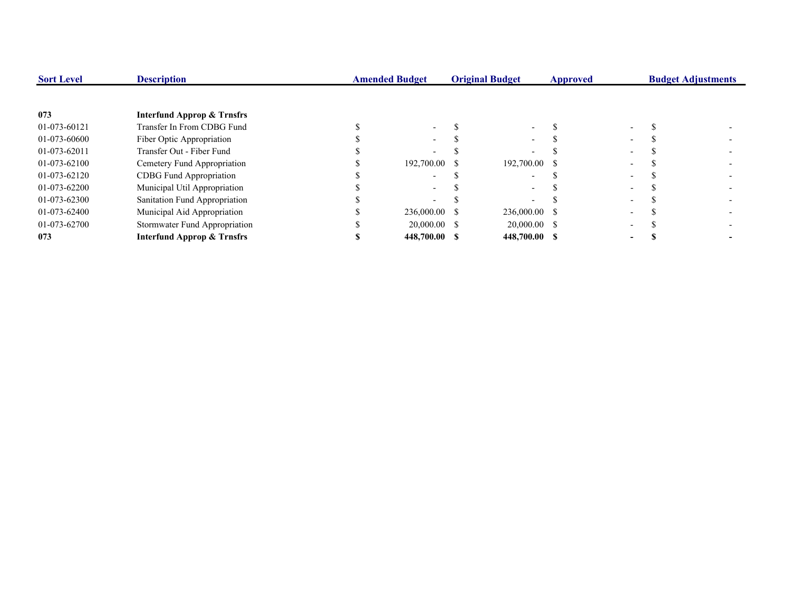| <b>Sort Level</b> | <b>Description</b>                    | <b>Amended Budget</b> |                | <b>Original Budget</b> |                          | <b>Approved</b> |                          | <b>Budget Adjustments</b> |  |  |
|-------------------|---------------------------------------|-----------------------|----------------|------------------------|--------------------------|-----------------|--------------------------|---------------------------|--|--|
|                   |                                       |                       |                |                        |                          |                 |                          |                           |  |  |
| 073               | <b>Interfund Approp &amp; Trnsfrs</b> |                       |                |                        |                          |                 |                          |                           |  |  |
| 01-073-60121      | Transfer In From CDBG Fund            |                       |                |                        | $\overline{\phantom{0}}$ |                 | $\overline{\phantom{0}}$ |                           |  |  |
| 01-073-60600      | Fiber Optic Appropriation             |                       |                |                        |                          |                 |                          |                           |  |  |
| 01-073-62011      | Transfer Out - Fiber Fund             |                       |                |                        |                          |                 |                          |                           |  |  |
| 01-073-62100      | Cemetery Fund Appropriation           |                       | 192,700.00 \$  |                        | 192,700.00 \$            |                 | $\overline{\phantom{0}}$ |                           |  |  |
| 01-073-62120      | CDBG Fund Appropriation               |                       |                |                        |                          |                 |                          |                           |  |  |
| 01-073-62200      | Municipal Util Appropriation          |                       |                |                        |                          |                 |                          |                           |  |  |
| 01-073-62300      | Sanitation Fund Appropriation         |                       |                |                        |                          |                 |                          |                           |  |  |
| 01-073-62400      | Municipal Aid Appropriation           |                       | 236,000.00 \$  |                        | 236,000.00 \$            |                 |                          |                           |  |  |
| 01-073-62700      | Stormwater Fund Appropriation         |                       | $20,000.00$ \$ |                        | $20,000.00$ \$           |                 | $\overline{\phantom{0}}$ |                           |  |  |
| 073               | <b>Interfund Approp &amp; Trnsfrs</b> |                       | 448,700.00 \$  |                        | 448,700.00 \$            |                 |                          |                           |  |  |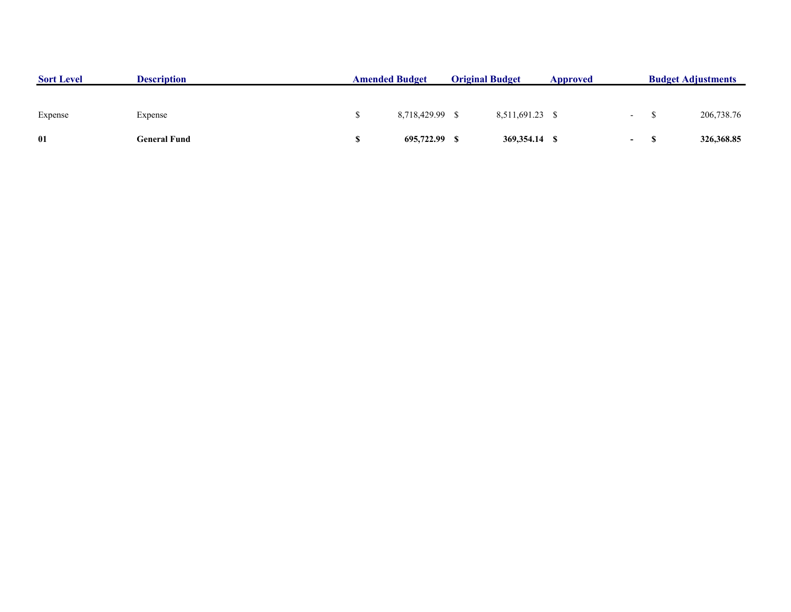| <b>Sort Level</b> | <b>Description</b> | <b>Amended Budget</b> |              | <b>Original Budget</b> |                 | Approved | <b>Budget Adjustments</b> |  |            |
|-------------------|--------------------|-----------------------|--------------|------------------------|-----------------|----------|---------------------------|--|------------|
| Expense           | Expense            |                       | 8,718,429.99 |                        | 8,511,691.23 \$ |          | $\overline{\phantom{0}}$  |  | 206,738.76 |
| 01                | General Fund       |                       | 695,722.99   |                        | 369,354.14 \$   |          | $\blacksquare$            |  | 326,368.85 |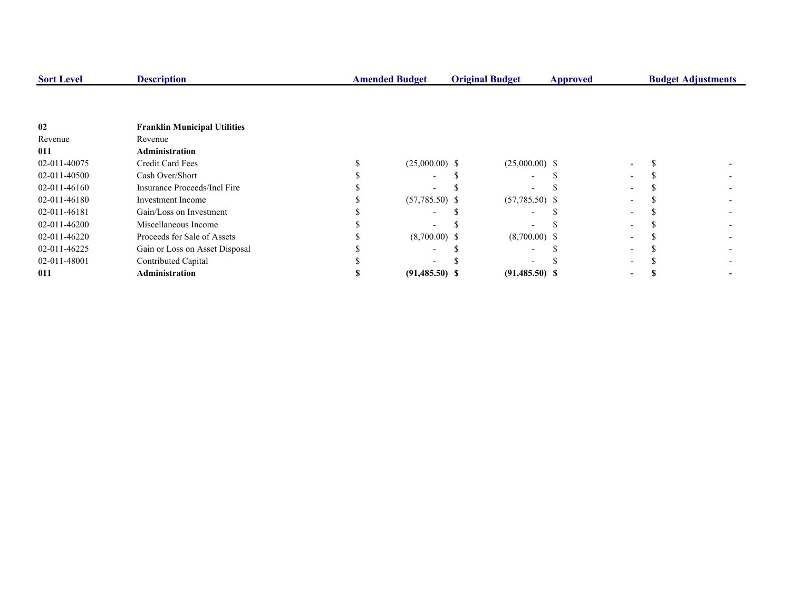| <b>Sort Level</b> | <b>Description</b>                  | <b>Amended Budget</b>    | <b>Original Budget</b> | Approved | <b>Budget Adjustments</b> |  |
|-------------------|-------------------------------------|--------------------------|------------------------|----------|---------------------------|--|
|                   |                                     |                          |                        |          |                           |  |
|                   |                                     |                          |                        |          |                           |  |
| 02                | <b>Franklin Municipal Utilities</b> |                          |                        |          |                           |  |
| Revenue           | Revenue                             |                          |                        |          |                           |  |
| 011               | Administration                      |                          |                        |          |                           |  |
| 02-011-40075      | Credit Card Fees                    | $(25,000.00)$ \$         | $(25,000.00)$ \$       |          |                           |  |
| 02-011-40500      | Cash Over/Short                     | $\overline{\phantom{0}}$ |                        |          |                           |  |
| 02-011-46160      | Insurance Proceeds/Incl Fire        |                          |                        |          |                           |  |
| 02-011-46180      | Investment Income                   | $(57,785.50)$ \$         | $(57,785.50)$ \$       |          |                           |  |
| 02-011-46181      | Gain/Loss on Investment             |                          |                        |          |                           |  |
| 02-011-46200      | Miscellaneous Income                |                          |                        |          |                           |  |
| 02-011-46220      | Proceeds for Sale of Assets         | $(8,700.00)$ \$          | $(8,700.00)$ \$        |          |                           |  |
| 02-011-46225      | Gain or Loss on Asset Disposal      |                          |                        |          |                           |  |
| 02-011-48001      | Contributed Capital                 |                          |                        |          |                           |  |
| 011               | <b>Administration</b>               | $(91,485.50)$ \$         | $(91,485.50)$ \$       |          |                           |  |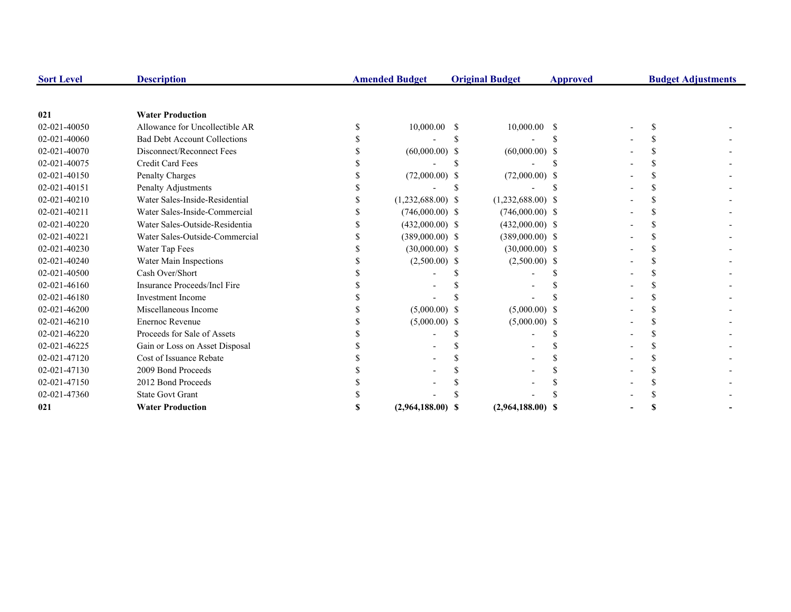| <b>Sort Level</b> | <b>Description</b>                  | <b>Amended Budget</b><br><b>Original Budget</b> |                     | <b>Approved</b> |                     |  | <b>Budget Adjustments</b> |  |  |
|-------------------|-------------------------------------|-------------------------------------------------|---------------------|-----------------|---------------------|--|---------------------------|--|--|
|                   |                                     |                                                 |                     |                 |                     |  |                           |  |  |
| 021               | <b>Water Production</b>             |                                                 |                     |                 |                     |  |                           |  |  |
| 02-021-40050      | Allowance for Uncollectible AR      |                                                 | 10,000.00           | -S              | $10,000.00$ \$      |  |                           |  |  |
| 02-021-40060      | <b>Bad Debt Account Collections</b> |                                                 |                     |                 |                     |  |                           |  |  |
| 02-021-40070      | Disconnect/Reconnect Fees           |                                                 | $(60,000.00)$ \$    |                 | $(60,000.00)$ \$    |  |                           |  |  |
| 02-021-40075      | <b>Credit Card Fees</b>             |                                                 |                     |                 |                     |  |                           |  |  |
| 02-021-40150      | Penalty Charges                     |                                                 | $(72,000.00)$ \$    |                 | $(72,000.00)$ \$    |  |                           |  |  |
| 02-021-40151      | Penalty Adjustments                 |                                                 |                     |                 |                     |  |                           |  |  |
| 02-021-40210      | Water Sales-Inside-Residential      |                                                 | $(1,232,688.00)$ \$ |                 | $(1,232,688.00)$ \$ |  |                           |  |  |
| 02-021-40211      | Water Sales-Inside-Commercial       |                                                 | $(746,000.00)$ \$   |                 | $(746,000.00)$ \$   |  |                           |  |  |
| 02-021-40220      | Water Sales-Outside-Residentia      |                                                 | $(432,000.00)$ \$   |                 | $(432,000.00)$ \$   |  |                           |  |  |
| 02-021-40221      | Water Sales-Outside-Commercial      |                                                 | $(389,000.00)$ \$   |                 | $(389,000.00)$ \$   |  |                           |  |  |
| 02-021-40230      | Water Tap Fees                      |                                                 | $(30,000.00)$ \$    |                 | $(30,000.00)$ \$    |  |                           |  |  |
| 02-021-40240      | Water Main Inspections              |                                                 | $(2,500.00)$ \$     |                 | $(2,500.00)$ \$     |  |                           |  |  |
| 02-021-40500      | Cash Over/Short                     |                                                 |                     |                 |                     |  |                           |  |  |
| 02-021-46160      | Insurance Proceeds/Incl Fire        |                                                 |                     |                 |                     |  |                           |  |  |
| 02-021-46180      | <b>Investment Income</b>            |                                                 |                     |                 |                     |  |                           |  |  |
| 02-021-46200      | Miscellaneous Income                |                                                 | $(5,000.00)$ \$     |                 | $(5,000.00)$ \$     |  |                           |  |  |
| 02-021-46210      | <b>Enernoc Revenue</b>              |                                                 | $(5,000.00)$ \$     |                 | $(5,000.00)$ \$     |  |                           |  |  |
| 02-021-46220      | Proceeds for Sale of Assets         |                                                 |                     |                 |                     |  |                           |  |  |
| 02-021-46225      | Gain or Loss on Asset Disposal      |                                                 |                     |                 |                     |  |                           |  |  |
| 02-021-47120      | Cost of Issuance Rebate             |                                                 |                     |                 |                     |  |                           |  |  |
| 02-021-47130      | 2009 Bond Proceeds                  |                                                 |                     |                 |                     |  |                           |  |  |
| 02-021-47150      | 2012 Bond Proceeds                  |                                                 |                     |                 |                     |  |                           |  |  |
| 02-021-47360      | <b>State Govt Grant</b>             |                                                 |                     |                 |                     |  |                           |  |  |
| 021               | <b>Water Production</b>             |                                                 | $(2,964,188.00)$ \$ |                 | $(2,964,188.00)$ \$ |  |                           |  |  |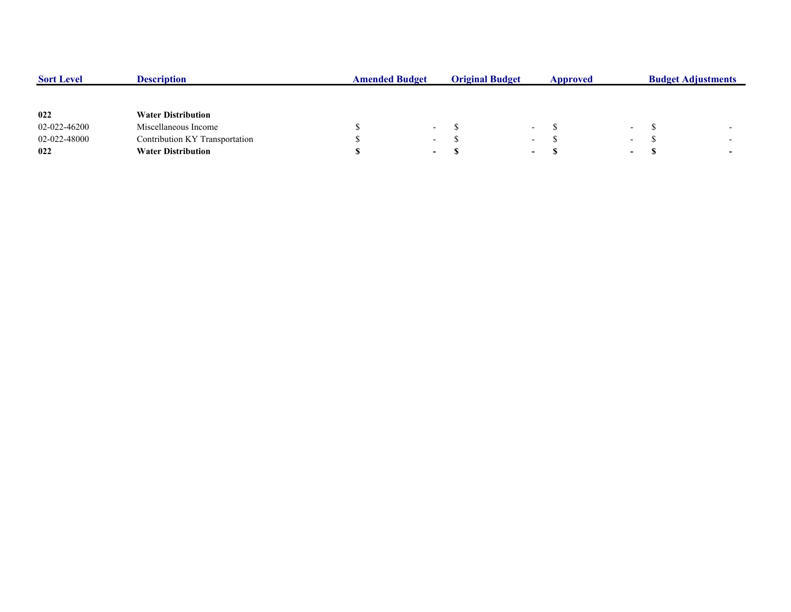| <b>Sort Level</b> | <b>Description</b>             | <b>Amended Budget</b> |                          | <b>Original Budget</b> |                          | Approved | <b>Budget Adjustments</b> |  |                          |
|-------------------|--------------------------------|-----------------------|--------------------------|------------------------|--------------------------|----------|---------------------------|--|--------------------------|
|                   |                                |                       |                          |                        |                          |          |                           |  |                          |
|                   |                                |                       |                          |                        |                          |          |                           |  |                          |
| 022               | <b>Water Distribution</b>      |                       |                          |                        |                          |          |                           |  |                          |
| 02-022-46200      | Miscellaneous Income           |                       | $\overline{\phantom{0}}$ |                        | $\overline{\phantom{0}}$ |          | $\sim$ $-$                |  | $\sim$                   |
| 02-022-48000      | Contribution KY Transportation |                       | $\overline{\phantom{0}}$ |                        | $\overline{\phantom{a}}$ |          | $\sim$                    |  |                          |
| 022               | <b>Water Distribution</b>      |                       | $\sim$                   |                        | $\sim$                   |          | $\sim$ $\sim$             |  | $\overline{\phantom{a}}$ |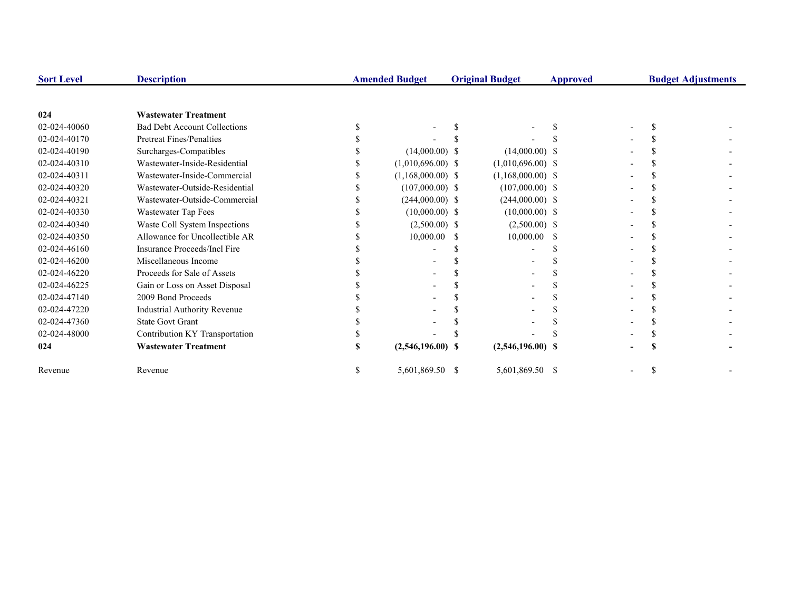| <b>Sort Level</b> | <b>Description</b>                  |    | <b>Amended Budget</b><br><b>Original Budget</b> |    | <b>Approved</b>     | <b>Budget Adjustments</b> |  |  |  |
|-------------------|-------------------------------------|----|-------------------------------------------------|----|---------------------|---------------------------|--|--|--|
|                   |                                     |    |                                                 |    |                     |                           |  |  |  |
| 024               | <b>Wastewater Treatment</b>         |    |                                                 |    |                     |                           |  |  |  |
| 02-024-40060      | <b>Bad Debt Account Collections</b> |    |                                                 |    |                     |                           |  |  |  |
| 02-024-40170      | Pretreat Fines/Penalties            |    |                                                 |    |                     |                           |  |  |  |
| 02-024-40190      | Surcharges-Compatibles              |    | $(14,000.00)$ \$                                |    | $(14,000.00)$ \$    |                           |  |  |  |
| 02-024-40310      | Wastewater-Inside-Residential       |    | $(1,010,696.00)$ \$                             |    | $(1,010,696.00)$ \$ |                           |  |  |  |
| 02-024-40311      | Wastewater-Inside-Commercial        |    | $(1,168,000.00)$ \$                             |    | $(1,168,000.00)$ \$ |                           |  |  |  |
| 02-024-40320      | Wastewater-Outside-Residential      |    | $(107,000.00)$ \$                               |    | $(107,000.00)$ \$   |                           |  |  |  |
| 02-024-40321      | Wastewater-Outside-Commercial       |    | $(244,000.00)$ \$                               |    | $(244,000.00)$ \$   |                           |  |  |  |
| 02-024-40330      | Wastewater Tap Fees                 |    | $(10,000.00)$ \$                                |    | $(10,000.00)$ \$    |                           |  |  |  |
| 02-024-40340      | Waste Coll System Inspections       |    | $(2,500.00)$ \$                                 |    | $(2,500.00)$ \$     |                           |  |  |  |
| 02-024-40350      | Allowance for Uncollectible AR      |    | 10,000.00                                       | -S | 10,000.00           | -8                        |  |  |  |
| 02-024-46160      | Insurance Proceeds/Incl Fire        |    |                                                 |    |                     |                           |  |  |  |
| 02-024-46200      | Miscellaneous Income                |    |                                                 |    |                     |                           |  |  |  |
| 02-024-46220      | Proceeds for Sale of Assets         |    |                                                 |    |                     |                           |  |  |  |
| 02-024-46225      | Gain or Loss on Asset Disposal      |    |                                                 |    |                     |                           |  |  |  |
| 02-024-47140      | 2009 Bond Proceeds                  |    |                                                 |    |                     |                           |  |  |  |
| 02-024-47220      | <b>Industrial Authority Revenue</b> |    |                                                 |    |                     |                           |  |  |  |
| 02-024-47360      | <b>State Govt Grant</b>             |    |                                                 |    |                     |                           |  |  |  |
| 02-024-48000      | Contribution KY Transportation      |    |                                                 |    |                     |                           |  |  |  |
| 024               | <b>Wastewater Treatment</b>         |    | $(2,546,196.00)$ \$                             |    | $(2,546,196.00)$ \$ |                           |  |  |  |
| Revenue           | Revenue                             | -8 | 5,601,869.50 \$                                 |    | 5,601,869.50 \$     |                           |  |  |  |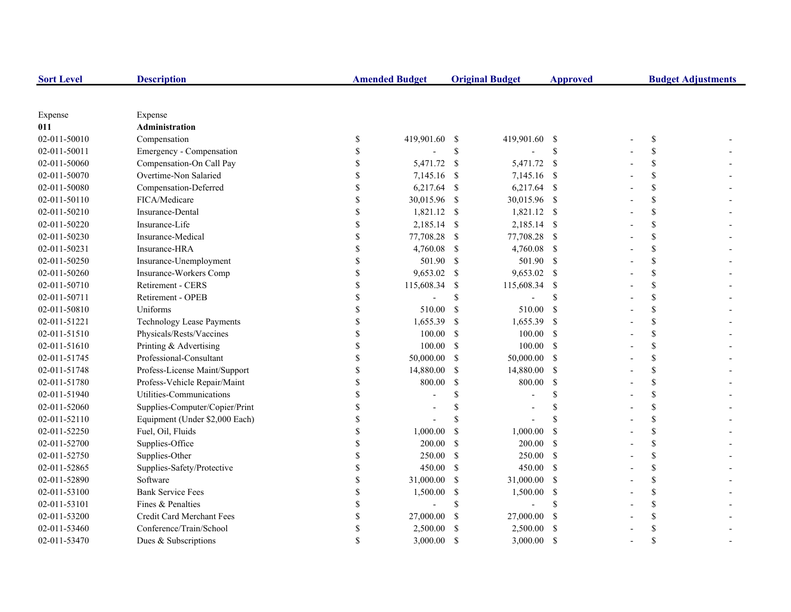| <b>Sort Level</b> | <b>Description</b>               | <b>Amended Budget</b> |               |                           | <b>Original Budget</b> | <b>Approved</b>    | <b>Budget Adjustments</b> |  |
|-------------------|----------------------------------|-----------------------|---------------|---------------------------|------------------------|--------------------|---------------------------|--|
|                   |                                  |                       |               |                           |                        |                    |                           |  |
| Expense           | Expense                          |                       |               |                           |                        |                    |                           |  |
| 011               | Administration                   |                       |               |                           |                        |                    |                           |  |
| 02-011-50010      | Compensation                     | \$                    | 419,901.60 \$ |                           | 419,901.60 \$          |                    | $\mathbb{S}$              |  |
| 02-011-50011      | Emergency - Compensation         | \$                    |               | $\mathbb{S}$              |                        | $\mathcal{S}$      | \$                        |  |
| 02-011-50060      | Compensation-On Call Pay         | \$                    | 5,471.72 \$   |                           | 5,471.72 \$            |                    | $\mathbf S$               |  |
| 02-011-50070      | Overtime-Non Salaried            | \$                    | $7,145.16$ \$ |                           | 7,145.16 \$            |                    | \$                        |  |
| 02-011-50080      | Compensation-Deferred            | \$                    | $6,217.64$ \$ |                           | 6,217.64 \$            |                    | \$                        |  |
| 02-011-50110      | FICA/Medicare                    | \$                    | 30,015.96 \$  |                           | 30,015.96 \$           |                    | \$                        |  |
| 02-011-50210      | Insurance-Dental                 | $\mathbb{S}$          | 1,821.12 \$   |                           | 1,821.12 \$            |                    | \$                        |  |
| 02-011-50220      | Insurance-Life                   | \$                    | 2,185.14 \$   |                           | 2,185.14 \$            |                    | $\mathsf{\$}$             |  |
| 02-011-50230      | Insurance-Medical                | \$                    | 77,708.28     | - \$                      | 77,708.28 \$           |                    | $\mathbb{S}$              |  |
| 02-011-50231      | Insurance-HRA                    | \$                    | 4,760.08      | -S                        | 4,760.08 \$            |                    | $\mathbb{S}$              |  |
| 02-011-50250      | Insurance-Unemployment           | \$                    | 501.90        | $\mathbf{\hat{s}}$        | 501.90 \$              |                    | \$                        |  |
| 02-011-50260      | Insurance-Workers Comp           | \$                    | 9,653.02      | <b>S</b>                  | 9,653.02 \$            |                    | \$                        |  |
| 02-011-50710      | Retirement - CERS                | \$                    | 115,608.34    | - \$                      | 115,608.34 \$          |                    | $\mathbb{S}$              |  |
| 02-011-50711      | Retirement - OPEB                | \$                    |               | \$                        |                        | <sup>\$</sup>      | $\mathsf{\$}$             |  |
| 02-011-50810      | Uniforms                         | \$                    | 510.00        | $\mathcal{S}$             | 510.00                 | - S                | \$                        |  |
| 02-011-51221      | <b>Technology Lease Payments</b> | $\mathbb S$           | 1,655.39      | -S                        | 1,655.39 \$            |                    | \$                        |  |
| 02-011-51510      | Physicals/Rests/Vaccines         | \$                    | 100.00        | $\boldsymbol{\mathsf{S}}$ | $100.00$ \$            |                    | \$                        |  |
| 02-011-51610      | Printing & Advertising           | \$                    | 100.00        | - \$                      | $100.00$ \$            |                    | \$                        |  |
| 02-011-51745      | Professional-Consultant          | $\mathbb{S}$          | 50,000.00 \$  |                           | 50,000.00 \$           |                    | $\mathsf{\$}$             |  |
| 02-011-51748      | Profess-License Maint/Support    | \$                    | 14,880.00     | - \$                      | 14,880.00 \$           |                    | $\mathbb{S}$              |  |
| 02-011-51780      | Profess-Vehicle Repair/Maint     | \$                    | 800.00        | <sup>\$</sup>             | 800.00                 | -S                 | \$                        |  |
| 02-011-51940      | Utilities-Communications         | $\mathbb{S}$          |               | <sup>\$</sup>             |                        | <sup>\$</sup>      | \$                        |  |
| 02-011-52060      | Supplies-Computer/Copier/Print   | \$                    |               |                           |                        | <sup>\$</sup>      | \$                        |  |
| 02-011-52110      | Equipment (Under \$2,000 Each)   | \$                    |               | $\mathcal{S}$             |                        | $\mathbf{\hat{S}}$ | \$                        |  |
| 02-011-52250      | Fuel, Oil, Fluids                | \$                    | 1,000.00      | <sup>\$</sup>             | 1,000.00               | $\mathcal{S}$      | \$                        |  |
| 02-011-52700      | Supplies-Office                  | \$                    | 200.00        | <sup>\$</sup>             | 200.00                 | - \$               | $\mathcal{S}$             |  |
| 02-011-52750      | Supplies-Other                   | \$                    | 250.00        | <sup>S</sup>              | $250.00$ \$            |                    | \$                        |  |
| 02-011-52865      | Supplies-Safety/Protective       | \$                    | 450.00        | - \$                      | 450.00 \$              |                    | \$                        |  |
| 02-011-52890      | Software                         | \$                    | 31,000.00     | -\$                       | 31,000.00 \$           |                    | \$                        |  |
| 02-011-53100      | <b>Bank Service Fees</b>         | $\mathbb S$           | 1,500.00      | - \$                      | $1,500.00$ \$          |                    | $\mathsf{\$}$             |  |
| 02-011-53101      | Fines & Penalties                | \$                    |               | S                         |                        | S                  | \$                        |  |
| 02-011-53200      | Credit Card Merchant Fees        | \$                    | 27,000.00     | -\$                       | 27,000.00              | - \$               | $\mathcal{S}$             |  |
| 02-011-53460      | Conference/Train/School          | \$                    | 2,500.00      |                           | 2,500.00               | - \$               | \$                        |  |
| 02-011-53470      | Dues & Subscriptions             | \$                    | 3,000.00      | <sup>\$</sup>             | 3,000.00               | - S                | \$                        |  |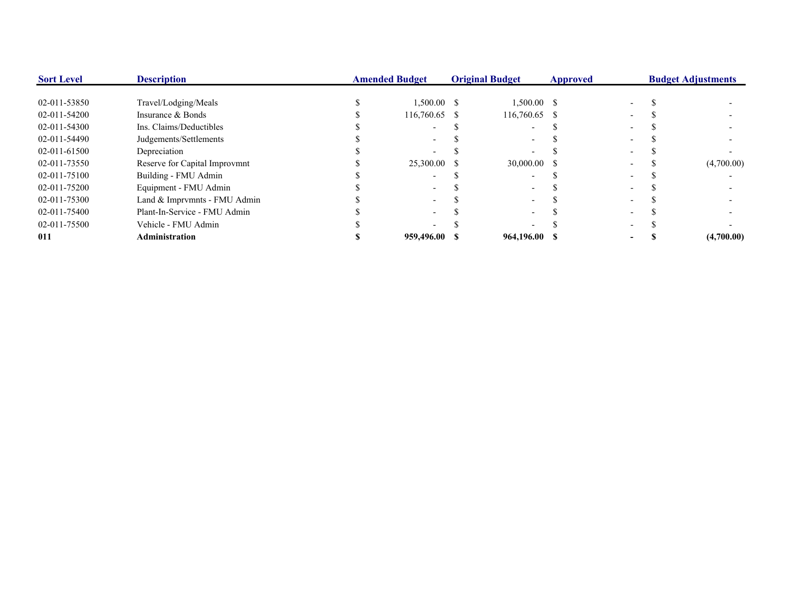| <b>Sort Level</b> | <b>Description</b>            | <b>Amended Budget</b><br><b>Original Budget</b> |               |  | <b>Approved</b> | <b>Budget Adjustments</b> |        |  |            |
|-------------------|-------------------------------|-------------------------------------------------|---------------|--|-----------------|---------------------------|--------|--|------------|
|                   |                               |                                                 |               |  |                 |                           |        |  |            |
| 02-011-53850      | Travel/Lodging/Meals          |                                                 | $1,500.00$ \$ |  | $1,500.00$ \$   |                           |        |  |            |
| 02-011-54200      | Insurance & Bonds             |                                                 | 116,760.65 \$ |  | 116,760.65 \$   |                           |        |  |            |
| 02-011-54300      | Ins. Claims/Deductibles       |                                                 |               |  |                 |                           |        |  |            |
| 02-011-54490      | Judgements/Settlements        |                                                 |               |  |                 |                           |        |  |            |
| 02-011-61500      | Depreciation                  |                                                 |               |  |                 |                           |        |  |            |
| 02-011-73550      | Reserve for Capital Improvmnt |                                                 | 25,300.00 \$  |  | $30,000.00$ \$  |                           | $\sim$ |  | (4,700.00) |
| 02-011-75100      | Building - FMU Admin          |                                                 |               |  |                 |                           |        |  |            |
| 02-011-75200      | Equipment - FMU Admin         |                                                 |               |  |                 |                           |        |  |            |
| 02-011-75300      | Land & Imprymnts - FMU Admin  |                                                 |               |  |                 |                           |        |  |            |
| 02-011-75400      | Plant-In-Service - FMU Admin  |                                                 |               |  |                 |                           |        |  |            |
| 02-011-75500      | Vehicle - FMU Admin           |                                                 |               |  |                 |                           |        |  |            |
| 011               | <b>Administration</b>         |                                                 | 959,496.00 \$ |  | 964,196.00 \$   |                           |        |  | (4,700.00) |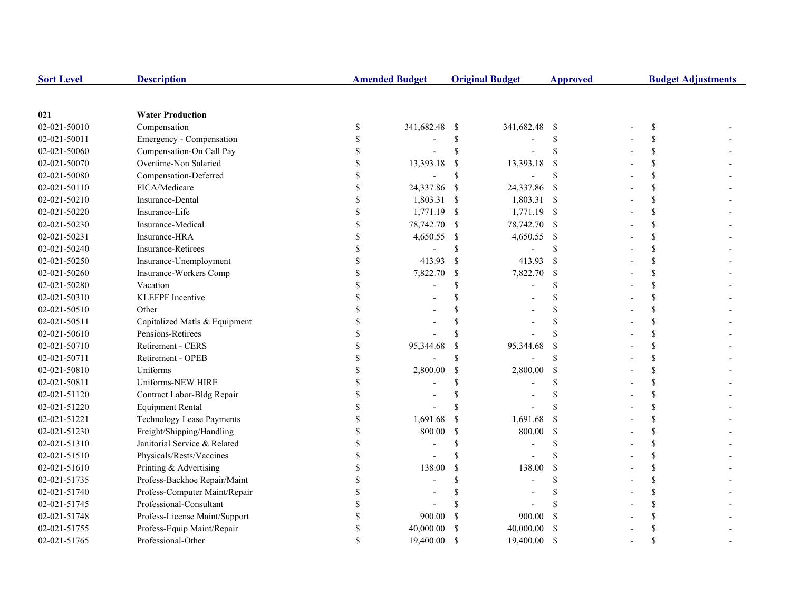| <b>Sort Level</b> | <b>Description</b>               |               | <b>Amended Budget</b> |               | <b>Original Budget</b>   | <b>Approved</b>    |               | <b>Budget Adjustments</b> |
|-------------------|----------------------------------|---------------|-----------------------|---------------|--------------------------|--------------------|---------------|---------------------------|
|                   |                                  |               |                       |               |                          |                    |               |                           |
| 021               | <b>Water Production</b>          |               |                       |               |                          |                    |               |                           |
| 02-021-50010      | Compensation                     | \$            | 341,682.48 \$         |               | 341,682.48 \$            |                    | $\mathbb{S}$  |                           |
| 02-021-50011      | Emergency - Compensation         | \$            |                       | \$            |                          | \$                 | $\mathcal{S}$ |                           |
| 02-021-50060      | Compensation-On Call Pay         | \$            |                       | \$            |                          | $\mathbf S$        | $\mathbf S$   |                           |
| 02-021-50070      | Overtime-Non Salaried            | \$            | 13,393.18             | <sup>\$</sup> | 13,393.18                | -S                 | <sup>\$</sup> |                           |
| 02-021-50080      | Compensation-Deferred            | \$            |                       | \$            |                          | \$                 | \$            |                           |
| 02-021-50110      | FICA/Medicare                    | \$            | 24,337.86 \$          |               | 24,337.86 \$             |                    | $\mathcal{S}$ |                           |
| 02-021-50210      | Insurance-Dental                 | \$            | 1,803.31 \$           |               | 1,803.31 \$              |                    | \$            |                           |
| 02-021-50220      | Insurance-Life                   | \$            | 1,771.19 \$           |               | 1,771.19 \$              |                    | $\mathcal{S}$ |                           |
| 02-021-50230      | Insurance-Medical                | \$            | 78,742.70 \$          |               | 78,742.70 \$             |                    | $\mathcal{S}$ |                           |
| 02-021-50231      | Insurance-HRA                    | \$            | 4,650.55              | -\$           | 4,650.55 \$              |                    | \$            |                           |
| 02-021-50240      | <b>Insurance-Retirees</b>        | \$            |                       | <sup>\$</sup> |                          | \$                 | $\mathbb S$   |                           |
| 02-021-50250      | Insurance-Unemployment           | \$            | 413.93                | -S            | 413.93                   | -S                 | \$            |                           |
| 02-021-50260      | Insurance-Workers Comp           | \$            | 7,822.70              | <sup>\$</sup> | 7,822.70                 | $\mathcal{S}$      | \$            |                           |
| 02-021-50280      | Vacation                         | \$            |                       | \$            |                          | \$                 | $\mathcal{S}$ |                           |
| 02-021-50310      | <b>KLEFPF</b> Incentive          | \$            |                       | \$            |                          | \$                 | \$            |                           |
| 02-021-50510      | Other                            | \$            |                       |               |                          | \$                 | \$            |                           |
| 02-021-50511      | Capitalized Matls & Equipment    | \$            |                       |               |                          | \$                 | \$            |                           |
| 02-021-50610      | Pensions-Retirees                | \$            |                       |               |                          | $\mathbf{\hat{S}}$ | \$            |                           |
| 02-021-50710      | Retirement - CERS                | $\mathsf{\$}$ | 95,344.68             |               | 95,344.68                | $\mathcal{S}$      | $\mathsf{\$}$ |                           |
| 02-021-50711      | Retirement - OPEB                | \$            |                       | \$            |                          | $\mathbf{\hat{S}}$ | $\mathcal{S}$ |                           |
| 02-021-50810      | Uniforms                         | \$            | 2,800.00              | <sup>S</sup>  | 2,800.00                 | <sup>\$</sup>      | $\mathbb{S}$  |                           |
| 02-021-50811      | Uniforms-NEW HIRE                | \$            |                       |               |                          | \$.                | $\mathsf{\$}$ |                           |
| 02-021-51120      | Contract Labor-Bldg Repair       | \$            |                       |               |                          | \$                 | \$            |                           |
| 02-021-51220      | <b>Equipment Rental</b>          | \$            |                       |               |                          | \$                 | $\mathcal{S}$ |                           |
| 02-021-51221      | <b>Technology Lease Payments</b> | \$            | 1,691.68              | <sup>S</sup>  | 1,691.68                 | <sup>\$</sup>      | $\mathcal{S}$ |                           |
| 02-021-51230      | Freight/Shipping/Handling        | \$            | 800.00                | <sup>\$</sup> | 800.00                   | $\mathcal{S}$      | \$            |                           |
| 02-021-51310      | Janitorial Service & Related     | \$            |                       | \$            | $\overline{\phantom{0}}$ | \$                 | \$            |                           |
| 02-021-51510      | Physicals/Rests/Vaccines         | \$            |                       |               |                          | S                  | \$            |                           |
| 02-021-51610      | Printing & Advertising           | \$            | 138.00                | <sup>S</sup>  | 138.00                   | \$                 | \$            |                           |
| 02-021-51735      | Profess-Backhoe Repair/Maint     | \$            |                       | S             | $\blacksquare$           | \$                 | \$            |                           |
| 02-021-51740      | Profess-Computer Maint/Repair    | \$            |                       |               |                          | \$                 | $\mathcal{S}$ |                           |
| 02-021-51745      | Professional-Consultant          | \$            |                       |               |                          | \$                 | $\mathbb{S}$  |                           |
| 02-021-51748      | Profess-License Maint/Support    | \$            | 900.00                |               | 900.00                   | <sup>\$</sup>      | \$            |                           |
| 02-021-51755      | Profess-Equip Maint/Repair       | \$            | 40,000.00             |               | 40,000.00                |                    | $\mathcal{S}$ |                           |
| 02-021-51765      | Professional-Other               | \$            | 19,400.00             | <sup>\$</sup> | 19,400.00 \$             |                    | $\mathcal{S}$ |                           |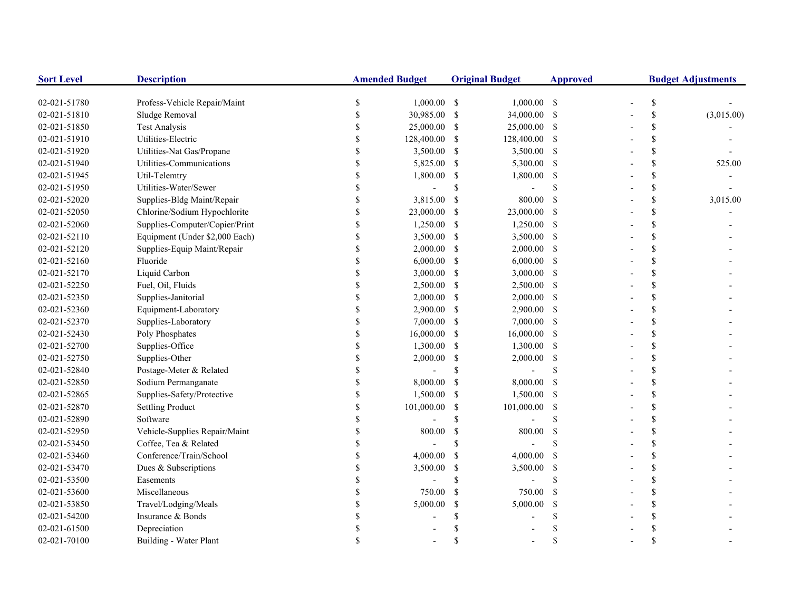| <b>Sort Level</b> | <b>Description</b>             | <b>Amended Budget</b> |                | <b>Original Budget</b> |                | <b>Approved</b> | <b>Budget Adjustments</b> |               |            |
|-------------------|--------------------------------|-----------------------|----------------|------------------------|----------------|-----------------|---------------------------|---------------|------------|
| 02-021-51780      | Profess-Vehicle Repair/Maint   | \$                    | $1,000.00$ \$  |                        | $1,000.00$ \$  |                 |                           | $\mathbb S$   |            |
| 02-021-51810      | Sludge Removal                 | \$                    | 30,985.00      | -\$                    | 34,000.00 \$   |                 |                           | $\mathcal{S}$ | (3,015.00) |
| 02-021-51850      | <b>Test Analysis</b>           | \$                    | 25,000.00      | -S                     | 25,000.00 \$   |                 |                           | \$            |            |
| 02-021-51910      | Utilities-Electric             | \$                    | 128,400.00     | -S                     | 128,400.00 \$  |                 |                           | $\mathcal{S}$ |            |
| 02-021-51920      | Utilities-Nat Gas/Propane      | \$                    | 3,500.00       | -\$                    | 3,500.00 \$    |                 |                           | \$            |            |
| 02-021-51940      | Utilities-Communications       | \$                    | 5,825.00       | -S                     | 5,300.00 \$    |                 |                           | $\mathsf{\$}$ | 525.00     |
| 02-021-51945      | Util-Telemtry                  | \$                    | 1,800.00       | -S                     | 1,800.00 \$    |                 |                           | $\mathsf{\$}$ |            |
| 02-021-51950      | Utilities-Water/Sewer          | \$                    |                | \$                     |                | S               |                           | $\mathsf{\$}$ |            |
| 02-021-52020      | Supplies-Bldg Maint/Repair     | \$                    | 3,815.00       | <sup>S</sup>           | 800.00         | $\mathcal{S}$   |                           | $\mathcal{S}$ | 3,015.00   |
| 02-021-52050      | Chlorine/Sodium Hypochlorite   | \$                    | 23,000.00      | -S                     | 23,000.00 \$   |                 |                           | $\mathsf{\$}$ |            |
| 02-021-52060      | Supplies-Computer/Copier/Print | \$                    | 1,250.00       | -S                     | $1,250.00$ \$  |                 |                           | \$            |            |
| 02-021-52110      | Equipment (Under \$2,000 Each) | \$                    | 3,500.00       | -\$                    | 3,500.00 \$    |                 |                           | \$            |            |
| 02-021-52120      | Supplies-Equip Maint/Repair    | \$                    | 2,000.00       | -S                     | $2,000.00$ \$  |                 |                           | \$            |            |
| 02-021-52160      | Fluoride                       | \$                    | 6,000.00       | -\$                    | $6,000.00$ \$  |                 |                           | $\mathcal{S}$ |            |
| 02-021-52170      | Liquid Carbon                  |                       | 3,000.00       | -S                     | $3,000.00$ \$  |                 |                           | $\mathcal{S}$ |            |
| 02-021-52250      | Fuel, Oil, Fluids              | <sup>\$</sup>         | 2,500.00       | -S                     | 2,500.00 \$    |                 |                           | \$            |            |
| 02-021-52350      | Supplies-Janitorial            | \$                    | 2,000.00       | <sup>S</sup>           | $2,000.00$ \$  |                 |                           | $\mathcal{S}$ |            |
| 02-021-52360      | Equipment-Laboratory           |                       | 2,900.00       | -S                     | 2,900.00 \$    |                 |                           | $\mathcal{S}$ |            |
| 02-021-52370      | Supplies-Laboratory            | \$                    | 7,000.00       | - \$                   | $7,000.00$ \$  |                 |                           | \$            |            |
| 02-021-52430      | Poly Phosphates                | \$                    | $16,000.00$ \$ |                        | 16,000.00 \$   |                 |                           | $\mathsf{\$}$ |            |
| 02-021-52700      | Supplies-Office                | \$                    | 1,300.00       | -S                     | $1,300.00$ \$  |                 |                           | $\mathcal{S}$ |            |
| 02-021-52750      | Supplies-Other                 | \$                    | 2,000.00       | -S                     | $2,000.00$ \$  |                 |                           | $\mathcal{S}$ |            |
| 02-021-52840      | Postage-Meter & Related        | \$                    |                | <sup>\$</sup>          |                | S               |                           | \$            |            |
| 02-021-52850      | Sodium Permanganate            | \$                    | 8,000.00       | -S                     | 8,000.00 \$    |                 |                           | \$            |            |
| 02-021-52865      | Supplies-Safety/Protective     | \$                    | 1,500.00       | -S                     | $1,500.00$ \$  |                 |                           | $\mathcal{S}$ |            |
| 02-021-52870      | <b>Settling Product</b>        | \$                    | 101,000.00     | -S                     | 101,000.00 \$  |                 |                           | $\mathcal{S}$ |            |
| 02-021-52890      | Software                       | \$                    |                | \$                     |                | <sup>\$</sup>   |                           | $\mathcal{S}$ |            |
| 02-021-52950      | Vehicle-Supplies Repair/Maint  | \$                    | 800.00         | -S                     | 800.00         | -\$             |                           | $\mathcal{S}$ |            |
| 02-021-53450      | Coffee, Tea & Related          | \$                    | $\blacksquare$ | \$                     | $\overline{a}$ | \$              |                           | $\mathcal{S}$ |            |
| 02-021-53460      | Conference/Train/School        | \$                    | 4,000.00       | -S                     | 4,000.00       | -S              |                           | $\mathcal{S}$ |            |
| 02-021-53470      | Dues & Subscriptions           |                       | 3,500.00       | \$                     | 3,500.00       | -\$             |                           | \$            |            |
| 02-021-53500      | Easements                      | \$                    |                | \$                     |                | \$              |                           | $\mathcal{S}$ |            |
| 02-021-53600      | Miscellaneous                  | \$                    | 750.00         | <sup>S</sup>           | 750.00         | -S              |                           | $\mathsf{\$}$ |            |
| 02-021-53850      | Travel/Lodging/Meals           | \$                    | 5,000.00       | <sup>\$</sup>          | 5,000.00       | -\$             |                           | $\mathsf{\$}$ |            |
| 02-021-54200      | Insurance & Bonds              | \$                    |                | S                      |                | S               |                           | \$            |            |
| 02-021-61500      | Depreciation                   |                       |                |                        |                |                 |                           | <sup>\$</sup> |            |
| 02-021-70100      | Building - Water Plant         |                       |                | <sup>\$</sup>          |                | <sup>\$</sup>   |                           | \$            |            |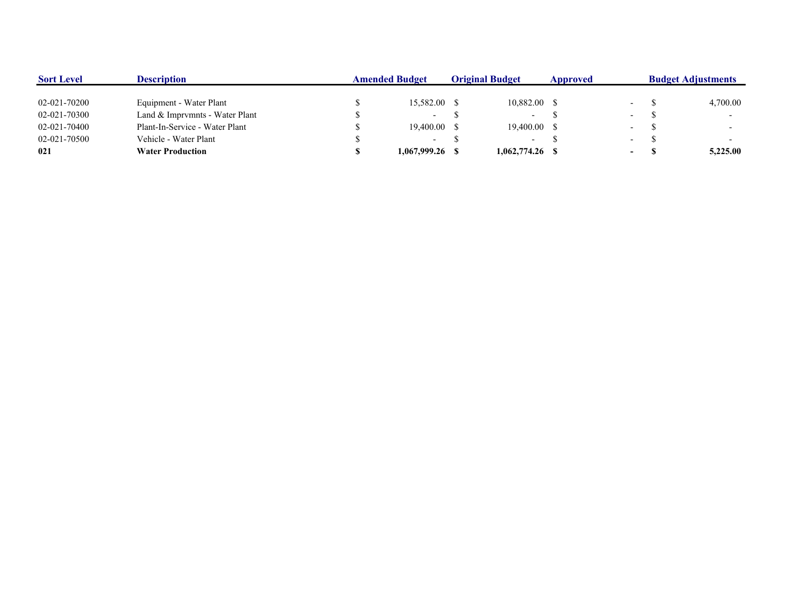| <b>Sort Level</b> | <b>Description</b>             |  | <b>Amended Budget</b> |  | <b>Original Budget</b>   | Approved |                          | <b>Budget Adjustments</b> |          |  |
|-------------------|--------------------------------|--|-----------------------|--|--------------------------|----------|--------------------------|---------------------------|----------|--|
|                   |                                |  |                       |  |                          |          |                          |                           |          |  |
| 02-021-70200      | Equipment - Water Plant        |  | 15.582.00 \$          |  | 10,882.00 \$             |          |                          |                           | 4,700.00 |  |
| 02-021-70300      | Land & Imprvmnts - Water Plant |  | $\sim$ $-$            |  | $\overline{\phantom{0}}$ |          | $\overline{\phantom{a}}$ |                           |          |  |
| 02-021-70400      | Plant-In-Service - Water Plant |  | 19.400.00             |  | $19,400.00$ \$           |          | $\overline{\phantom{a}}$ |                           |          |  |
| 02-021-70500      | Vehicle - Water Plant          |  | $\sim$ $-$            |  | $\overline{\phantom{0}}$ |          |                          |                           |          |  |
| 021               | <b>Water Production</b>        |  | 1.067.999.26          |  | 1,062,774.26 \$          |          | $\overline{\phantom{0}}$ |                           | 5,225.00 |  |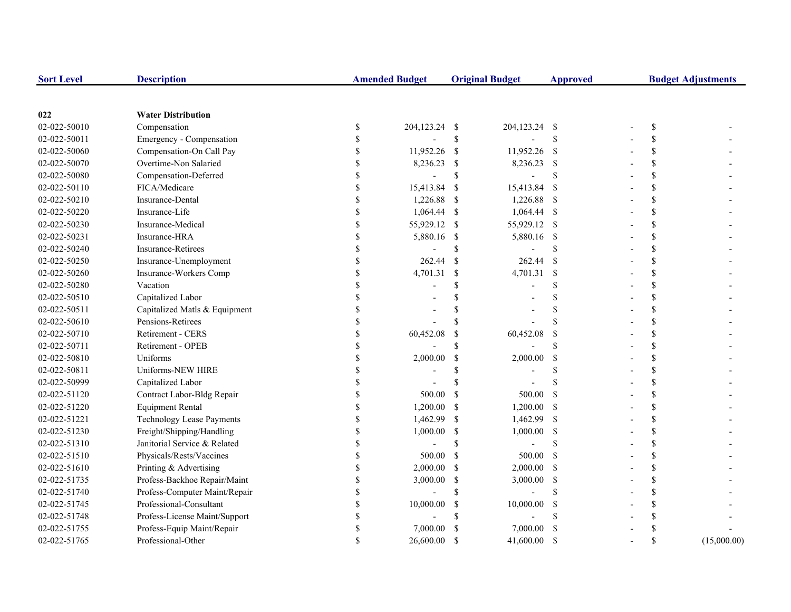| <b>Sort Level</b> | <b>Description</b>               |                    | <b>Amended Budget</b> |               | <b>Original Budget</b> | <b>Approved</b> | <b>Budget Adjustments</b> |             |
|-------------------|----------------------------------|--------------------|-----------------------|---------------|------------------------|-----------------|---------------------------|-------------|
|                   |                                  |                    |                       |               |                        |                 |                           |             |
| 022               | <b>Water Distribution</b>        |                    |                       |               |                        |                 |                           |             |
| 02-022-50010      | Compensation                     | \$                 | 204,123.24 \$         |               | 204,123.24 \$          |                 | \$                        |             |
| 02-022-50011      | Emergency - Compensation         | \$                 |                       | $\mathbb{S}$  |                        | \$              | \$                        |             |
| 02-022-50060      | Compensation-On Call Pay         | \$                 | 11,952.26             | $\mathbb{S}$  | 11,952.26 \$           |                 | \$                        |             |
| 02-022-50070      | Overtime-Non Salaried            | <sup>\$</sup>      | 8,236.23              | \$            | 8,236.23 \$            |                 | \$                        |             |
| 02-022-50080      | Compensation-Deferred            |                    | $\overline{a}$        | $\mathbb{S}$  |                        | \$              | \$                        |             |
| 02-022-50110      | FICA/Medicare                    |                    | 15,413.84             | -S            | 15,413.84              | - \$            | \$                        |             |
| 02-022-50210      | <b>Insurance-Dental</b>          | \$                 | 1,226.88              | -S            | 1,226.88 \$            |                 | \$                        |             |
| 02-022-50220      | Insurance-Life                   | $\mathbf{\hat{S}}$ | 1,064.44              | -\$           | $1,064.44$ \$          |                 | \$                        |             |
| 02-022-50230      | Insurance-Medical                | $\mathbf S$        | 55,929.12             | <sup>S</sup>  | 55,929.12 \$           |                 | \$                        |             |
| 02-022-50231      | Insurance-HRA                    | \$                 | 5,880.16              | -S            | 5,880.16 \$            |                 | \$                        |             |
| 02-022-50240      | <b>Insurance-Retirees</b>        | \$                 |                       | \$            |                        | <sup>\$</sup>   | \$                        |             |
| 02-022-50250      | Insurance-Unemployment           | \$                 | 262.44                | <sup>\$</sup> | 262.44                 | - S             | \$                        |             |
| 02-022-50260      | Insurance-Workers Comp           | \$                 | 4,701.31              | $\mathcal{S}$ | 4,701.31               | - \$            | \$                        |             |
| 02-022-50280      | Vacation                         |                    |                       | \$            |                        | <sup>\$</sup>   | \$                        |             |
| 02-022-50510      | Capitalized Labor                |                    |                       | \$            |                        | \$              | \$                        |             |
| 02-022-50511      | Capitalized Matls & Equipment    |                    |                       | <sup>\$</sup> |                        | <sup>\$</sup>   | \$                        |             |
| 02-022-50610      | Pensions-Retirees                |                    |                       | <sup>\$</sup> |                        | <sup>\$</sup>   | \$                        |             |
| 02-022-50710      | Retirement - CERS                |                    | 60,452.08             | $\mathbb{S}$  | 60,452.08              | $\mathcal{S}$   | \$                        |             |
| 02-022-50711      | Retirement - OPEB                | $\mathcal{S}$      |                       | <sup>\$</sup> |                        | <b>S</b>        | \$                        |             |
| 02-022-50810      | Uniforms                         | $\mathbf{\hat{S}}$ | 2,000.00              | $\mathcal{S}$ | 2,000.00               | -S              | \$                        |             |
| 02-022-50811      | Uniforms-NEW HIRE                | \$                 |                       | \$            |                        | <sup>\$</sup>   | \$                        |             |
| 02-022-50999      | Capitalized Labor                | \$                 |                       | <sup>\$</sup> |                        | $\mathcal{S}$   | \$                        |             |
| 02-022-51120      | Contract Labor-Bldg Repair       | \$                 | 500.00                | <sup>\$</sup> | 500.00                 | -S              | \$                        |             |
| 02-022-51220      | <b>Equipment Rental</b>          | \$                 | 1,200.00              | <sup>\$</sup> | $1,200.00$ \$          |                 | \$                        |             |
| 02-022-51221      | <b>Technology Lease Payments</b> | \$                 | 1,462.99              | -S            | 1,462.99 \$            |                 | \$                        |             |
| 02-022-51230      | Freight/Shipping/Handling        | \$                 | 1,000.00              | \$            | $1,000.00$ \$          |                 | \$                        |             |
| 02-022-51310      | Janitorial Service & Related     | <sup>\$</sup>      | L,                    | \$            |                        | \$              | \$                        |             |
| 02-022-51510      | Physicals/Rests/Vaccines         |                    | 500.00                | <sup>\$</sup> | 500.00                 | - \$            | \$                        |             |
| 02-022-51610      | Printing & Advertising           | $\mathcal{S}$      | 2,000.00              | -S            | $2,000.00$ \$          |                 | \$                        |             |
| 02-022-51735      | Profess-Backhoe Repair/Maint     | \$                 | 3,000.00              | \$            | 3,000.00               | - \$            | \$                        |             |
| 02-022-51740      | Profess-Computer Maint/Repair    | \$                 |                       | $\mathbf S$   |                        | \$              | \$                        |             |
| 02-022-51745      | Professional-Consultant          | \$                 | 10,000.00             | <sup>\$</sup> | 10,000.00              | -S              | \$                        |             |
| 02-022-51748      | Profess-License Maint/Support    | <sup>\$</sup>      |                       | <sup>\$</sup> |                        | <sup>\$</sup>   | \$                        |             |
| 02-022-51755      | Profess-Equip Maint/Repair       |                    | 7,000.00              | <sup>\$</sup> | 7,000.00               | <sup>\$</sup>   | \$                        |             |
| 02-022-51765      | Professional-Other               | \$                 | 26,600.00             | <sup>\$</sup> | 41,600.00              | - \$            | \$                        | (15,000.00) |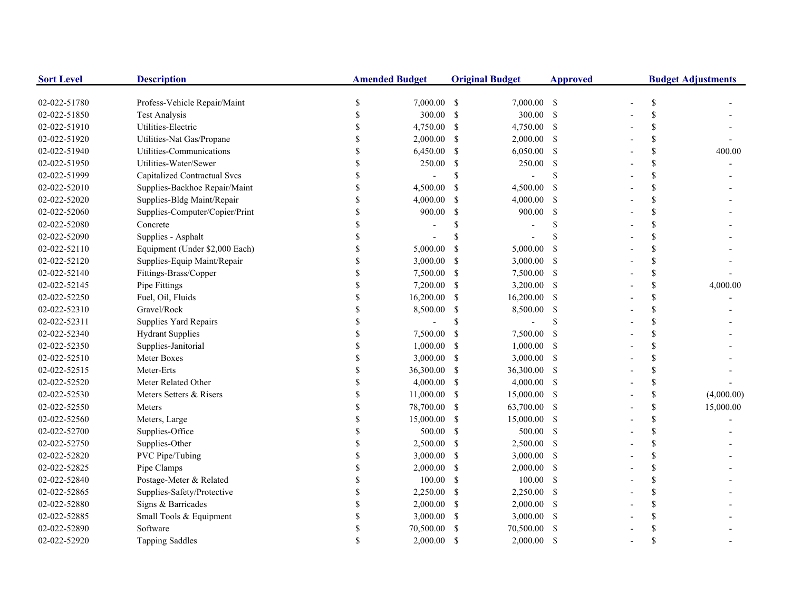| <b>Sort Level</b> | <b>Description</b>             | <b>Amended Budget</b> |                | <b>Original Budget</b> |                   | <b>Approved</b> | <b>Budget Adjustments</b> |               |            |
|-------------------|--------------------------------|-----------------------|----------------|------------------------|-------------------|-----------------|---------------------------|---------------|------------|
| 02-022-51780      | Profess-Vehicle Repair/Maint   | $\$$                  | $7,000.00$ \$  |                        | $7,000.00$ \$     |                 |                           | \$            |            |
| 02-022-51850      | <b>Test Analysis</b>           | \$                    | 300.00 \$      |                        | 300.00 \$         |                 |                           | \$            |            |
| 02-022-51910      | Utilities-Electric             | \$                    | 4,750.00       | -S                     | 4,750.00 \$       |                 |                           | \$            |            |
| 02-022-51920      | Utilities-Nat Gas/Propane      | \$                    | 2,000.00       | <sup>\$</sup>          | $2,000.00$ \$     |                 |                           | \$            |            |
| 02-022-51940      | Utilities-Communications       | $\mathbb{S}$          | 6,450.00       | <sup>\$</sup>          | $6,050.00$ \$     |                 |                           | \$            | 400.00     |
| 02-022-51950      | Utilities-Water/Sewer          | \$                    | 250.00         | -S                     | 250.00            | - \$            |                           | \$            |            |
| 02-022-51999      | Capitalized Contractual Svcs   | $\mathbb S$           |                | <sup>\$</sup>          |                   | S               |                           | \$            |            |
| 02-022-52010      | Supplies-Backhoe Repair/Maint  | $\mathbf{\hat{S}}$    | 4,500.00       | <sup>\$</sup>          | 4,500.00          | -S              |                           | \$            |            |
| 02-022-52020      | Supplies-Bldg Maint/Repair     | \$                    | 4,000.00       | -S                     | 4,000.00          | -S              |                           | \$            |            |
| 02-022-52060      | Supplies-Computer/Copier/Print | $\mathbb{S}$          | 900.00         | <sup>\$</sup>          | 900.00            | -S              |                           | \$            |            |
| 02-022-52080      | Concrete                       | \$                    |                | S                      |                   |                 |                           | \$            |            |
| 02-022-52090      | Supplies - Asphalt             | \$                    |                |                        |                   |                 |                           | \$            |            |
| 02-022-52110      | Equipment (Under \$2,000 Each) | \$                    | 5,000.00       | -S                     | 5,000.00          | <sup>\$</sup>   |                           | \$            |            |
| 02-022-52120      | Supplies-Equip Maint/Repair    | \$                    | 3,000.00       | <sup>\$</sup>          | $3,000.00$ \$     |                 |                           | \$            |            |
| 02-022-52140      | Fittings-Brass/Copper          | \$                    | 7,500.00       | <sup>\$</sup>          | 7,500.00 \$       |                 |                           | \$            |            |
| 02-022-52145      | Pipe Fittings                  | $\mathbb{S}$          | 7,200.00       | <sup>\$</sup>          | 3,200.00 \$       |                 |                           | \$            | 4,000.00   |
| 02-022-52250      | Fuel, Oil, Fluids              | \$                    | 16,200.00      | -S                     | $16,200.00$ \$    |                 |                           | \$            |            |
| 02-022-52310      | Gravel/Rock                    | \$                    | 8,500.00       | <sup>\$</sup>          | 8,500.00 \$       |                 |                           | \$            |            |
| 02-022-52311      | Supplies Yard Repairs          | $\mathbb S$           |                | <sup>\$</sup>          |                   | \$              |                           | \$            |            |
| 02-022-52340      | <b>Hydrant Supplies</b>        | $\mathbb{S}$          | 7,500.00       | <sup>\$</sup>          | 7,500.00          | -S              |                           | \$            |            |
| 02-022-52350      | Supplies-Janitorial            | \$                    | 1,000.00       | -S                     | $1,000.00$ \$     |                 |                           | \$            |            |
| 02-022-52510      | Meter Boxes                    | $\mathbb{S}$          | 3,000.00       | <sup>\$</sup>          | $3,000.00$ \$     |                 |                           | \$            |            |
| 02-022-52515      | Meter-Erts                     | $\mathbb S$           | 36,300.00      | -S                     | 36,300.00 \$      |                 |                           | \$            |            |
| 02-022-52520      | Meter Related Other            | \$                    | $4,000.00$ \$  |                        | 4,000.00 \$       |                 |                           | \$            |            |
| 02-022-52530      | Meters Setters & Risers        | \$                    | $11,000.00$ \$ |                        | 15,000.00 \$      |                 |                           | \$            | (4,000.00) |
| 02-022-52550      | Meters                         | \$                    | 78,700.00 \$   |                        | 63,700.00 \$      |                 |                           | \$            | 15,000.00  |
| 02-022-52560      | Meters, Large                  | \$                    | 15,000.00      | -S                     | 15,000.00 \$      |                 |                           | <sup>\$</sup> |            |
| 02-022-52700      | Supplies-Office                | \$                    | 500.00         | <sup>\$</sup>          | 500.00 \$         |                 |                           | <sup>\$</sup> |            |
| 02-022-52750      | Supplies-Other                 | \$                    | 2,500.00       | -S                     | 2,500.00 \$       |                 |                           | \$            |            |
| 02-022-52820      | PVC Pipe/Tubing                | \$                    | $3,000.00$ \$  |                        | $3,000.00$ \$     |                 |                           | \$            |            |
| 02-022-52825      | Pipe Clamps                    | \$                    | 2,000.00       | -S                     | $2,000.00$ \$     |                 |                           | \$            |            |
| 02-022-52840      | Postage-Meter & Related        | $\mathbb{S}$          | 100.00         | -S                     | $100.00 \quad$ \$ |                 |                           | \$            |            |
| 02-022-52865      | Supplies-Safety/Protective     | $\mathbb{S}$          | 2,250.00       | -S                     | 2,250.00 \$       |                 |                           | \$            |            |
| 02-022-52880      | Signs & Barricades             | $\mathbb S$           | 2,000.00       | -S                     | $2,000.00$ \$     |                 |                           | \$            |            |
| 02-022-52885      | Small Tools & Equipment        | \$                    | 3,000.00       | <sup>\$</sup>          | $3,000.00$ \$     |                 |                           | \$            |            |
| 02-022-52890      | Software                       | \$                    | 70,500.00      | -S                     | 70,500.00 \$      |                 |                           | \$            |            |
| 02-022-52920      | <b>Tapping Saddles</b>         | $\mathbb{S}$          | 2,000.00       | <sup>\$</sup>          | $2,000.00$ \$     |                 |                           | \$            |            |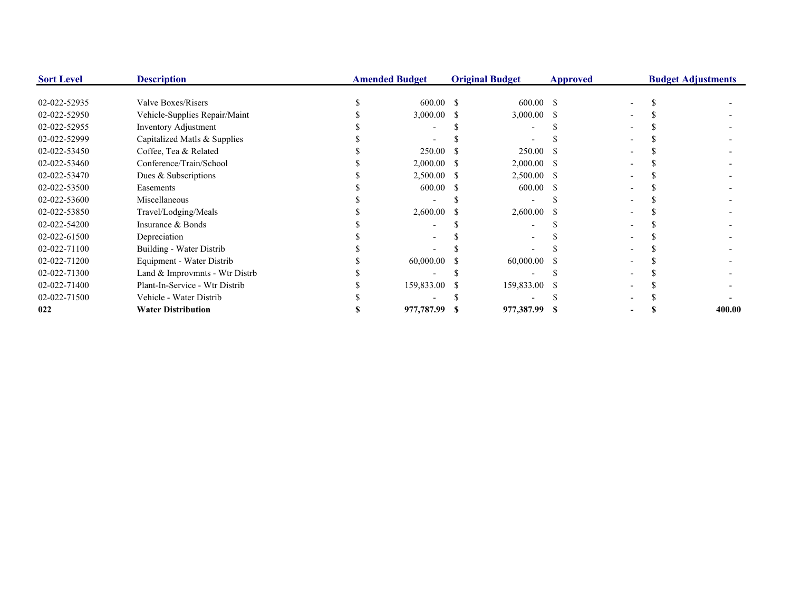| <b>Sort Level</b> | <b>Description</b>             | <b>Amended Budget</b> |    | <b>Original Budget</b> | <b>Approved</b> |  | <b>Budget Adjustments</b> |        |
|-------------------|--------------------------------|-----------------------|----|------------------------|-----------------|--|---------------------------|--------|
|                   |                                |                       |    |                        |                 |  |                           |        |
| 02-022-52935      | Valve Boxes/Risers             | 600.00 \$             |    | 600.00 \$              |                 |  |                           |        |
| 02-022-52950      | Vehicle-Supplies Repair/Maint  | 3,000.00              |    | $3,000.00$ \$          |                 |  |                           |        |
| 02-022-52955      | Inventory Adjustment           |                       |    |                        |                 |  |                           |        |
| 02-022-52999      | Capitalized Matls & Supplies   |                       |    |                        |                 |  |                           |        |
| 02-022-53450      | Coffee, Tea & Related          | 250.00                |    | 250.00                 |                 |  |                           |        |
| 02-022-53460      | Conference/Train/School        | 2,000.00              | -S | 2,000.00               |                 |  |                           |        |
| 02-022-53470      | Dues & Subscriptions           | $2,500.00$ \$         |    | 2,500.00 \$            |                 |  |                           |        |
| 02-022-53500      | Easements                      | 600.00                |    | 600.00                 |                 |  |                           |        |
| 02-022-53600      | Miscellaneous                  |                       |    |                        |                 |  |                           |        |
| 02-022-53850      | Travel/Lodging/Meals           | 2,600.00              |    | 2,600.00               |                 |  |                           |        |
| 02-022-54200      | Insurance & Bonds              |                       |    |                        |                 |  |                           |        |
| 02-022-61500      | Depreciation                   |                       |    |                        |                 |  |                           |        |
| 02-022-71100      | Building - Water Distrib       |                       |    |                        |                 |  |                           |        |
| 02-022-71200      | Equipment - Water Distrib      | 60,000.00             |    | 60,000.00              |                 |  |                           |        |
| 02-022-71300      | Land & Improvmnts - Wtr Distrb |                       |    |                        |                 |  |                           |        |
| 02-022-71400      | Plant-In-Service - Wtr Distrib | 159,833.00            |    | 159,833.00             |                 |  |                           |        |
| 02-022-71500      | Vehicle - Water Distrib        |                       |    |                        |                 |  |                           |        |
| 022               | <b>Water Distribution</b>      | 977,787.99            |    | 977,387.99             |                 |  |                           | 400.00 |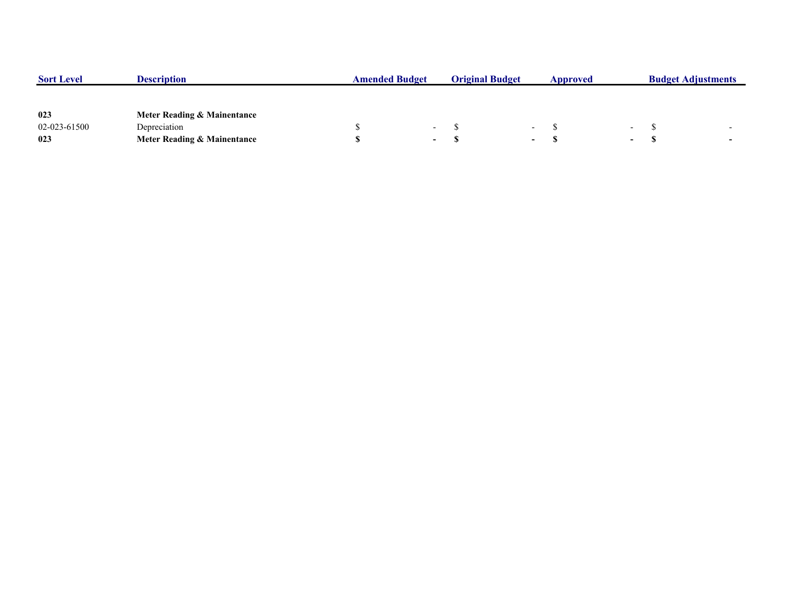| <b>Sort Level</b> | <b>Description</b>          | <b>Amended Budget</b> |                          | <b>Original Budget</b> |                          | Approved |                  | <b>Budget Adjustments</b> |  |
|-------------------|-----------------------------|-----------------------|--------------------------|------------------------|--------------------------|----------|------------------|---------------------------|--|
|                   |                             |                       |                          |                        |                          |          |                  |                           |  |
|                   |                             |                       |                          |                        |                          |          |                  |                           |  |
| 023               | Meter Reading & Mainentance |                       |                          |                        |                          |          |                  |                           |  |
| 02-023-61500      | Depreciation                |                       | $\overline{\phantom{0}}$ |                        | $\overline{\phantom{0}}$ |          | $\sim$ 100 $\mu$ |                           |  |
| 023               | Meter Reading & Mainentance |                       | $\sim$                   |                        | $\overline{\phantom{0}}$ |          | $\sim$           |                           |  |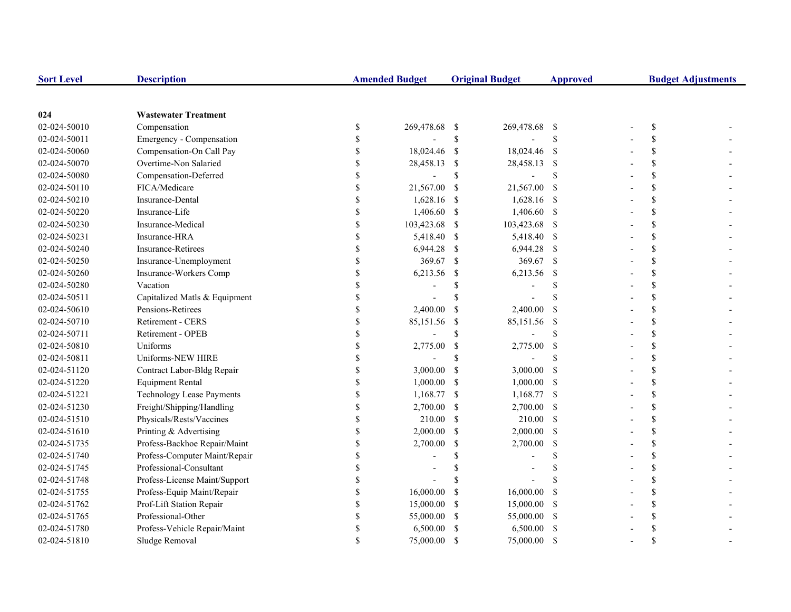| <b>Sort Level</b> | <b>Description</b>            |                    | <b>Amended Budget</b> |                    | <b>Original Budget</b>   | <b>Approved</b>           |               | <b>Budget Adjustments</b> |
|-------------------|-------------------------------|--------------------|-----------------------|--------------------|--------------------------|---------------------------|---------------|---------------------------|
|                   |                               |                    |                       |                    |                          |                           |               |                           |
| 024               | <b>Wastewater Treatment</b>   |                    |                       |                    |                          |                           |               |                           |
| 02-024-50010      | Compensation                  | \$                 | 269,478.68 \$         |                    | 269,478.68 \$            |                           | \$            |                           |
| 02-024-50011      | Emergency - Compensation      | \$                 |                       | $\mathsf{\$}$      |                          | $\boldsymbol{\mathsf{S}}$ | \$            |                           |
| 02-024-50060      | Compensation-On Call Pay      | \$                 | 18,024.46             | \$                 | 18,024.46 \$             |                           | \$            |                           |
| 02-024-50070      | Overtime-Non Salaried         | $\mathbf S$        | 28,458.13             | -\$                | 28,458.13                | \$                        | \$            |                           |
| 02-024-50080      | Compensation-Deferred         | $\mathbf S$        |                       | \$                 | L,                       | $\mathbb{S}$              | $\mathcal{S}$ |                           |
| 02-024-50110      | FICA/Medicare                 | \$                 | 21,567.00             | \$                 | 21,567.00                | $\mathcal{S}$             | $\mathcal{S}$ |                           |
| 02-024-50210      | Insurance-Dental              | \$                 | $1,628.16$ \$         |                    | $1,628.16$ \$            |                           | $\mathcal{S}$ |                           |
| 02-024-50220      | Insurance-Life                | \$                 | $1,406.60$ \$         |                    | $1,406.60$ \$            |                           | \$            |                           |
| 02-024-50230      | Insurance-Medical             | \$                 | 103,423.68            | -\$                | 103,423.68               | -S                        | \$            |                           |
| 02-024-50231      | Insurance-HRA                 | \$                 | 5,418.40 \$           |                    | 5,418.40 \$              |                           | \$            |                           |
| 02-024-50240      | Insurance-Retirees            | \$                 | 6,944.28              | - \$               | 6,944.28                 | -S                        | \$            |                           |
| 02-024-50250      | Insurance-Unemployment        | \$                 | 369.67                | $\mathbf{\hat{s}}$ | 369.67                   | <sup>\$</sup>             | \$            |                           |
| 02-024-50260      | Insurance-Workers Comp        | $\mathbf S$        | 6,213.56              | \$                 | 6,213.56                 | $\mathbb{S}$              | \$            |                           |
| 02-024-50280      | Vacation                      |                    |                       | \$                 | $\overline{\phantom{a}}$ | \$                        | \$            |                           |
| 02-024-50511      | Capitalized Matls & Equipment |                    |                       | \$                 |                          | \$                        | $\mathcal{S}$ |                           |
| 02-024-50610      | Pensions-Retirees             |                    | 2,400.00              | \$                 | 2,400.00                 | <sup>\$</sup>             | $\mathbf S$   |                           |
| 02-024-50710      | Retirement - CERS             | \$                 | 85,151.56             | -\$                | 85,151.56                | -S                        | \$            |                           |
| 02-024-50711      | Retirement - OPEB             | \$                 |                       | \$                 |                          | \$                        | \$            |                           |
| 02-024-50810      | Uniforms                      | \$                 | 2,775.00              | $\mathcal{S}$      | 2,775.00                 | <sup>\$</sup>             | \$.           |                           |
| 02-024-50811      | Uniforms-NEW HIRE             | \$                 |                       | \$                 |                          | \$                        | \$            |                           |
| 02-024-51120      | Contract Labor-Bldg Repair    | \$                 | 3,000.00              | $\mathcal{S}$      | 3,000.00                 | <sup>\$</sup>             | \$            |                           |
| 02-024-51220      | <b>Equipment Rental</b>       | \$                 | 1,000.00              | - \$               | 1,000.00                 | <sup>\$</sup>             | $\mathcal{S}$ |                           |
| 02-024-51221      | Technology Lease Payments     | \$                 | $1,168.77$ \$         |                    | 1,168.77                 | <sup>\$</sup>             | \$            |                           |
| 02-024-51230      | Freight/Shipping/Handling     | \$                 | 2,700.00              | -\$                | 2,700.00                 | <sup>\$</sup>             | \$            |                           |
| 02-024-51510      | Physicals/Rests/Vaccines      | S                  | 210.00                | $\mathbf s$        | 210.00 \$                |                           | \$            |                           |
| 02-024-51610      | Printing & Advertising        | \$                 | 2,000.00              | $\mathcal{S}$      | 2,000.00                 | $\mathcal{S}$             | \$            |                           |
| 02-024-51735      | Profess-Backhoe Repair/Maint  | \$                 | 2,700.00              | <sup>\$</sup>      | 2,700.00                 | <sup>\$</sup>             | \$            |                           |
| 02-024-51740      | Profess-Computer Maint/Repair | \$                 |                       | \$                 |                          | \$                        | \$            |                           |
| 02-024-51745      | Professional-Consultant       | \$                 |                       | <sup>\$</sup>      |                          | \$                        | \$            |                           |
| 02-024-51748      | Profess-License Maint/Support | \$                 |                       | \$                 |                          |                           | \$.           |                           |
| 02-024-51755      | Profess-Equip Maint/Repair    | $\mathbf{\hat{S}}$ | 16,000.00             | <sup>\$</sup>      | 16,000.00                | $\mathcal{S}$             | \$            |                           |
| 02-024-51762      | Prof-Lift Station Repair      | \$                 | 15,000.00             | -\$                | 15,000.00                | -S                        | \$            |                           |
| 02-024-51765      | Professional-Other            | \$                 | 55,000.00             | -\$                | 55,000.00                | -S                        | \$            |                           |
| 02-024-51780      | Profess-Vehicle Repair/Maint  |                    | 6,500.00              | <sup>\$</sup>      | 6,500.00                 | <sup>\$</sup>             | \$            |                           |
| 02-024-51810      | Sludge Removal                | \$                 | 75,000.00             | - \$               | 75,000.00                | \$                        | \$            |                           |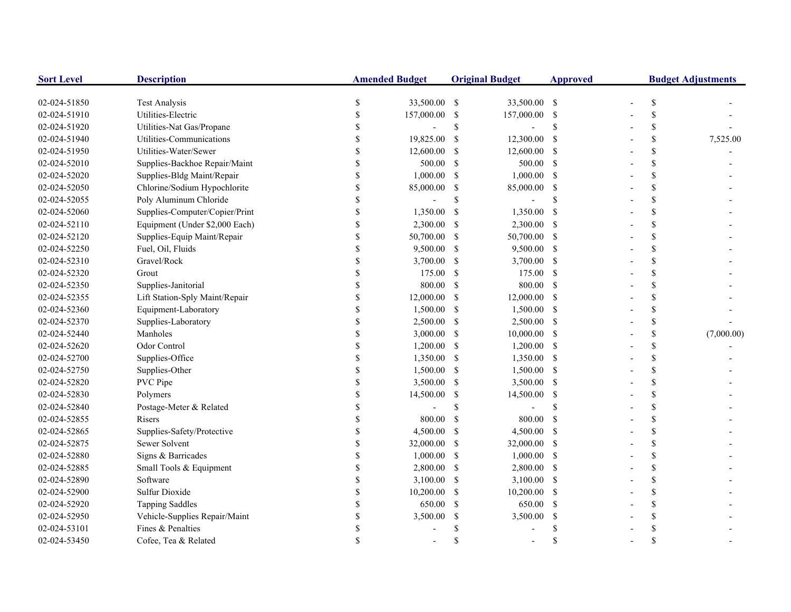| <b>Sort Level</b> | <b>Description</b>             | <b>Amended Budget</b> |              |               | <b>Original Budget</b> | <b>Approved</b> | <b>Budget Adjustments</b> |                    |            |
|-------------------|--------------------------------|-----------------------|--------------|---------------|------------------------|-----------------|---------------------------|--------------------|------------|
| 02-024-51850      | <b>Test Analysis</b>           | \$                    | 33,500.00 \$ |               | 33,500.00 \$           |                 |                           | \$                 |            |
| 02-024-51910      | Utilities-Electric             | \$                    | 157,000.00   | \$            | 157,000.00 \$          |                 |                           | \$                 |            |
| 02-024-51920      | Utilities-Nat Gas/Propane      | $\mathcal{S}$         |              | \$            |                        | $\mathbf S$     |                           | \$                 |            |
| 02-024-51940      | Utilities-Communications       | <sup>\$</sup>         | 19,825.00    | $\mathcal{S}$ | 12,300.00              | <sup>\$</sup>   |                           | \$                 | 7,525.00   |
| 02-024-51950      | Utilities-Water/Sewer          | \$                    | 12,600.00    | $\mathcal{S}$ | 12,600.00              | -\$             |                           | \$                 |            |
| 02-024-52010      | Supplies-Backhoe Repair/Maint  | \$                    | 500.00       | -S            | 500.00                 | -S              |                           | \$                 |            |
| 02-024-52020      | Supplies-Bldg Maint/Repair     | \$                    | 1,000.00     | -S            | 1,000.00               | -S              |                           | \$                 |            |
| 02-024-52050      | Chlorine/Sodium Hypochlorite   | \$                    | 85,000.00    | -\$           | 85,000.00              | -S              |                           | \$                 |            |
| 02-024-52055      | Poly Aluminum Chloride         | \$                    |              | \$            |                        | \$.             |                           | $\mathbf{\hat{S}}$ |            |
| 02-024-52060      | Supplies-Computer/Copier/Print | \$                    | 1,350.00     | $\mathcal{S}$ | 1,350.00               | <sup>\$</sup>   |                           | \$                 |            |
| 02-024-52110      | Equipment (Under \$2,000 Each) | \$                    | 2,300.00     | <sup>\$</sup> | 2,300.00               | S               |                           | \$                 |            |
| 02-024-52120      | Supplies-Equip Maint/Repair    | <sup>\$</sup>         | 50,700.00    | -\$           | 50,700.00              | -S              |                           | \$                 |            |
| 02-024-52250      | Fuel, Oil, Fluids              | \$                    | 9,500.00     | <sup>S</sup>  | 9,500.00               | -\$             |                           | \$                 |            |
| 02-024-52310      | Gravel/Rock                    |                       | 3,700.00     | \$            | 3,700.00               | \$              |                           | \$                 |            |
| 02-024-52320      | Grout                          |                       | 175.00       | \$            | 175.00                 | <sup>\$</sup>   |                           | \$                 |            |
| 02-024-52350      | Supplies-Janitorial            | \$.                   | 800.00       | -\$           | 800.00                 | $\mathbb{S}$    |                           | S                  |            |
| 02-024-52355      | Lift Station-Sply Maint/Repair |                       | 12,000.00    | $\mathcal{S}$ | 12,000.00              | <sup>\$</sup>   |                           | \$                 |            |
| 02-024-52360      | Equipment-Laboratory           | $\mathcal{S}$         | 1,500.00     | -\$           | 1,500.00               | -S              |                           | \$                 |            |
| 02-024-52370      | Supplies-Laboratory            | <sup>\$</sup>         | 2,500.00     | -\$           | 2,500.00               | -S              |                           | \$                 |            |
| 02-024-52440      | Manholes                       | $\mathbf S$           | 3,000.00     | -S            | $10,000.00$ \$         |                 |                           | \$                 | (7,000.00) |
| 02-024-52620      | Odor Control                   | \$                    | 1,200.00     | -\$           | 1,200.00               | -S              |                           | $\mathcal{S}$      |            |
| 02-024-52700      | Supplies-Office                | \$                    | 1,350.00     | -\$           | 1,350.00 \$            |                 |                           | \$                 |            |
| 02-024-52750      | Supplies-Other                 | \$                    | 1,500.00     | -S            | 1,500.00               | -S              |                           | \$                 |            |
| 02-024-52820      | PVC Pipe                       | \$                    | 3,500.00     | -\$           | 3,500.00               | -S              |                           | \$                 |            |
| 02-024-52830      | Polymers                       | <sup>\$</sup>         | 14,500.00    | <sup>\$</sup> | 14,500.00              | -S              |                           | \$                 |            |
| 02-024-52840      | Postage-Meter & Related        | <sup>\$</sup>         |              | \$            |                        | \$.             |                           | \$                 |            |
| 02-024-52855      | Risers                         |                       | 800.00       | $\mathcal{S}$ | 800.00                 | <sup>\$</sup>   |                           | \$                 |            |
| 02-024-52865      | Supplies-Safety/Protective     | \$.                   | 4,500.00     | -S            | 4,500.00               | -S              |                           | \$                 |            |
| 02-024-52875      | Sewer Solvent                  | \$                    | 32,000.00    | $\mathcal{S}$ | 32,000.00              | <sup>\$</sup>   |                           | \$                 |            |
| 02-024-52880      | Signs & Barricades             | <sup>\$</sup>         | 1,000.00     | -S            | 1,000.00               | <sup>\$</sup>   |                           | \$                 |            |
| 02-024-52885      | Small Tools & Equipment        | \$                    | 2,800.00     | -S            | 2,800.00               | -S              |                           | \$                 |            |
| 02-024-52890      | Software                       | \$                    | 3,100.00     | -S            | 3,100.00               | -S              |                           | $\mathcal{S}$      |            |
| 02-024-52900      | <b>Sulfur Dioxide</b>          | \$                    | 10,200.00    | -S            | 10,200.00              | -S              |                           | $\mathcal{S}$      |            |
| 02-024-52920      | <b>Tapping Saddles</b>         | \$                    | 650.00       | $\mathcal{S}$ | 650.00                 | -S              |                           | \$                 |            |
| 02-024-52950      | Vehicle-Supplies Repair/Maint  | <sup>\$</sup>         | 3,500.00     | \$            | 3,500.00               | S               |                           | \$                 |            |
| 02-024-53101      | Fines & Penalties              |                       |              | \$            |                        |                 |                           | S                  |            |
| 02-024-53450      | Cofee. Tea & Related           | $\mathcal{S}$         |              | \$            |                        |                 |                           | $\mathbf{\hat{S}}$ |            |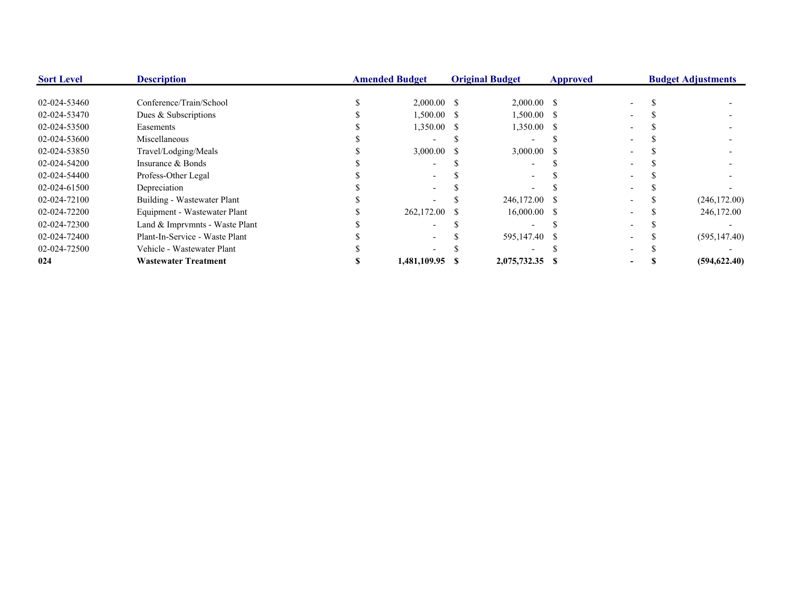| <b>Sort Level</b> | <b>Description</b>             | <b>Amended Budget</b> |               | <b>Original Budget</b> | <b>Approved</b> |  | <b>Budget Adjustments</b> |                |
|-------------------|--------------------------------|-----------------------|---------------|------------------------|-----------------|--|---------------------------|----------------|
|                   |                                |                       |               |                        |                 |  |                           |                |
| 02-024-53460      | Conference/Train/School        |                       | $2,000.00$ \$ | $2,000.00$ \$          |                 |  |                           |                |
| 02-024-53470      | Dues & Subscriptions           |                       | $1,500.00$ \$ | $1,500.00$ \$          |                 |  |                           |                |
| 02-024-53500      | Easements                      |                       | $1,350.00$ \$ | 1,350.00 \$            |                 |  |                           |                |
| 02-024-53600      | Miscellaneous                  |                       |               |                        |                 |  |                           |                |
| 02-024-53850      | Travel/Lodging/Meals           |                       | $3,000.00$ \$ | $3,000.00$ \$          |                 |  |                           |                |
| 02-024-54200      | Insurance & Bonds              |                       |               |                        |                 |  |                           |                |
| 02-024-54400      | Profess-Other Legal            |                       |               |                        |                 |  |                           |                |
| 02-024-61500      | Depreciation                   |                       |               |                        |                 |  |                           |                |
| 02-024-72100      | Building - Wastewater Plant    |                       |               | 246,172.00 \$          |                 |  |                           | (246, 172.00)  |
| 02-024-72200      | Equipment - Wastewater Plant   |                       | 262,172.00 \$ | $16,000.00$ \$         |                 |  |                           | 246,172.00     |
| 02-024-72300      | Land & Imprvmnts - Waste Plant |                       |               |                        |                 |  |                           |                |
| 02-024-72400      | Plant-In-Service - Waste Plant |                       |               | 595,147.40 \$          |                 |  |                           | (595, 147.40)  |
| 02-024-72500      | Vehicle - Wastewater Plant     |                       |               |                        |                 |  |                           |                |
| 024               | <b>Wastewater Treatment</b>    |                       | 1.481.109.95  | 2,075,732.35 \$        |                 |  |                           | (594, 622, 40) |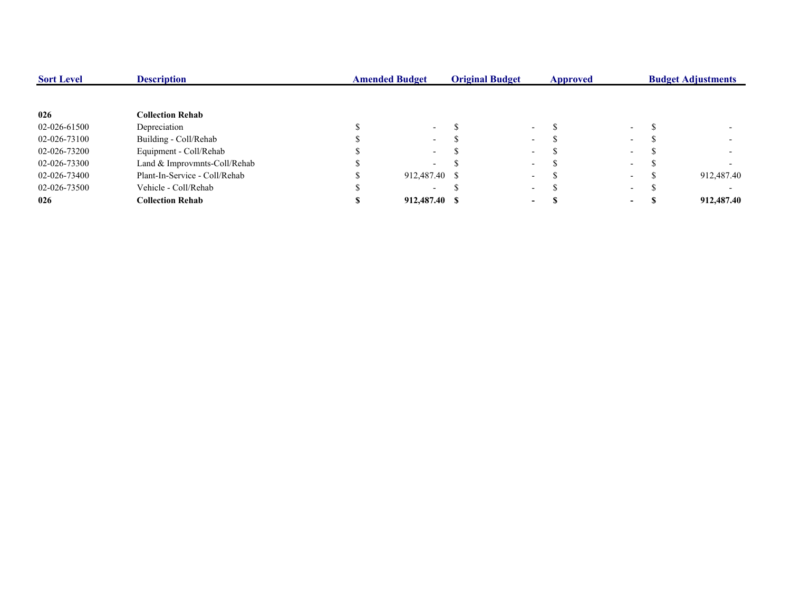| <b>Sort Level</b> | <b>Description</b>            | <b>Amended Budget</b><br><b>Original Budget</b> |               | <b>Approved</b> | <b>Budget Adjustments</b> |                          |  |            |
|-------------------|-------------------------------|-------------------------------------------------|---------------|-----------------|---------------------------|--------------------------|--|------------|
|                   |                               |                                                 |               |                 |                           |                          |  |            |
| 026               | <b>Collection Rehab</b>       |                                                 |               |                 |                           |                          |  |            |
| 02-026-61500      | Depreciation                  |                                                 | $-$           | $\sim$          |                           | $\sim$                   |  |            |
| 02-026-73100      | Building - Coll/Rehab         |                                                 | $\sim$        | $\sim$          |                           | $\sim$                   |  |            |
| 02-026-73200      | Equipment - Coll/Rehab        |                                                 | $\sim$        | $\sim$          |                           | $\sim$                   |  |            |
| 02-026-73300      | Land & Improvmnts-Coll/Rehab  |                                                 | $\sim$        | $\sim$          |                           | $\overline{\phantom{0}}$ |  |            |
| 02-026-73400      | Plant-In-Service - Coll/Rehab |                                                 | 912,487.40 \$ | $\sim$          |                           | $\sim$                   |  | 912,487.40 |
| 02-026-73500      | Vehicle - Coll/Rehab          |                                                 | $\sim$        | $\sim$          |                           | $\sim$                   |  |            |
| 026               | <b>Collection Rehab</b>       |                                                 | 912,487.40 \$ | $\sim$          |                           | $\sim$                   |  | 912,487.40 |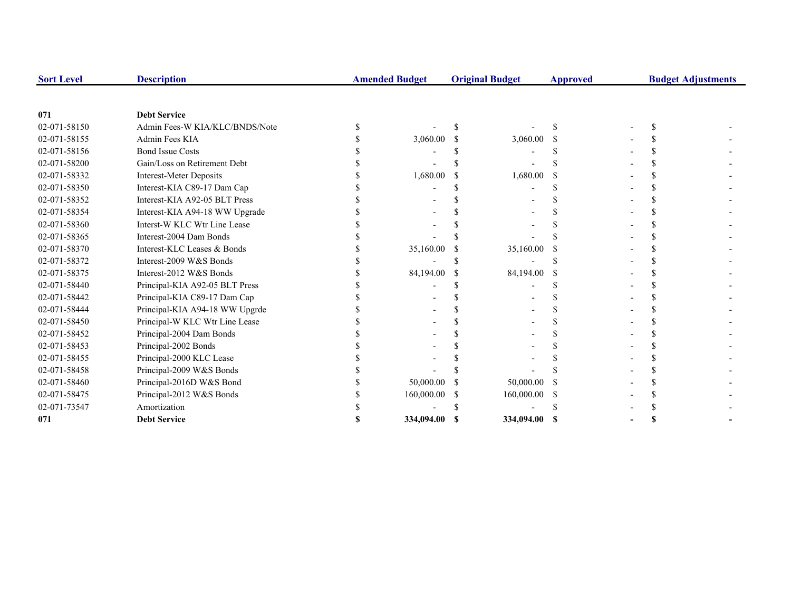| <b>Sort Level</b> | <b>Description</b>             | <b>Amended Budget</b> |               | <b>Original Budget</b> |               | <b>Approved</b> | <b>Budget Adjustments</b> |  |
|-------------------|--------------------------------|-----------------------|---------------|------------------------|---------------|-----------------|---------------------------|--|
|                   |                                |                       |               |                        |               |                 |                           |  |
| 071               | <b>Debt Service</b>            |                       |               |                        |               |                 |                           |  |
| 02-071-58150      | Admin Fees-W KIA/KLC/BNDS/Note |                       |               |                        |               |                 |                           |  |
| 02-071-58155      | Admin Fees KIA                 |                       | 3,060.00      |                        | 3,060.00      |                 |                           |  |
| 02-071-58156      | <b>Bond Issue Costs</b>        |                       |               |                        |               |                 |                           |  |
| 02-071-58200      | Gain/Loss on Retirement Debt   |                       |               |                        |               |                 |                           |  |
| 02-071-58332      | <b>Interest-Meter Deposits</b> |                       | 1,680.00      |                        | 1,680.00      |                 |                           |  |
| 02-071-58350      | Interest-KIA C89-17 Dam Cap    |                       |               |                        |               |                 |                           |  |
| 02-071-58352      | Interest-KIA A92-05 BLT Press  |                       |               |                        |               |                 |                           |  |
| 02-071-58354      | Interest-KIA A94-18 WW Upgrade |                       |               |                        |               |                 |                           |  |
| 02-071-58360      | Interst-W KLC Wtr Line Lease   |                       |               |                        |               |                 |                           |  |
| 02-071-58365      | Interest-2004 Dam Bonds        |                       |               |                        |               |                 |                           |  |
| 02-071-58370      | Interest-KLC Leases & Bonds    |                       | 35,160.00     |                        | 35,160.00     |                 |                           |  |
| 02-071-58372      | Interest-2009 W&S Bonds        |                       |               |                        |               |                 |                           |  |
| 02-071-58375      | Interest-2012 W&S Bonds        |                       | 84,194.00     |                        | 84,194.00     |                 |                           |  |
| 02-071-58440      | Principal-KIA A92-05 BLT Press |                       |               |                        |               |                 |                           |  |
| 02-071-58442      | Principal-KIA C89-17 Dam Cap   |                       |               |                        |               |                 |                           |  |
| 02-071-58444      | Principal-KIA A94-18 WW Upgrde |                       |               |                        |               |                 |                           |  |
| 02-071-58450      | Principal-W KLC Wtr Line Lease |                       |               |                        |               |                 |                           |  |
| 02-071-58452      | Principal-2004 Dam Bonds       |                       |               |                        |               |                 |                           |  |
| 02-071-58453      | Principal-2002 Bonds           |                       |               |                        |               |                 |                           |  |
| 02-071-58455      | Principal-2000 KLC Lease       |                       |               |                        |               |                 |                           |  |
| 02-071-58458      | Principal-2009 W&S Bonds       |                       |               |                        |               |                 |                           |  |
| 02-071-58460      | Principal-2016D W&S Bond       |                       | 50,000.00     |                        | 50,000.00     |                 |                           |  |
| 02-071-58475      | Principal-2012 W&S Bonds       |                       | 160,000.00    | -S                     | 160,000.00    |                 |                           |  |
| 02-071-73547      | Amortization                   |                       |               |                        |               |                 |                           |  |
| 071               | <b>Debt Service</b>            |                       | 334,094.00 \$ |                        | 334,094.00 \$ |                 | S                         |  |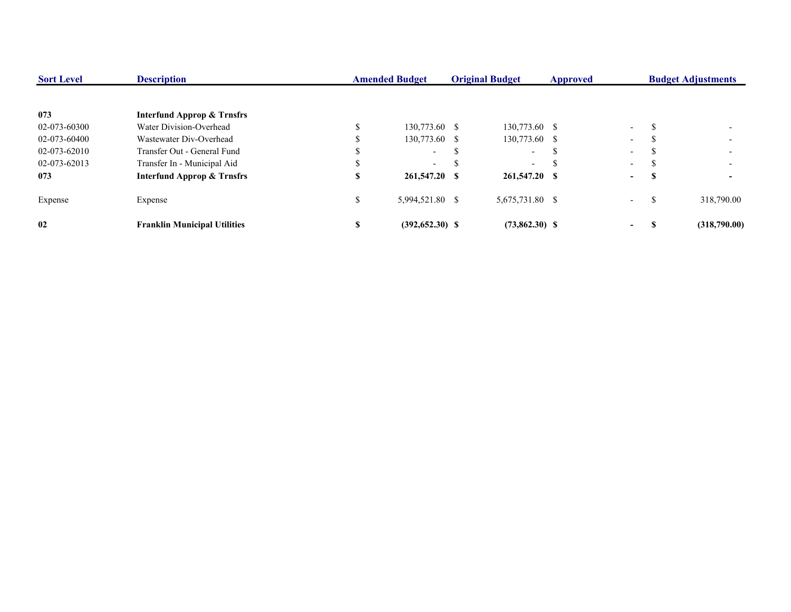| <b>Sort Level</b> | <b>Description</b>                    | <b>Amended Budget</b><br><b>Original Budget</b> |                   | <b>Approved</b>          |  | <b>Budget Adjustments</b> |    |              |
|-------------------|---------------------------------------|-------------------------------------------------|-------------------|--------------------------|--|---------------------------|----|--------------|
|                   |                                       |                                                 |                   |                          |  |                           |    |              |
| 073               | <b>Interfund Approp &amp; Trnsfrs</b> |                                                 |                   |                          |  |                           |    |              |
| 02-073-60300      | Water Division-Overhead               |                                                 | 130,773.60 \$     | 130,773.60 \$            |  | $\sim$                    |    |              |
| 02-073-60400      | Wastewater Div-Overhead               |                                                 | 130,773.60 \$     | 130,773.60 \$            |  | $\sim$                    | Эħ |              |
| 02-073-62010      | Transfer Out - General Fund           |                                                 | $\sim$            | $\overline{\phantom{a}}$ |  | $\sim$                    |    |              |
| 02-073-62013      | Transfer In - Municipal Aid           |                                                 | $\sim$            | $\overline{\phantom{0}}$ |  | $\overline{\phantom{a}}$  |    |              |
| 073               | <b>Interfund Approp &amp; Trnsfrs</b> |                                                 | 261,547.20 \$     | 261,547.20 \$            |  | ۰.                        |    |              |
| Expense           | Expense                               | ъ.                                              | 5,994,521.80 \$   | 5,675,731.80 \$          |  | $\sim$                    | -S | 318,790.00   |
| 02                | <b>Franklin Municipal Utilities</b>   | ъ                                               | $(392,652.30)$ \$ | $(73,862.30)$ \$         |  | $\sim$                    |    | (318,790.00) |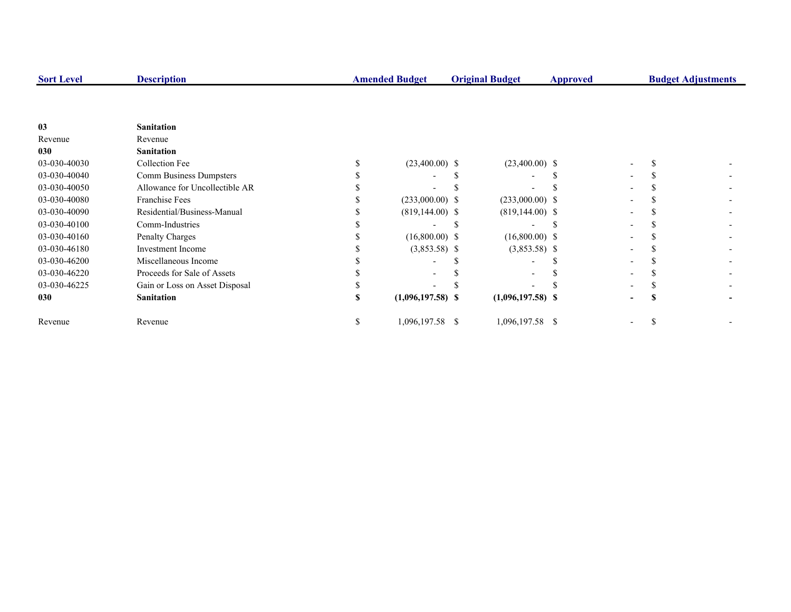| <b>Sort Level</b> | <b>Description</b>             | <b>Amended Budget</b> | <b>Original Budget</b> | Approved |  | <b>Budget Adjustments</b> |
|-------------------|--------------------------------|-----------------------|------------------------|----------|--|---------------------------|
|                   |                                |                       |                        |          |  |                           |
| 03                | <b>Sanitation</b>              |                       |                        |          |  |                           |
| Revenue           | Revenue                        |                       |                        |          |  |                           |
| 030               | <b>Sanitation</b>              |                       |                        |          |  |                           |
| 03-030-40030      | Collection Fee                 | $(23,400.00)$ \$      | $(23,400.00)$ \$       |          |  |                           |
| 03-030-40040      | <b>Comm Business Dumpsters</b> |                       |                        |          |  |                           |
| 03-030-40050      | Allowance for Uncollectible AR |                       |                        |          |  |                           |
| 03-030-40080      | Franchise Fees                 | $(233,000.00)$ \$     | $(233,000.00)$ \$      |          |  |                           |
| 03-030-40090      | Residential/Business-Manual    | $(819, 144.00)$ \$    | $(819, 144.00)$ \$     |          |  |                           |
| 03-030-40100      | Comm-Industries                |                       |                        |          |  |                           |
| 03-030-40160      | Penalty Charges                | $(16,800.00)$ \$      | $(16,800.00)$ \$       |          |  |                           |
| 03-030-46180      | Investment Income              | $(3,853.58)$ \$       | $(3,853.58)$ \$        |          |  |                           |
| 03-030-46200      | Miscellaneous Income           |                       |                        |          |  |                           |
| 03-030-46220      | Proceeds for Sale of Assets    |                       |                        |          |  |                           |
| 03-030-46225      | Gain or Loss on Asset Disposal |                       |                        |          |  |                           |
| 030               | <b>Sanitation</b>              | $(1,096,197.58)$ \$   | $(1,096,197.58)$ \$    |          |  |                           |
| Revenue           | Revenue                        | 1,096,197.58 \$       | 1,096,197.58 \$        |          |  |                           |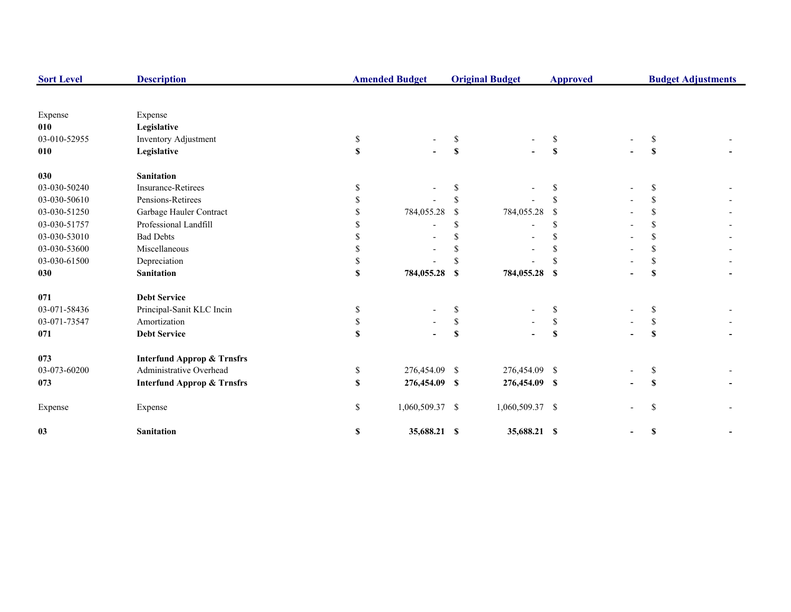| <b>Sort Level</b> | <b>Description</b>                    |             | <b>Amended Budget</b> |                           | <b>Original Budget</b> | <b>Approved</b> |                          | <b>Budget Adjustments</b> |  |
|-------------------|---------------------------------------|-------------|-----------------------|---------------------------|------------------------|-----------------|--------------------------|---------------------------|--|
|                   |                                       |             |                       |                           |                        |                 |                          |                           |  |
| Expense           | Expense                               |             |                       |                           |                        |                 |                          |                           |  |
| 010               | Legislative                           |             |                       |                           |                        |                 |                          |                           |  |
| 03-010-52955      | Inventory Adjustment                  | \$          |                       | \$                        |                        | \$              |                          | \$                        |  |
| 010               | Legislative                           | $\mathbf S$ |                       | $\boldsymbol{\mathsf{S}}$ |                        | \$              |                          | S                         |  |
| 030               | <b>Sanitation</b>                     |             |                       |                           |                        |                 |                          |                           |  |
| 03-030-50240      | <b>Insurance-Retirees</b>             | \$          |                       |                           |                        | \$              |                          | \$                        |  |
| 03-030-50610      | Pensions-Retirees                     | \$          |                       |                           |                        | \$              |                          | \$                        |  |
| 03-030-51250      | Garbage Hauler Contract               |             | 784,055.28            | -S                        | 784,055.28             | S               |                          | \$                        |  |
| 03-030-51757      | Professional Landfill                 |             |                       | \$.                       |                        | \$              |                          | \$                        |  |
| 03-030-53010      | <b>Bad Debts</b>                      |             |                       |                           |                        | \$              |                          | \$                        |  |
| 03-030-53600      | Miscellaneous                         | S           |                       |                           |                        | S               |                          | \$                        |  |
| 03-030-61500      | Depreciation                          | \$          |                       | \$                        |                        | \$              |                          | \$                        |  |
| 030               | <b>Sanitation</b>                     | S           | 784,055.28 \$         |                           | 784,055.28             | -S              |                          | S                         |  |
| 071               | <b>Debt Service</b>                   |             |                       |                           |                        |                 |                          |                           |  |
| 03-071-58436      | Principal-Sanit KLC Incin             | \$          |                       | \$                        |                        | \$              |                          | \$                        |  |
| 03-071-73547      | Amortization                          | \$          |                       | \$                        |                        | \$              |                          | \$                        |  |
| 071               | <b>Debt Service</b>                   | \$          |                       | \$                        |                        | S               |                          | \$                        |  |
| 073               | <b>Interfund Approp &amp; Trnsfrs</b> |             |                       |                           |                        |                 |                          |                           |  |
| 03-073-60200      | Administrative Overhead               | \$          | 276,454.09 \$         |                           | 276,454.09 \$          |                 |                          | $\$$                      |  |
| 073               | <b>Interfund Approp &amp; Trnsfrs</b> | \$          | 276,454.09 \$         |                           | 276,454.09 \$          |                 |                          | \$                        |  |
| Expense           | Expense                               | \$          | 1,060,509.37 \$       |                           | 1,060,509.37 \$        |                 | $\overline{\phantom{0}}$ | \$                        |  |
| 03                | <b>Sanitation</b>                     | \$          | 35,688.21 \$          |                           | 35,688.21 \$           |                 |                          | \$                        |  |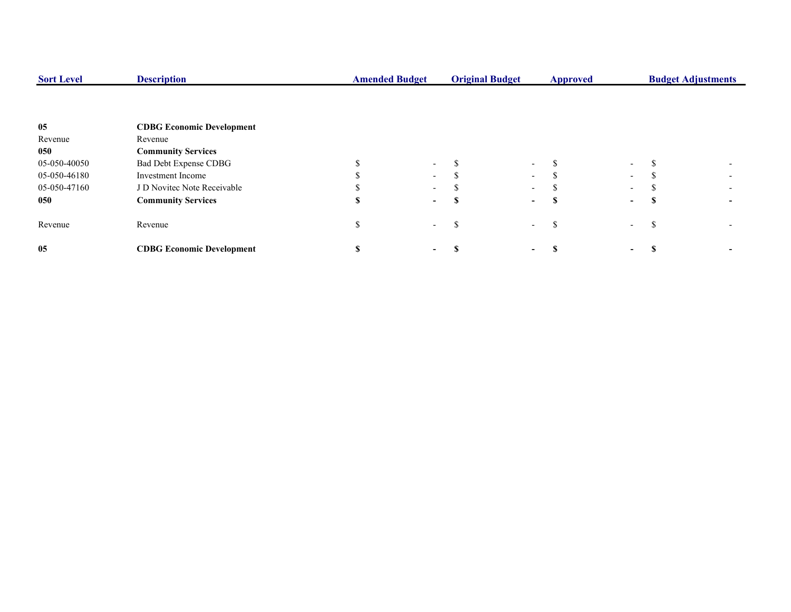| <b>Sort Level</b> | <b>Description</b>               | <b>Amended Budget</b><br><b>Original Budget</b> |        |               | <b>Approved</b> |  | <b>Budget Adjustments</b> |    |                          |
|-------------------|----------------------------------|-------------------------------------------------|--------|---------------|-----------------|--|---------------------------|----|--------------------------|
|                   |                                  |                                                 |        |               |                 |  |                           |    |                          |
| 05                | <b>CDBG Economic Development</b> |                                                 |        |               |                 |  |                           |    |                          |
| Revenue           | Revenue                          |                                                 |        |               |                 |  |                           |    |                          |
| 050               | <b>Community Services</b>        |                                                 |        |               |                 |  |                           |    |                          |
| 05-050-40050      | Bad Debt Expense CDBG            |                                                 | $\sim$ |               | $\sim$          |  | $\sim$                    |    |                          |
| 05-050-46180      | Investment Income                |                                                 | $\sim$ |               | $\sim$          |  | $\sim$                    |    | $\overline{\phantom{0}}$ |
| 05-050-47160      | J D Novitec Note Receivable      |                                                 | $\sim$ |               | $\sim$          |  | $\sim$                    |    | $\overline{\phantom{0}}$ |
| 050               | <b>Community Services</b>        |                                                 | ۰.     |               | $\sim$          |  | -                         | J. | $\blacksquare$           |
| Revenue           | Revenue                          |                                                 | $\sim$ | <sup>\$</sup> | $\sim$          |  | $\overline{\phantom{0}}$  | \$ |                          |
| 05                | <b>CDBG Economic Development</b> |                                                 |        |               | $\blacksquare$  |  | ۰.                        |    |                          |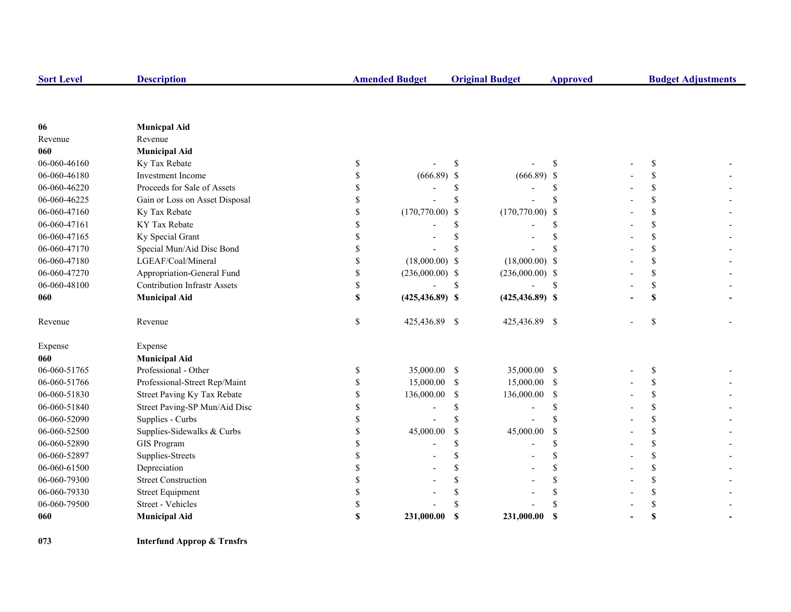| <b>Sort Level</b> | <b>Description</b>                  |               | <b>Amended Budget</b> |               | <b>Original Budget</b>   | <b>Approved</b> | <b>Budget Adjustments</b> |  |
|-------------------|-------------------------------------|---------------|-----------------------|---------------|--------------------------|-----------------|---------------------------|--|
|                   |                                     |               |                       |               |                          |                 |                           |  |
| 06                | <b>Municpal Aid</b>                 |               |                       |               |                          |                 |                           |  |
| Revenue           | Revenue                             |               |                       |               |                          |                 |                           |  |
| 060               | <b>Municipal Aid</b>                |               |                       |               |                          |                 |                           |  |
| 06-060-46160      | Ky Tax Rebate                       | \$            |                       | \$            |                          | \$              | <sup>\$</sup>             |  |
| 06-060-46180      | <b>Investment Income</b>            | \$            | $(666.89)$ \$         |               | $(666.89)$ \$            |                 | <sup>\$</sup>             |  |
| 06-060-46220      | Proceeds for Sale of Assets         | \$            |                       | \$            |                          | S               | <sup>\$</sup>             |  |
| 06-060-46225      | Gain or Loss on Asset Disposal      | \$            |                       | \$            |                          | S               | <sup>\$</sup>             |  |
| 06-060-47160      | Ky Tax Rebate                       | \$            | $(170,770.00)$ \$     |               | $(170,770.00)$ \$        |                 | <sup>\$</sup>             |  |
| 06-060-47161      | KY Tax Rebate                       | \$            |                       | \$            |                          |                 | $\mathcal{S}$             |  |
| 06-060-47165      | Ky Special Grant                    | \$            |                       | \$            |                          |                 | <sup>\$</sup>             |  |
| 06-060-47170      | Special Mun/Aid Disc Bond           | \$            |                       | \$            |                          |                 | $\mathcal{S}$             |  |
| 06-060-47180      | LGEAF/Coal/Mineral                  | \$            | $(18,000.00)$ \$      |               | $(18,000.00)$ \$         |                 | $\mathcal{S}$             |  |
| 06-060-47270      | Appropriation-General Fund          | \$            | $(236,000.00)$ \$     |               | $(236,000.00)$ \$        |                 | $\mathcal{S}$             |  |
| 06-060-48100      | <b>Contribution Infrastr Assets</b> | \$            |                       | S.            |                          | \$              | $\mathcal{S}$             |  |
| 060               | <b>Municipal Aid</b>                | \$            | $(425, 436.89)$ \$    |               | $(425, 436.89)$ \$       |                 | \$                        |  |
| Revenue           | Revenue                             | \$            | 425,436.89 \$         |               | 425,436.89 \$            |                 | \$                        |  |
| Expense           | Expense                             |               |                       |               |                          |                 |                           |  |
| 060               | <b>Municipal Aid</b>                |               |                       |               |                          |                 |                           |  |
| 06-060-51765      | Professional - Other                | \$            | 35,000.00 \$          |               | 35,000.00 \$             |                 | \$                        |  |
| 06-060-51766      | Professional-Street Rep/Maint       | \$            | 15,000.00             | -S            | 15,000.00 \$             |                 | <sup>\$</sup>             |  |
| 06-060-51830      | Street Paving Ky Tax Rebate         | \$            | 136,000.00            | <sup>\$</sup> | 136,000.00               | -\$             | <sup>\$</sup>             |  |
| 06-060-51840      | Street Paving-SP Mun/Aid Disc       | \$            |                       | \$            | $\overline{\phantom{a}}$ | S               | <sup>\$</sup>             |  |
| 06-060-52090      | Supplies - Curbs                    | \$            |                       | \$            |                          |                 | <sup>\$</sup>             |  |
| 06-060-52500      | Supplies-Sidewalks & Curbs          | \$            | 45,000.00             | \$            | 45,000.00                | <sup>\$</sup>   | <sup>\$</sup>             |  |
| 06-060-52890      | GIS Program                         | \$            |                       | \$            |                          | \$              | <sup>\$</sup>             |  |
| 06-060-52897      | Supplies-Streets                    | \$            |                       | \$            |                          | \$              | <sup>\$</sup>             |  |
| 06-060-61500      | Depreciation                        | \$            |                       | \$            |                          |                 | $\mathcal{S}$             |  |
| 06-060-79300      | <b>Street Construction</b>          | \$            |                       | \$            |                          |                 | <sup>\$</sup>             |  |
| 06-060-79330      | Street Equipment                    | \$            |                       | \$            |                          |                 | <sup>\$</sup>             |  |
| 06-060-79500      | Street - Vehicles                   | <sup>\$</sup> |                       | \$            |                          |                 | <sup>\$</sup>             |  |
| 060               | <b>Municipal Aid</b>                | \$            | 231,000.00            | <b>S</b>      | 231,000.00               | <b>S</b>        | \$                        |  |

**073 Interfund Approp & Trnsfrs**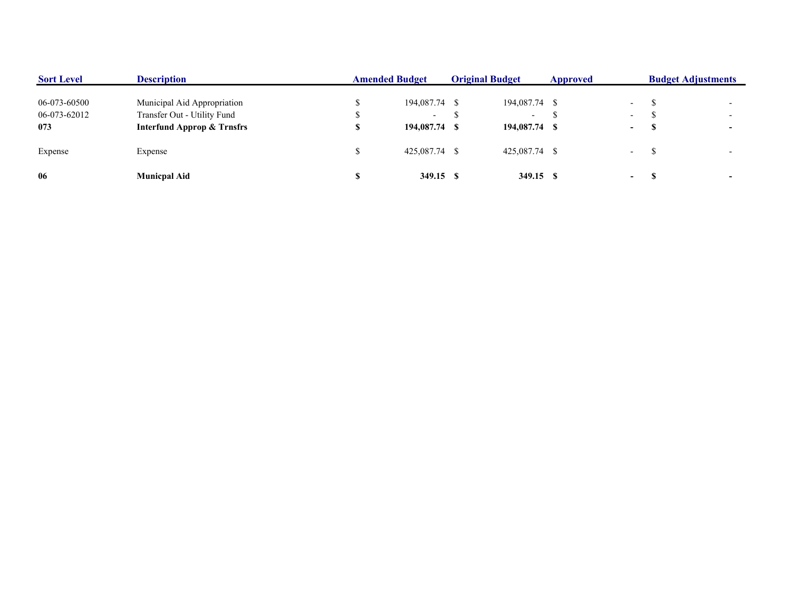| <b>Sort Level</b>   | <b>Description</b>                                                   | <b>Amended Budget</b> | <b>Original Budget</b>                    |    |                         | Approved |                                    | <b>Budget Adjustments</b> |                                    |  |
|---------------------|----------------------------------------------------------------------|-----------------------|-------------------------------------------|----|-------------------------|----------|------------------------------------|---------------------------|------------------------------------|--|
| 06-073-60500        | Municipal Aid Appropriation                                          |                       | 194,087.74 \$                             |    | 194,087.74 \$           |          | $\sim$                             |                           |                                    |  |
| 06-073-62012<br>073 | Transfer Out - Utility Fund<br><b>Interfund Approp &amp; Trnsfrs</b> | JD                    | $\overline{\phantom{0}}$<br>194,087.74 \$ | ۰D | $\sim$<br>194,087.74 \$ |          | $\sim$<br>$\overline{\phantom{0}}$ | - 30                      | $\overline{\phantom{0}}$<br>$\sim$ |  |
| Expense             | Expense                                                              |                       | 425,087.74 \$                             |    | 425,087.74 \$           |          | $\sim$                             |                           |                                    |  |
| 06                  | <b>Municpal Aid</b>                                                  |                       | $349.15$ \$                               |    | 349.15 \$               |          | $\sim$                             |                           |                                    |  |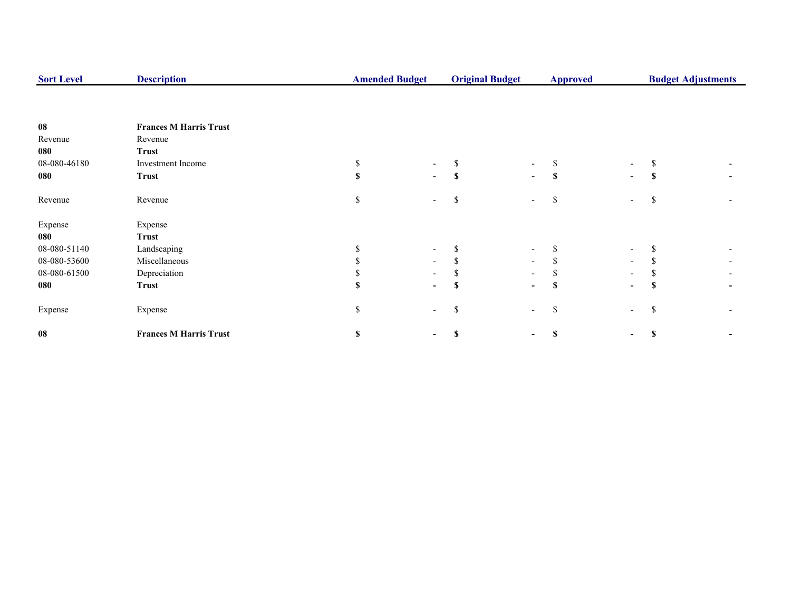| <b>Sort Level</b> | <b>Description</b>            | <b>Amended Budget</b><br><b>Original Budget</b> |                |               |                          | <b>Budget Adjustments</b><br><b>Approved</b> |                          |              |  |
|-------------------|-------------------------------|-------------------------------------------------|----------------|---------------|--------------------------|----------------------------------------------|--------------------------|--------------|--|
|                   |                               |                                                 |                |               |                          |                                              |                          |              |  |
| ${\bf 08}$        | <b>Frances M Harris Trust</b> |                                                 |                |               |                          |                                              |                          |              |  |
| Revenue           | Revenue                       |                                                 |                |               |                          |                                              |                          |              |  |
| 080               | <b>Trust</b>                  |                                                 |                |               |                          |                                              |                          |              |  |
| 08-080-46180      | Investment Income             | \$                                              |                |               | $\overline{\phantom{a}}$ | \$                                           |                          | \$           |  |
| 080               | <b>Trust</b>                  | \$                                              |                | \$            | $\blacksquare$           | \$.                                          | $\overline{\phantom{0}}$ | S            |  |
| Revenue           | Revenue                       | \$                                              |                | \$            | $\overline{\phantom{a}}$ | <sup>\$</sup>                                | $\overline{\phantom{a}}$ | $\mathbb{S}$ |  |
| Expense           | Expense                       |                                                 |                |               |                          |                                              |                          |              |  |
| 080               | <b>Trust</b>                  |                                                 |                |               |                          |                                              |                          |              |  |
| 08-080-51140      | Landscaping                   |                                                 |                |               | $\overline{\phantom{a}}$ |                                              | $\overline{\phantom{0}}$ | \$.          |  |
| 08-080-53600      | Miscellaneous                 |                                                 |                |               | $\overline{\phantom{a}}$ |                                              | $\overline{\phantom{a}}$ |              |  |
| 08-080-61500      | Depreciation                  |                                                 |                |               |                          |                                              |                          |              |  |
| 080               | <b>Trust</b>                  | S                                               | $\blacksquare$ | -S            | $\overline{\phantom{0}}$ |                                              | -                        | \$           |  |
| Expense           | Expense                       | \$                                              |                | <sup>\$</sup> | $\overline{\phantom{a}}$ | <sup>\$</sup>                                | $\overline{\phantom{a}}$ | \$           |  |
| 08                | <b>Frances M Harris Trust</b> | \$                                              |                | \$            | $\overline{\phantom{a}}$ |                                              | -                        | S            |  |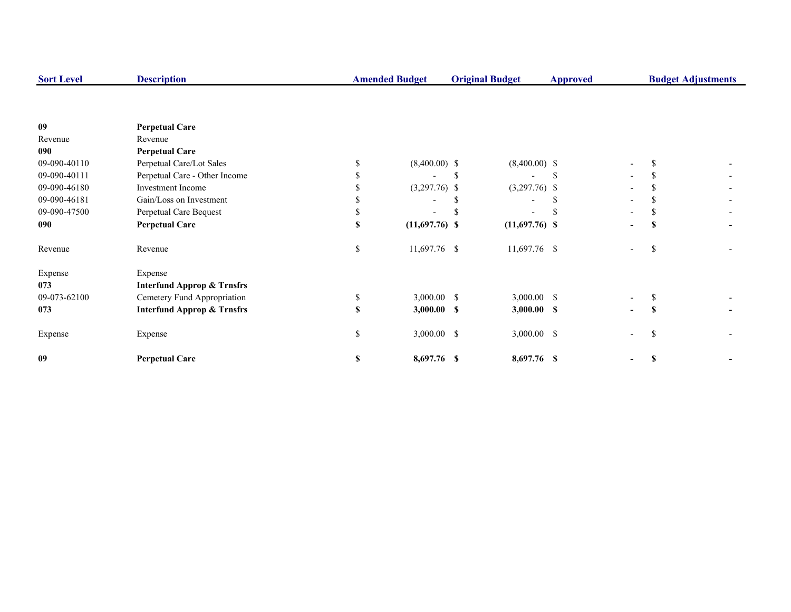| <b>Sort Level</b> | <b>Description</b>                    |      | <b>Amended Budget</b>    |   | <b>Original Budget</b> | <b>Approved</b> |                          | <b>Budget Adjustments</b> |  |
|-------------------|---------------------------------------|------|--------------------------|---|------------------------|-----------------|--------------------------|---------------------------|--|
|                   |                                       |      |                          |   |                        |                 |                          |                           |  |
| 09                | <b>Perpetual Care</b>                 |      |                          |   |                        |                 |                          |                           |  |
| Revenue           | Revenue                               |      |                          |   |                        |                 |                          |                           |  |
| 090               | <b>Perpetual Care</b>                 |      |                          |   |                        |                 |                          |                           |  |
| 09-090-40110      | Perpetual Care/Lot Sales              | S    | $(8,400.00)$ \$          |   | $(8,400.00)$ \$        |                 |                          | S                         |  |
| 09-090-40111      | Perpetual Care - Other Income         |      |                          | S |                        |                 | $\overline{\phantom{a}}$ |                           |  |
| 09-090-46180      | <b>Investment Income</b>              |      | $(3,297.76)$ \$          |   | $(3,297.76)$ \$        |                 |                          |                           |  |
| 09-090-46181      | Gain/Loss on Investment               |      | $\overline{\phantom{0}}$ | S |                        |                 | $\overline{\phantom{a}}$ | \$                        |  |
| 09-090-47500      | Perpetual Care Bequest                | ъ    |                          |   |                        |                 |                          | S                         |  |
| 090               | <b>Perpetual Care</b>                 | \$   | $(11,697.76)$ \$         |   | $(11,697.76)$ \$       |                 | -                        | \$                        |  |
| Revenue           | Revenue                               | $\$$ | 11,697.76 \$             |   | 11,697.76 \$           |                 |                          | $\mathbb{S}$              |  |
| Expense           | Expense                               |      |                          |   |                        |                 |                          |                           |  |
| 073               | <b>Interfund Approp &amp; Trnsfrs</b> |      |                          |   |                        |                 |                          |                           |  |
| 09-073-62100      | Cemetery Fund Appropriation           | \$   | $3,000.00$ \$            |   | $3,000.00$ \$          |                 |                          | \$                        |  |
| 073               | <b>Interfund Approp &amp; Trnsfrs</b> | \$   | 3,000.00 \$              |   | 3,000.00 \$            |                 | $\overline{\phantom{0}}$ | \$                        |  |
| Expense           | Expense                               | \$   | $3,000.00$ \$            |   | $3,000.00$ \$          |                 |                          | \$                        |  |
| 09                | <b>Perpetual Care</b>                 | \$   | 8,697.76 \$              |   | 8,697.76 \$            |                 | -                        | \$                        |  |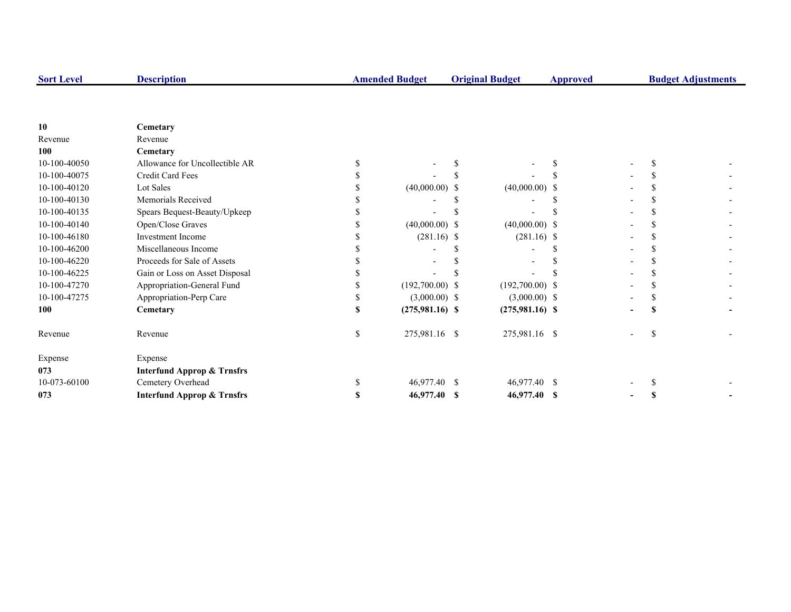| <b>Sort Level</b> | <b>Description</b>                    | <b>Amended Budget</b> |                   | <b>Original Budget</b> |                   | <b>Approved</b> |  | <b>Budget Adjustments</b> |  |
|-------------------|---------------------------------------|-----------------------|-------------------|------------------------|-------------------|-----------------|--|---------------------------|--|
|                   |                                       |                       |                   |                        |                   |                 |  |                           |  |
| 10                | Cemetary                              |                       |                   |                        |                   |                 |  |                           |  |
| Revenue           | Revenue                               |                       |                   |                        |                   |                 |  |                           |  |
| <b>100</b>        | Cemetary                              |                       |                   |                        |                   |                 |  |                           |  |
| 10-100-40050      | Allowance for Uncollectible AR        |                       |                   |                        |                   |                 |  |                           |  |
| 10-100-40075      | <b>Credit Card Fees</b>               |                       |                   |                        |                   |                 |  |                           |  |
| 10-100-40120      | Lot Sales                             |                       | $(40,000.00)$ \$  |                        | $(40,000.00)$ \$  |                 |  |                           |  |
| 10-100-40130      | Memorials Received                    |                       |                   |                        |                   |                 |  |                           |  |
| 10-100-40135      | Spears Bequest-Beauty/Upkeep          |                       |                   |                        |                   |                 |  |                           |  |
| 10-100-40140      | Open/Close Graves                     |                       | $(40,000.00)$ \$  |                        | $(40,000.00)$ \$  |                 |  |                           |  |
| 10-100-46180      | <b>Investment Income</b>              |                       | $(281.16)$ \$     |                        | $(281.16)$ \$     |                 |  |                           |  |
| 10-100-46200      | Miscellaneous Income                  |                       |                   |                        |                   |                 |  |                           |  |
| 10-100-46220      | Proceeds for Sale of Assets           |                       |                   |                        |                   |                 |  |                           |  |
| 10-100-46225      | Gain or Loss on Asset Disposal        |                       |                   |                        |                   |                 |  |                           |  |
| 10-100-47270      | Appropriation-General Fund            |                       | $(192,700.00)$ \$ |                        | $(192,700.00)$ \$ |                 |  |                           |  |
| 10-100-47275      | Appropriation-Perp Care               | \$                    | $(3,000.00)$ \$   |                        | $(3,000.00)$ \$   |                 |  |                           |  |
| <b>100</b>        | Cemetary                              | \$                    | $(275,981.16)$ \$ |                        | $(275,981.16)$ \$ |                 |  | \$.                       |  |
| Revenue           | Revenue                               | \$                    | 275,981.16 \$     |                        | 275,981.16 \$     |                 |  | S                         |  |
| Expense           | Expense                               |                       |                   |                        |                   |                 |  |                           |  |
| 073               | <b>Interfund Approp &amp; Trnsfrs</b> |                       |                   |                        |                   |                 |  |                           |  |
| 10-073-60100      | Cemetery Overhead                     |                       | 46,977.40 \$      |                        | 46,977.40 \$      |                 |  |                           |  |
| 073               | <b>Interfund Approp &amp; Trnsfrs</b> | \$                    | 46,977.40 \$      |                        | 46,977.40 \$      |                 |  | S                         |  |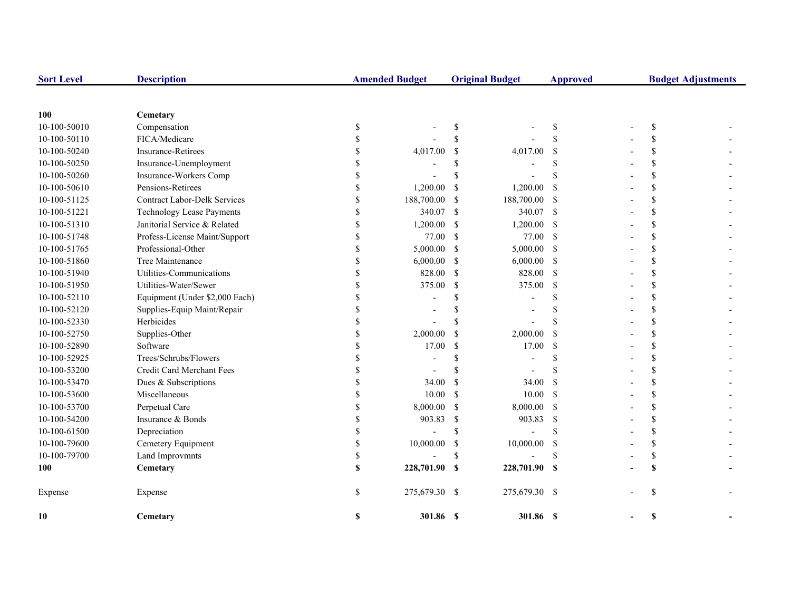| <b>Sort Level</b> | <b>Description</b>                  |               | <b>Amended Budget</b> |                           | <b>Original Budget</b> | <b>Approved</b> |    | <b>Budget Adjustments</b> |
|-------------------|-------------------------------------|---------------|-----------------------|---------------------------|------------------------|-----------------|----|---------------------------|
|                   |                                     |               |                       |                           |                        |                 |    |                           |
| 100               | Cemetary                            |               |                       |                           |                        |                 |    |                           |
| 10-100-50010      | Compensation                        | \$            |                       | \$                        |                        | \$              | \$ |                           |
| 10-100-50110      | FICA/Medicare                       |               |                       |                           |                        | \$.             | \$ |                           |
| 10-100-50240      | <b>Insurance-Retirees</b>           |               | 4,017.00              | <sup>\$</sup>             | 4,017.00               | $\mathcal{S}$   | \$ |                           |
| 10-100-50250      | Insurance-Unemployment              |               |                       | \$                        |                        | <sup>\$</sup>   | \$ |                           |
| 10-100-50260      | Insurance-Workers Comp              |               |                       |                           |                        | <sup>\$</sup>   | \$ |                           |
| 10-100-50610      | Pensions-Retirees                   |               | 1,200.00              | <sup>\$</sup>             | 1,200.00               | <sup>S</sup>    | \$ |                           |
| 10-100-51125      | <b>Contract Labor-Delk Services</b> |               | 188,700.00            | <sup>\$</sup>             | 188,700.00             | <sup>\$</sup>   | \$ |                           |
| 10-100-51221      | <b>Technology Lease Payments</b>    |               | 340.07                | -\$                       | 340.07 \$              |                 | \$ |                           |
| 10-100-51310      | Janitorial Service & Related        | $\mathcal{S}$ | 1,200.00              | <sup>\$</sup>             | 1,200.00               | <sup>\$</sup>   | \$ |                           |
| 10-100-51748      | Profess-License Maint/Support       |               | 77.00                 | $\mathbb{S}$              | 77.00 \$               |                 | \$ |                           |
| 10-100-51765      | Professional-Other                  |               | 5,000.00              | <sup>\$</sup>             | 5,000.00               | <sup>\$</sup>   | \$ |                           |
| 10-100-51860      | Tree Maintenance                    |               | 6,000.00              | <sup>\$</sup>             | 6,000.00               | -\$             | \$ |                           |
| 10-100-51940      | Utilities-Communications            |               | 828.00                | \$                        | 828.00                 | $\mathcal{S}$   | \$ |                           |
| 10-100-51950      | Utilities-Water/Sewer               |               | 375.00                | \$                        | 375.00                 | <sup>\$</sup>   | \$ |                           |
| 10-100-52110      | Equipment (Under \$2,000 Each)      |               |                       | \$                        |                        | <sup>\$</sup>   | \$ |                           |
| 10-100-52120      | Supplies-Equip Maint/Repair         |               |                       | \$.                       |                        | <sup>\$</sup>   | \$ |                           |
| 10-100-52330      | Herbicides                          |               |                       |                           |                        | <sup>\$</sup>   | \$ |                           |
| 10-100-52750      | Supplies-Other                      |               | 2,000.00              | <sup>\$</sup>             | 2,000.00               | <sup>\$</sup>   | \$ |                           |
| 10-100-52890      | Software                            |               | 17.00                 | <sup>\$</sup>             | 17.00                  | <sup>\$</sup>   | \$ |                           |
| 10-100-52925      | Trees/Schrubs/Flowers               |               |                       | \$                        |                        | \$              | \$ |                           |
| 10-100-53200      | <b>Credit Card Merchant Fees</b>    |               |                       |                           |                        | \$.             | \$ |                           |
| 10-100-53470      | Dues & Subscriptions                |               | 34.00                 | -\$                       | 34.00                  | <sup>\$</sup>   | \$ |                           |
| 10-100-53600      | Miscellaneous                       |               | 10.00                 | <sup>\$</sup>             | 10.00                  | - \$            | \$ |                           |
| 10-100-53700      | Perpetual Care                      |               | 8,000.00              | -S                        | 8,000.00               | -\$             | \$ |                           |
| 10-100-54200      | Insurance & Bonds                   |               | 903.83                | $\mathcal{S}$             | 903.83                 | \$              | \$ |                           |
| 10-100-61500      | Depreciation                        | \$            |                       | $\mathbf S$               |                        | <sup>\$</sup>   | \$ |                           |
| 10-100-79600      | Cemetery Equipment                  | \$            | 10,000.00             | $\boldsymbol{\mathsf{S}}$ | 10,000.00              | $\mathcal{S}$   | \$ |                           |
| 10-100-79700      | Land Improvmnts                     | \$            |                       | $\mathbf S$               |                        | <sup>\$</sup>   | \$ |                           |
| 100               | Cemetary                            | S             | 228,701.90 \$         |                           | 228,701.90 \$          |                 | S  |                           |
| Expense           | Expense                             | \$            | 275,679.30 \$         |                           | 275,679.30 \$          |                 | S  |                           |
| 10                | Cemetary                            | S             | 301.86 \$             |                           | 301.86 \$              |                 | S  |                           |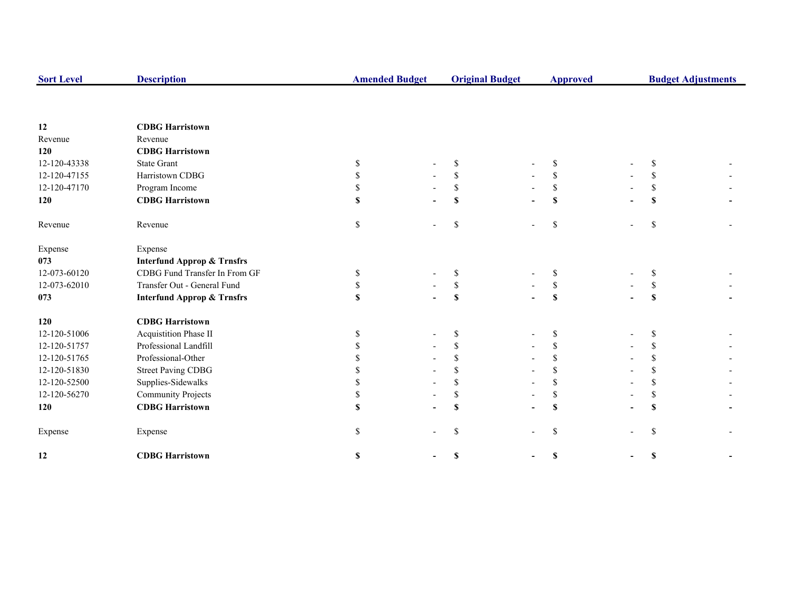| <b>Sort Level</b> | <b>Description</b>                    | <b>Amended Budget</b> |  | <b>Original Budget</b> | <b>Approved</b> |  | <b>Budget Adjustments</b> |  |
|-------------------|---------------------------------------|-----------------------|--|------------------------|-----------------|--|---------------------------|--|
|                   |                                       |                       |  |                        |                 |  |                           |  |
| 12                | <b>CDBG Harristown</b>                |                       |  |                        |                 |  |                           |  |
| Revenue           | Revenue                               |                       |  |                        |                 |  |                           |  |
| 120               | <b>CDBG</b> Harristown                |                       |  |                        |                 |  |                           |  |
| 12-120-43338      | <b>State Grant</b>                    |                       |  | \$                     |                 |  |                           |  |
| 12-120-47155      | Harristown CDBG                       |                       |  | \$                     |                 |  | \$                        |  |
| 12-120-47170      | Program Income                        |                       |  | \$                     |                 |  | <sup>\$</sup>             |  |
| 120               | <b>CDBG</b> Harristown                |                       |  | $\mathbf S$            | S               |  | S                         |  |
| Revenue           | Revenue                               | $\mathbf S$           |  | \$                     | <sup>\$</sup>   |  | <sup>\$</sup>             |  |
| Expense           | Expense                               |                       |  |                        |                 |  |                           |  |
| 073               | <b>Interfund Approp &amp; Trnsfrs</b> |                       |  |                        |                 |  |                           |  |
| 12-073-60120      | CDBG Fund Transfer In From GF         |                       |  | \$                     |                 |  | <sup>\$</sup>             |  |
| 12-073-62010      | Transfer Out - General Fund           | S                     |  | \$                     |                 |  | S                         |  |
| 073               | <b>Interfund Approp &amp; Trnsfrs</b> | $\mathbf{s}$          |  | \$                     |                 |  | $\mathbf{s}$              |  |
| 120               | <b>CDBG</b> Harristown                |                       |  |                        |                 |  |                           |  |
| 12-120-51006      | Acquistition Phase II                 |                       |  | \$                     |                 |  | \$                        |  |
| 12-120-51757      | Professional Landfill                 |                       |  | \$                     |                 |  | \$                        |  |
| 12-120-51765      | Professional-Other                    |                       |  | \$                     |                 |  | S                         |  |
| 12-120-51830      | <b>Street Paving CDBG</b>             |                       |  | \$                     |                 |  | \$                        |  |
| 12-120-52500      | Supplies-Sidewalks                    |                       |  | \$                     |                 |  | \$                        |  |
| 12-120-56270      | <b>Community Projects</b>             |                       |  | \$                     | S               |  | <sup>\$</sup>             |  |
| 120               | <b>CDBG</b> Harristown                |                       |  | $\mathbf S$            | $\mathbf{s}$    |  | S                         |  |
| Expense           | Expense                               | \$                    |  | \$                     | S               |  | <sup>\$</sup>             |  |
| 12                | <b>CDBG</b> Harristown                | <b>S</b>              |  | \$                     | <b>S</b>        |  | S                         |  |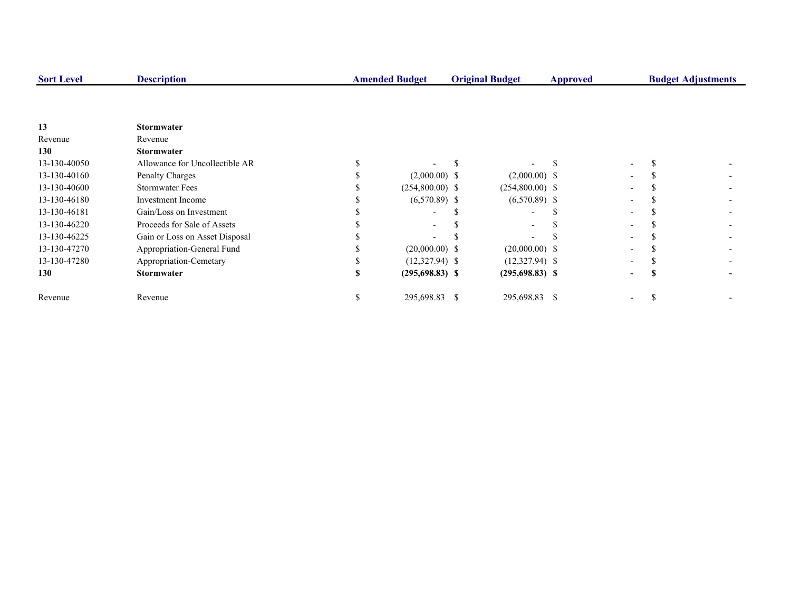| <b>Sort Level</b> | <b>Description</b>             | <b>Amended Budget</b> |  | <b>Original Budget</b> | Approved |                          | <b>Budget Adjustments</b> |  |  |
|-------------------|--------------------------------|-----------------------|--|------------------------|----------|--------------------------|---------------------------|--|--|
|                   |                                |                       |  |                        |          |                          |                           |  |  |
| 13                | <b>Stormwater</b>              |                       |  |                        |          |                          |                           |  |  |
| Revenue           | Revenue                        |                       |  |                        |          |                          |                           |  |  |
| <b>130</b>        | <b>Stormwater</b>              |                       |  |                        |          |                          |                           |  |  |
| 13-130-40050      | Allowance for Uncollectible AR |                       |  |                        |          | $\overline{\phantom{0}}$ |                           |  |  |
| 13-130-40160      | Penalty Charges                | $(2,000.00)$ \$       |  | $(2,000.00)$ \$        |          | -                        |                           |  |  |
| 13-130-40600      | <b>Stormwater Fees</b>         | $(254,800.00)$ \$     |  | $(254,800.00)$ \$      |          |                          |                           |  |  |
| 13-130-46180      | Investment Income              | $(6,570.89)$ \$       |  | $(6,570.89)$ \$        |          |                          |                           |  |  |
| 13-130-46181      | Gain/Loss on Investment        |                       |  |                        |          |                          |                           |  |  |
| 13-130-46220      | Proceeds for Sale of Assets    |                       |  |                        |          |                          |                           |  |  |
| 13-130-46225      | Gain or Loss on Asset Disposal |                       |  |                        |          |                          |                           |  |  |
| 13-130-47270      | Appropriation-General Fund     | $(20,000.00)$ \$      |  | $(20,000.00)$ \$       |          |                          |                           |  |  |
| 13-130-47280      | Appropriation-Cemetary         | $(12,327.94)$ \$      |  | $(12,327.94)$ \$       |          |                          |                           |  |  |
| <b>130</b>        | <b>Stormwater</b>              | $(295,698.83)$ \$     |  | $(295,698.83)$ \$      |          |                          |                           |  |  |
| Revenue           | Revenue                        | 295,698.83 \$         |  | 295,698.83 \$          |          | -                        |                           |  |  |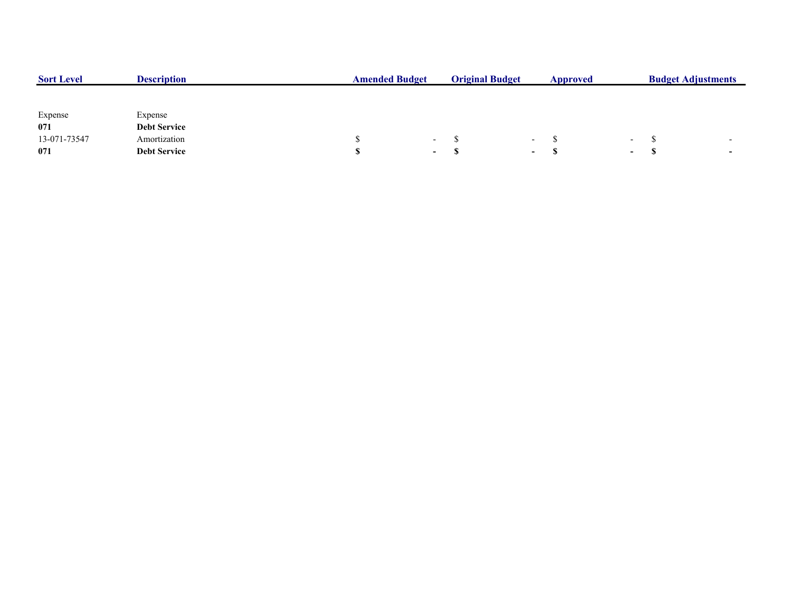| <b>Sort Level</b> | <b>Description</b>  | <b>Amended Budget</b> |            | <b>Original Budget</b> |        | Approved |                          | <b>Budget Adjustments</b> |  |  |
|-------------------|---------------------|-----------------------|------------|------------------------|--------|----------|--------------------------|---------------------------|--|--|
|                   |                     |                       |            |                        |        |          |                          |                           |  |  |
| Expense           | Expense             |                       |            |                        |        |          |                          |                           |  |  |
| 071               | <b>Debt Service</b> |                       |            |                        |        |          |                          |                           |  |  |
| 13-071-73547      | Amortization        |                       | $\sim$ $-$ |                        | $\sim$ |          | $\overline{\phantom{a}}$ |                           |  |  |
| 071               | <b>Debt Service</b> |                       | $\sim$     | J.                     | $\sim$ |          | $\sim$                   | ъĐ                        |  |  |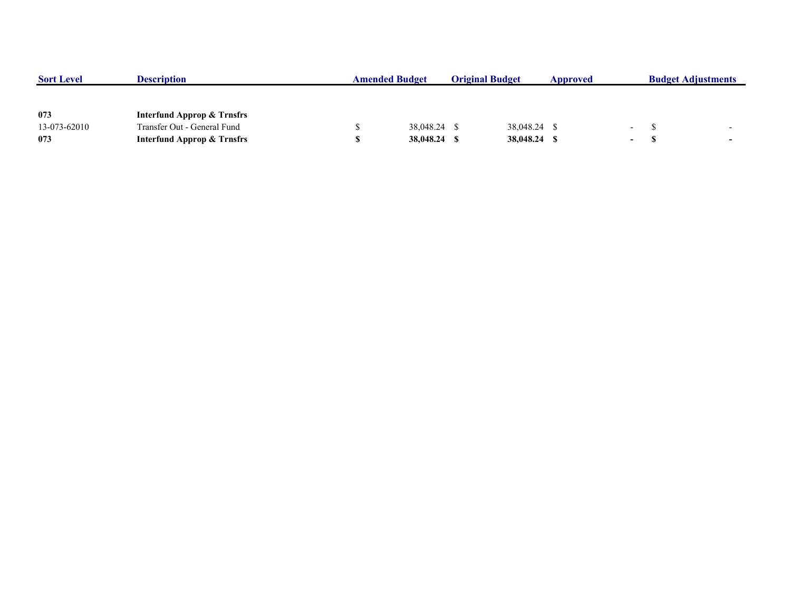| <b>Sort Level</b> | <b>Description</b>                    | <b>Amended Budget</b> |           | <b>Original Budget</b> |              | Approved |                  | <b>Budget Adjustments</b> |                          |
|-------------------|---------------------------------------|-----------------------|-----------|------------------------|--------------|----------|------------------|---------------------------|--------------------------|
|                   |                                       |                       |           |                        |              |          |                  |                           |                          |
|                   |                                       |                       |           |                        |              |          |                  |                           |                          |
| 073               | <b>Interfund Approp &amp; Trnsfrs</b> |                       |           |                        |              |          |                  |                           |                          |
| 13-073-62010      | Transfer Out - General Fund           |                       | 38,048.24 |                        | 38,048.24 \$ |          | $\sim 10^{-11}$  |                           | $\overline{\phantom{a}}$ |
| 073               | <b>Interfund Approp &amp; Trnsfrs</b> |                       | 38,048.24 |                        | 38,048.24 \$ |          | $\sim$ 100 $\mu$ |                           | $\sim$                   |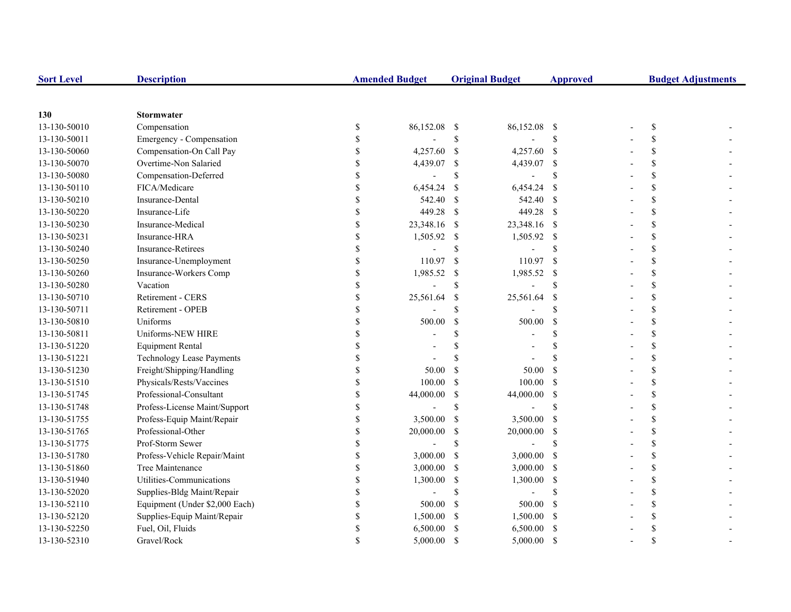| <b>Sort Level</b> | <b>Description</b>             |                    | <b>Amended Budget</b> |               | <b>Original Budget</b> | <b>Approved</b> |  | <b>Budget Adjustments</b> |  |
|-------------------|--------------------------------|--------------------|-----------------------|---------------|------------------------|-----------------|--|---------------------------|--|
|                   |                                |                    |                       |               |                        |                 |  |                           |  |
| 130               | <b>Stormwater</b>              |                    |                       |               |                        |                 |  |                           |  |
| 13-130-50010      | Compensation                   | $\mathbb{S}$       | 86,152.08 \$          |               | 86,152.08 \$           |                 |  | \$                        |  |
| 13-130-50011      | Emergency - Compensation       | \$                 |                       | \$            |                        | $\mathbf S$     |  | \$                        |  |
| 13-130-50060      | Compensation-On Call Pay       | \$                 | 4,257.60              | -\$           | $4,257.60$ \$          |                 |  | \$                        |  |
| 13-130-50070      | Overtime-Non Salaried          | \$                 | 4,439.07              | \$            | 4,439.07 \$            |                 |  | \$                        |  |
| 13-130-50080      | Compensation-Deferred          | \$                 |                       | \$            |                        | \$              |  | $\mathbb{S}$              |  |
| 13-130-50110      | FICA/Medicare                  | \$                 | 6,454.24              | $\mathcal{S}$ | 6,454.24               | <sup>S</sup>    |  | \$                        |  |
| 13-130-50210      | <b>Insurance-Dental</b>        | \$                 | 542.40                | -\$           | 542.40 \$              |                 |  | \$                        |  |
| 13-130-50220      | Insurance-Life                 | \$                 | 449.28                | <sup>S</sup>  | 449.28 \$              |                 |  | $\mathsf{\$}$             |  |
| 13-130-50230      | Insurance-Medical              | \$                 | 23,348.16             | -S            | 23,348.16 \$           |                 |  | $\mathsf{\$}$             |  |
| 13-130-50231      | Insurance-HRA                  | \$                 | 1,505.92              | -\$           | 1,505.92 \$            |                 |  | \$                        |  |
| 13-130-50240      | Insurance-Retirees             | \$                 |                       | <sup>\$</sup> |                        | \$              |  | \$                        |  |
| 13-130-50250      | Insurance-Unemployment         | \$                 | 110.97                | \$            | 110.97                 | <sup>S</sup>    |  | \$                        |  |
| 13-130-50260      | Insurance-Workers Comp         | \$                 | 1,985.52              | -\$           | 1,985.52 \$            |                 |  | $\boldsymbol{\mathsf{S}}$ |  |
| 13-130-50280      | Vacation                       | \$                 |                       | \$            | $\overline{a}$         | $\mathbf S$     |  | \$                        |  |
| 13-130-50710      | Retirement - CERS              | \$                 | 25,561.64             | <sup>\$</sup> | 25,561.64              | -\$             |  | \$                        |  |
| 13-130-50711      | Retirement - OPEB              | \$                 |                       | <sup>\$</sup> |                        | <sup>\$</sup>   |  | \$                        |  |
| 13-130-50810      | Uniforms                       | \$                 | 500.00                | \$            | 500.00                 | <sup>\$</sup>   |  | \$                        |  |
| 13-130-50811      | Uniforms-NEW HIRE              | $\mathbf{\hat{S}}$ |                       | \$.           | $\overline{a}$         | S               |  | \$                        |  |
| 13-130-51220      | <b>Equipment Rental</b>        | \$                 |                       | \$.           |                        | S               |  | $\mathcal{S}$             |  |
| 13-130-51221      | Technology Lease Payments      | \$                 |                       | \$.           |                        | S               |  | $\mathbb{S}$              |  |
| 13-130-51230      | Freight/Shipping/Handling      | \$                 | 50.00                 | <sup>\$</sup> | 50.00                  | $\mathcal{S}$   |  | $\mathsf{\$}$             |  |
| 13-130-51510      | Physicals/Rests/Vaccines       | \$                 | 100.00                | <sup>\$</sup> | $100.00$ \$            |                 |  | $\mathsf{\$}$             |  |
| 13-130-51745      | Professional-Consultant        | \$                 | 44,000.00             | <sup>\$</sup> | 44,000.00 \$           |                 |  | \$                        |  |
| 13-130-51748      | Profess-License Maint/Support  | \$                 |                       | \$            |                        | \$              |  | \$                        |  |
| 13-130-51755      | Profess-Equip Maint/Repair     | \$                 | 3,500.00              | -\$           | 3,500.00 \$            |                 |  | $\mathcal{S}$             |  |
| 13-130-51765      | Professional-Other             | \$                 | 20,000.00             | <sup>\$</sup> | 20,000.00              | - \$            |  | \$                        |  |
| 13-130-51775      | Prof-Storm Sewer               | \$                 |                       | \$            |                        | <sup>\$</sup>   |  | \$                        |  |
| 13-130-51780      | Profess-Vehicle Repair/Maint   | \$                 | 3,000.00              | -S            | 3,000.00               | - \$            |  | \$                        |  |
| 13-130-51860      | Tree Maintenance               | \$                 | 3,000.00              | -S            | $3,000.00$ \$          |                 |  | $\mathsf{\$}$             |  |
| 13-130-51940      | Utilities-Communications       | \$                 | 1,300.00              | \$            | 1,300.00               | - \$            |  | $\mathcal{S}$             |  |
| 13-130-52020      | Supplies-Bldg Maint/Repair     | \$                 |                       | \$.           |                        | \$.             |  | $\mathcal{S}$             |  |
| 13-130-52110      | Equipment (Under \$2,000 Each) | \$                 | 500.00                | <sup>\$</sup> | 500.00                 | -\$             |  | $\mathsf{\$}$             |  |
| 13-130-52120      | Supplies-Equip Maint/Repair    | \$                 | 1,500.00              | <sup>\$</sup> | 1,500.00 \$            |                 |  | $\mathsf{\$}$             |  |
| 13-130-52250      | Fuel, Oil, Fluids              | \$                 | 6,500.00              | <sup>\$</sup> | 6,500.00               | -S              |  | \$                        |  |
| 13-130-52310      | Gravel/Rock                    | \$                 | 5,000.00              | -\$           | $5,000.00$ \$          |                 |  | \$                        |  |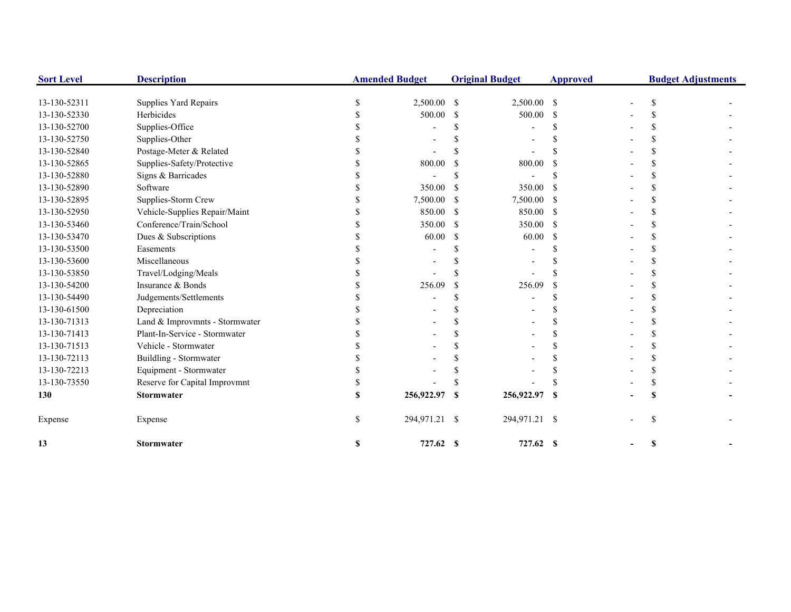| <b>Sort Level</b> | <b>Description</b>             |    | <b>Amended Budget</b> |          | <b>Original Budget</b> | <b>Approved</b> |  | <b>Budget Adjustments</b> |  |
|-------------------|--------------------------------|----|-----------------------|----------|------------------------|-----------------|--|---------------------------|--|
| 13-130-52311      | Supplies Yard Repairs          | \$ | 2,500.00              | -S       | 2,500.00 \$            |                 |  |                           |  |
| 13-130-52330      | Herbicides                     |    | 500.00                |          | 500.00                 | <sup>\$</sup>   |  |                           |  |
| 13-130-52700      | Supplies-Office                |    |                       |          |                        |                 |  |                           |  |
| 13-130-52750      | Supplies-Other                 |    |                       |          |                        |                 |  |                           |  |
| 13-130-52840      | Postage-Meter & Related        |    |                       |          |                        |                 |  |                           |  |
| 13-130-52865      | Supplies-Safety/Protective     |    | 800.00                |          | 800.00                 |                 |  |                           |  |
| 13-130-52880      | Signs & Barricades             |    |                       |          |                        |                 |  |                           |  |
| 13-130-52890      | Software                       |    | 350.00                |          | 350.00                 |                 |  |                           |  |
| 13-130-52895      | Supplies-Storm Crew            |    | 7,500.00              |          | 7,500.00 \$            |                 |  |                           |  |
| 13-130-52950      | Vehicle-Supplies Repair/Maint  |    | 850.00                | S        | 850.00 \$              |                 |  |                           |  |
| 13-130-53460      | Conference/Train/School        |    | 350.00                | -S       | 350.00                 | -S              |  |                           |  |
| 13-130-53470      | Dues & Subscriptions           |    | 60.00                 | -S       | 60.00                  | <sup>\$</sup>   |  |                           |  |
| 13-130-53500      | Easements                      |    |                       |          |                        |                 |  |                           |  |
|                   | Miscellaneous                  |    |                       |          |                        |                 |  |                           |  |
| 13-130-53600      |                                |    |                       |          |                        |                 |  |                           |  |
| 13-130-53850      | Travel/Lodging/Meals           |    |                       |          |                        |                 |  |                           |  |
| 13-130-54200      | Insurance & Bonds              |    | 256.09                |          | 256.09                 |                 |  |                           |  |
| 13-130-54490      | Judgements/Settlements         |    |                       |          |                        |                 |  |                           |  |
| 13-130-61500      | Depreciation                   |    |                       |          |                        |                 |  |                           |  |
| 13-130-71313      | Land & Improvmnts - Stormwater |    |                       |          |                        |                 |  |                           |  |
| 13-130-71413      | Plant-In-Service - Stormwater  |    |                       |          |                        |                 |  |                           |  |
| 13-130-71513      | Vehicle - Stormwater           |    |                       |          |                        |                 |  |                           |  |
| 13-130-72113      | Buildling - Stormwater         |    |                       |          |                        |                 |  |                           |  |
| 13-130-72213      | Equipment - Stormwater         |    |                       |          |                        |                 |  |                           |  |
| 13-130-73550      | Reserve for Capital Improvmnt  |    |                       |          |                        |                 |  |                           |  |
| 130               | <b>Stormwater</b>              |    | 256,922.97            | <b>S</b> | 256,922.97             | -S              |  | S                         |  |
| Expense           | Expense                        | \$ | 294,971.21 \$         |          | 294,971.21 \$          |                 |  | \$                        |  |
| 13                | <b>Stormwater</b>              | S  | 727.62 \$             |          | 727.62 \$              |                 |  | S                         |  |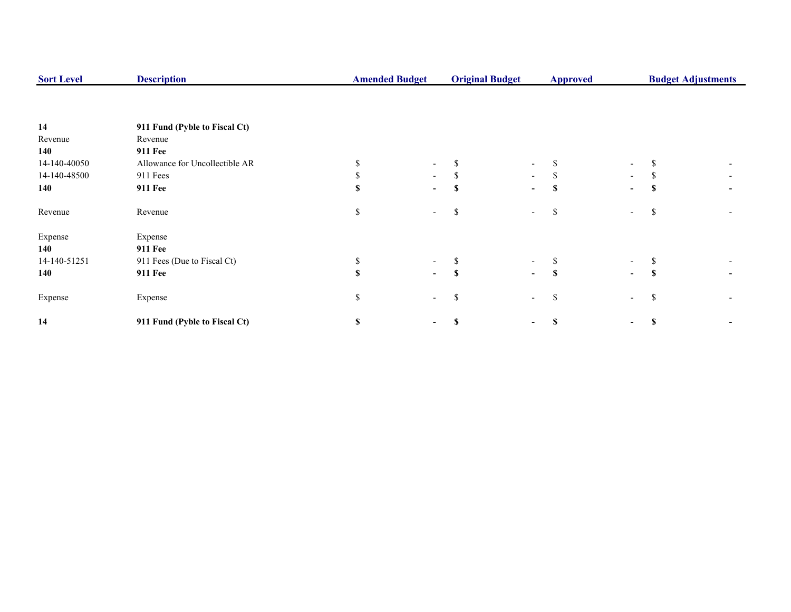| <b>Sort Level</b> | <b>Description</b>             |    | <b>Amended Budget</b>    |   | <b>Original Budget</b>   | <b>Approved</b> |                          | <b>Budget Adjustments</b> |  |  |
|-------------------|--------------------------------|----|--------------------------|---|--------------------------|-----------------|--------------------------|---------------------------|--|--|
|                   |                                |    |                          |   |                          |                 |                          |                           |  |  |
| 14                | 911 Fund (Pyble to Fiscal Ct)  |    |                          |   |                          |                 |                          |                           |  |  |
| Revenue           | Revenue                        |    |                          |   |                          |                 |                          |                           |  |  |
| 140               | <b>911 Fee</b>                 |    |                          |   |                          |                 |                          |                           |  |  |
| 14-140-40050      | Allowance for Uncollectible AR | \$ | $\overline{\phantom{a}}$ |   | $\overline{\phantom{a}}$ |                 |                          |                           |  |  |
| 14-140-48500      | 911 Fees                       | S  | $\overline{\phantom{a}}$ |   |                          |                 | $\overline{\phantom{a}}$ |                           |  |  |
| 140               | <b>911 Fee</b>                 | \$ | $\blacksquare$           | S |                          |                 |                          | ъ                         |  |  |
| Revenue           | Revenue                        | \$ |                          | S | $\overline{\phantom{a}}$ | S.              | $\overline{\phantom{a}}$ | \$                        |  |  |
| Expense           | Expense                        |    |                          |   |                          |                 |                          |                           |  |  |
| 140               | <b>911 Fee</b>                 |    |                          |   |                          |                 |                          |                           |  |  |
| 14-140-51251      | 911 Fees (Due to Fiscal Ct)    | \$ |                          | S |                          |                 |                          | <sup>S</sup>              |  |  |
| 140               | <b>911 Fee</b>                 | \$ | $\blacksquare$           | S | $\overline{\phantom{0}}$ | <b>S</b>        | $\overline{\phantom{0}}$ | <b>S</b>                  |  |  |
| Expense           | Expense                        | \$ |                          | S | $\overline{\phantom{a}}$ | S.              | $\overline{\phantom{0}}$ | <sup>\$</sup>             |  |  |
| 14                | 911 Fund (Pyble to Fiscal Ct)  | \$ |                          | S |                          |                 |                          | S                         |  |  |